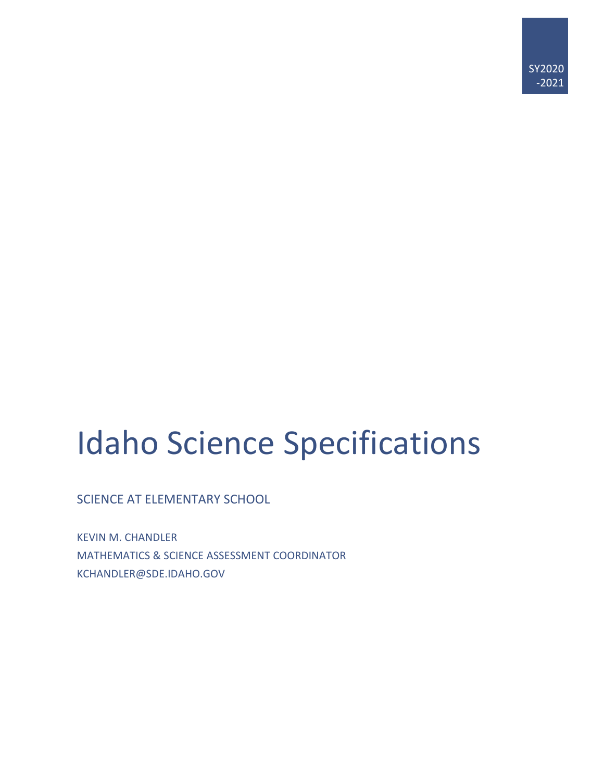# Idaho Science Specifications

SCIENCE AT ELEMENTARY SCHOOL

KEVIN M. CHANDLER MATHEMATICS & SCIENCE ASSESSMENT COORDINATOR KCHANDLER@SDE.IDAHO.GOV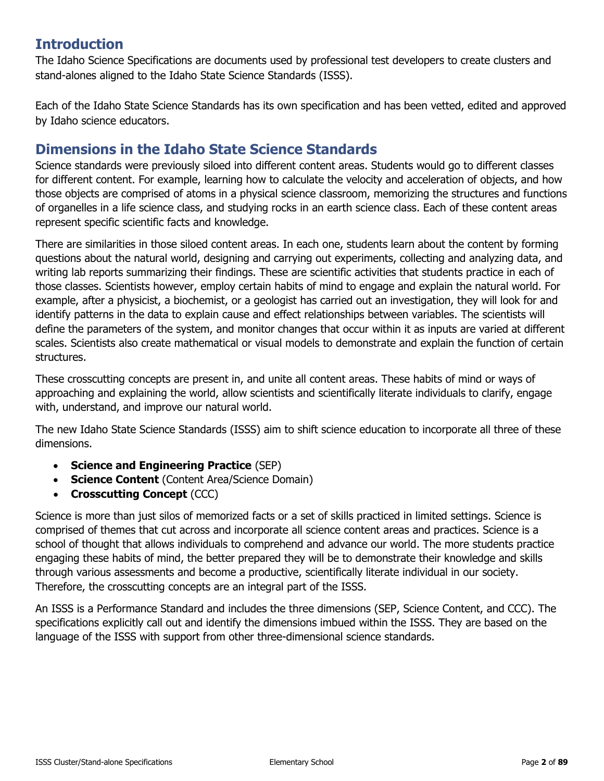# **Introduction**

The Idaho Science Specifications are documents used by professional test developers to create clusters and stand-alones aligned to the Idaho State Science Standards (ISSS).

Each of the Idaho State Science Standards has its own specification and has been vetted, edited and approved by Idaho science educators.

### **Dimensions in the Idaho State Science Standards**

Science standards were previously siloed into different content areas. Students would go to different classes for different content. For example, learning how to calculate the velocity and acceleration of objects, and how those objects are comprised of atoms in a physical science classroom, memorizing the structures and functions of organelles in a life science class, and studying rocks in an earth science class. Each of these content areas represent specific scientific facts and knowledge.

There are similarities in those siloed content areas. In each one, students learn about the content by forming questions about the natural world, designing and carrying out experiments, collecting and analyzing data, and writing lab reports summarizing their findings. These are scientific activities that students practice in each of those classes. Scientists however, employ certain habits of mind to engage and explain the natural world. For example, after a physicist, a biochemist, or a geologist has carried out an investigation, they will look for and identify patterns in the data to explain cause and effect relationships between variables. The scientists will define the parameters of the system, and monitor changes that occur within it as inputs are varied at different scales. Scientists also create mathematical or visual models to demonstrate and explain the function of certain structures.

These crosscutting concepts are present in, and unite all content areas. These habits of mind or ways of approaching and explaining the world, allow scientists and scientifically literate individuals to clarify, engage with, understand, and improve our natural world.

The new Idaho State Science Standards (ISSS) aim to shift science education to incorporate all three of these dimensions.

- **Science and Engineering Practice** (SEP)
- **Science Content** (Content Area/Science Domain)
- **Crosscutting Concept** (CCC)

Science is more than just silos of memorized facts or a set of skills practiced in limited settings. Science is comprised of themes that cut across and incorporate all science content areas and practices. Science is a school of thought that allows individuals to comprehend and advance our world. The more students practice engaging these habits of mind, the better prepared they will be to demonstrate their knowledge and skills through various assessments and become a productive, scientifically literate individual in our society. Therefore, the crosscutting concepts are an integral part of the ISSS.

An ISSS is a Performance Standard and includes the three dimensions (SEP, Science Content, and CCC). The specifications explicitly call out and identify the dimensions imbued within the ISSS. They are based on the language of the ISSS with support from other three-dimensional science standards.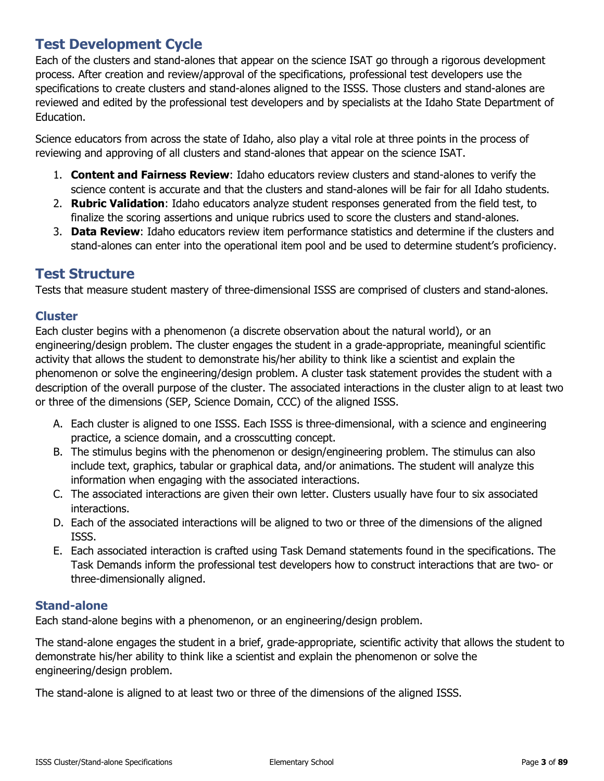# **Test Development Cycle**

Each of the clusters and stand-alones that appear on the science ISAT go through a rigorous development process. After creation and review/approval of the specifications, professional test developers use the specifications to create clusters and stand-alones aligned to the ISSS. Those clusters and stand-alones are reviewed and edited by the professional test developers and by specialists at the Idaho State Department of Education.

Science educators from across the state of Idaho, also play a vital role at three points in the process of reviewing and approving of all clusters and stand-alones that appear on the science ISAT.

- 1. **Content and Fairness Review**: Idaho educators review clusters and stand-alones to verify the science content is accurate and that the clusters and stand-alones will be fair for all Idaho students.
- 2. **Rubric Validation**: Idaho educators analyze student responses generated from the field test, to finalize the scoring assertions and unique rubrics used to score the clusters and stand-alones.
- 3. **Data Review**: Idaho educators review item performance statistics and determine if the clusters and stand-alones can enter into the operational item pool and be used to determine student's proficiency.

### **Test Structure**

Tests that measure student mastery of three-dimensional ISSS are comprised of clusters and stand-alones.

#### **Cluster**

Each cluster begins with a phenomenon (a discrete observation about the natural world), or an engineering/design problem. The cluster engages the student in a grade-appropriate, meaningful scientific activity that allows the student to demonstrate his/her ability to think like a scientist and explain the phenomenon or solve the engineering/design problem. A cluster task statement provides the student with a description of the overall purpose of the cluster. The associated interactions in the cluster align to at least two or three of the dimensions (SEP, Science Domain, CCC) of the aligned ISSS.

- A. Each cluster is aligned to one ISSS. Each ISSS is three-dimensional, with a science and engineering practice, a science domain, and a crosscutting concept.
- B. The stimulus begins with the phenomenon or design/engineering problem. The stimulus can also include text, graphics, tabular or graphical data, and/or animations. The student will analyze this information when engaging with the associated interactions.
- C. The associated interactions are given their own letter. Clusters usually have four to six associated interactions.
- D. Each of the associated interactions will be aligned to two or three of the dimensions of the aligned ISSS.
- E. Each associated interaction is crafted using Task Demand statements found in the specifications. The Task Demands inform the professional test developers how to construct interactions that are two- or three-dimensionally aligned.

#### **Stand-alone**

Each stand-alone begins with a phenomenon, or an engineering/design problem.

The stand-alone engages the student in a brief, grade-appropriate, scientific activity that allows the student to demonstrate his/her ability to think like a scientist and explain the phenomenon or solve the engineering/design problem.

The stand-alone is aligned to at least two or three of the dimensions of the aligned ISSS.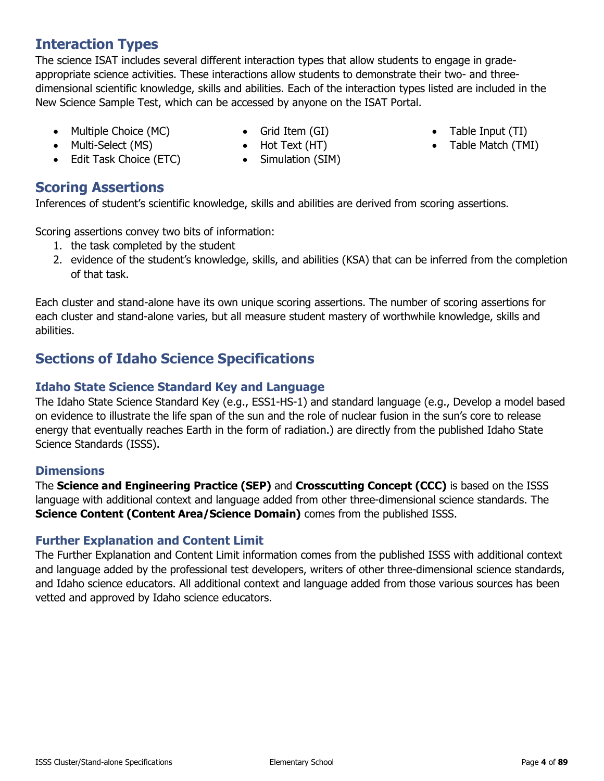### **Interaction Types**

The science ISAT includes several different interaction types that allow students to engage in gradeappropriate science activities. These interactions allow students to demonstrate their two- and threedimensional scientific knowledge, skills and abilities. Each of the interaction types listed are included in the New Science Sample Test, which can be accessed by anyone on the ISAT Portal.

- Multiple Choice (MC)
- Grid Item (GI)
- Table Input (TI)
- Table Match (TMI)
- Multi-Select (MS)
- Edit Task Choice (ETC)
- Hot Text (HT) • Simulation (SIM)

# **Scoring Assertions**

Inferences of student's scientific knowledge, skills and abilities are derived from scoring assertions.

Scoring assertions convey two bits of information:

- 1. the task completed by the student
- 2. evidence of the student's knowledge, skills, and abilities (KSA) that can be inferred from the completion of that task.

Each cluster and stand-alone have its own unique scoring assertions. The number of scoring assertions for each cluster and stand-alone varies, but all measure student mastery of worthwhile knowledge, skills and abilities.

# **Sections of Idaho Science Specifications**

### **Idaho State Science Standard Key and Language**

The Idaho State Science Standard Key (e.g., ESS1-HS-1) and standard language (e.g., Develop a model based on evidence to illustrate the life span of the sun and the role of nuclear fusion in the sun's core to release energy that eventually reaches Earth in the form of radiation.) are directly from the published Idaho State Science Standards (ISSS).

### **Dimensions**

The **Science and Engineering Practice (SEP)** and **Crosscutting Concept (CCC)** is based on the ISSS language with additional context and language added from other three-dimensional science standards. The **Science Content (Content Area/Science Domain)** comes from the published ISSS.

### **Further Explanation and Content Limit**

The Further Explanation and Content Limit information comes from the published ISSS with additional context and language added by the professional test developers, writers of other three-dimensional science standards, and Idaho science educators. All additional context and language added from those various sources has been vetted and approved by Idaho science educators.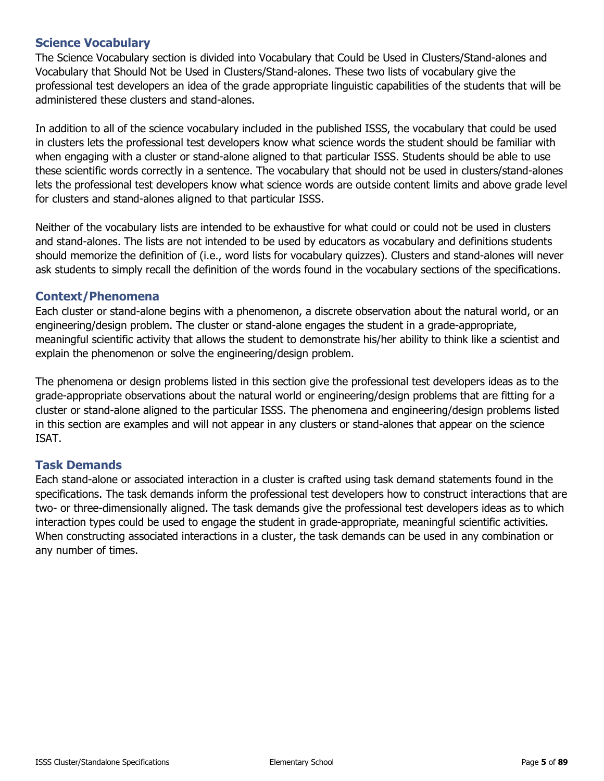The Science Vocabulary section is divided into Vocabulary that Could be Used in Clusters/Stand-alones and Vocabulary that Should Not be Used in Clusters/Stand-alones. These two lists of vocabulary give the professional test developers an idea of the grade appropriate linguistic capabilities of the students that will be administered these clusters and stand-alones.

In addition to all of the science vocabulary included in the published ISSS, the vocabulary that could be used in clusters lets the professional test developers know what science words the student should be familiar with when engaging with a cluster or stand-alone aligned to that particular ISSS. Students should be able to use these scientific words correctly in a sentence. The vocabulary that should not be used in clusters/stand-alones lets the professional test developers know what science words are outside content limits and above grade level for clusters and stand-alones aligned to that particular ISSS.

Neither of the vocabulary lists are intended to be exhaustive for what could or could not be used in clusters and stand-alones. The lists are not intended to be used by educators as vocabulary and definitions students should memorize the definition of (i.e., word lists for vocabulary quizzes). Clusters and stand-alones will never ask students to simply recall the definition of the words found in the vocabulary sections of the specifications.

#### **Context/Phenomena**

Each cluster or stand-alone begins with a phenomenon, a discrete observation about the natural world, or an engineering/design problem. The cluster or stand-alone engages the student in a grade-appropriate, meaningful scientific activity that allows the student to demonstrate his/her ability to think like a scientist and explain the phenomenon or solve the engineering/design problem.

The phenomena or design problems listed in this section give the professional test developers ideas as to the grade-appropriate observations about the natural world or engineering/design problems that are fitting for a cluster or stand-alone aligned to the particular ISSS. The phenomena and engineering/design problems listed in this section are examples and will not appear in any clusters or stand-alones that appear on the science ISAT.

#### **Task Demands**

Each stand-alone or associated interaction in a cluster is crafted using task demand statements found in the specifications. The task demands inform the professional test developers how to construct interactions that are two- or three-dimensionally aligned. The task demands give the professional test developers ideas as to which interaction types could be used to engage the student in grade-appropriate, meaningful scientific activities. When constructing associated interactions in a cluster, the task demands can be used in any combination or any number of times.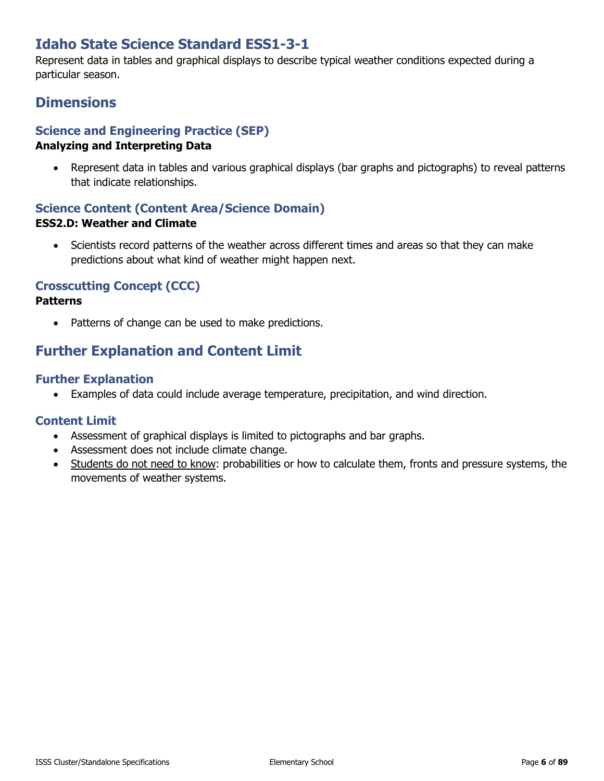# **Idaho State Science Standard ESS1-3-1**

Represent data in tables and graphical displays to describe typical weather conditions expected during a particular season.

### **Dimensions**

#### **Science and Engineering Practice (SEP) Analyzing and Interpreting Data**

• Represent data in tables and various graphical displays (bar graphs and pictographs) to reveal patterns that indicate relationships.

### **Science Content (Content Area/Science Domain) ESS2.D: Weather and Climate**

• Scientists record patterns of the weather across different times and areas so that they can make predictions about what kind of weather might happen next.

### **Crosscutting Concept (CCC)**

#### **Patterns**

Patterns of change can be used to make predictions.

# **Further Explanation and Content Limit**

#### **Further Explanation**

• Examples of data could include average temperature, precipitation, and wind direction.

- Assessment of graphical displays is limited to pictographs and bar graphs.
- Assessment does not include climate change.
- Students do not need to know: probabilities or how to calculate them, fronts and pressure systems, the movements of weather systems.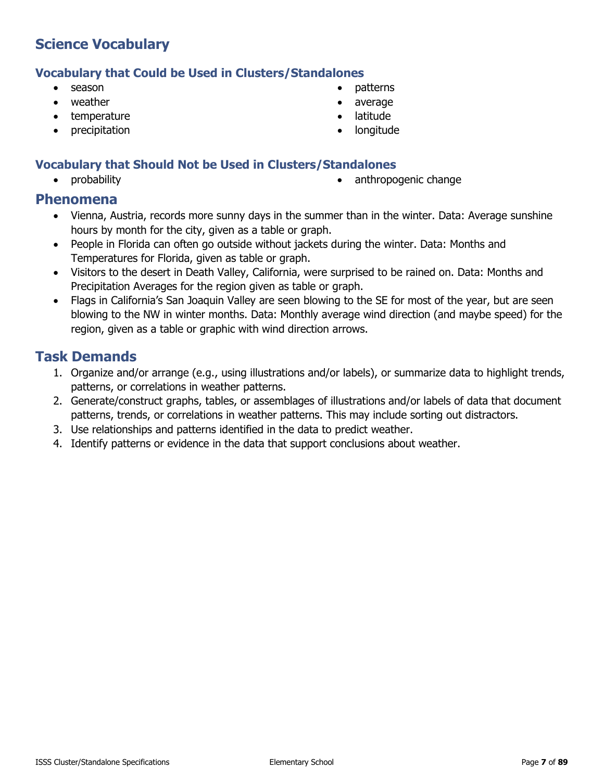#### **Vocabulary that Could be Used in Clusters/Standalones**

- season
- weather
- temperature
- precipitation
- patterns
- average
- **latitude**
- longitude

#### **Vocabulary that Should Not be Used in Clusters/Standalones**

- 
- probability **•** anthropogenic change

#### **Phenomena**

- Vienna, Austria, records more sunny days in the summer than in the winter. Data: Average sunshine hours by month for the city, given as a table or graph.
- People in Florida can often go outside without jackets during the winter. Data: Months and Temperatures for Florida, given as table or graph.
- Visitors to the desert in Death Valley, California, were surprised to be rained on. Data: Months and Precipitation Averages for the region given as table or graph.
- Flags in California's San Joaquin Valley are seen blowing to the SE for most of the year, but are seen blowing to the NW in winter months. Data: Monthly average wind direction (and maybe speed) for the region, given as a table or graphic with wind direction arrows.

- 1. Organize and/or arrange (e.g., using illustrations and/or labels), or summarize data to highlight trends, patterns, or correlations in weather patterns.
- 2. Generate/construct graphs, tables, or assemblages of illustrations and/or labels of data that document patterns, trends, or correlations in weather patterns. This may include sorting out distractors.
- 3. Use relationships and patterns identified in the data to predict weather.
- 4. Identify patterns or evidence in the data that support conclusions about weather.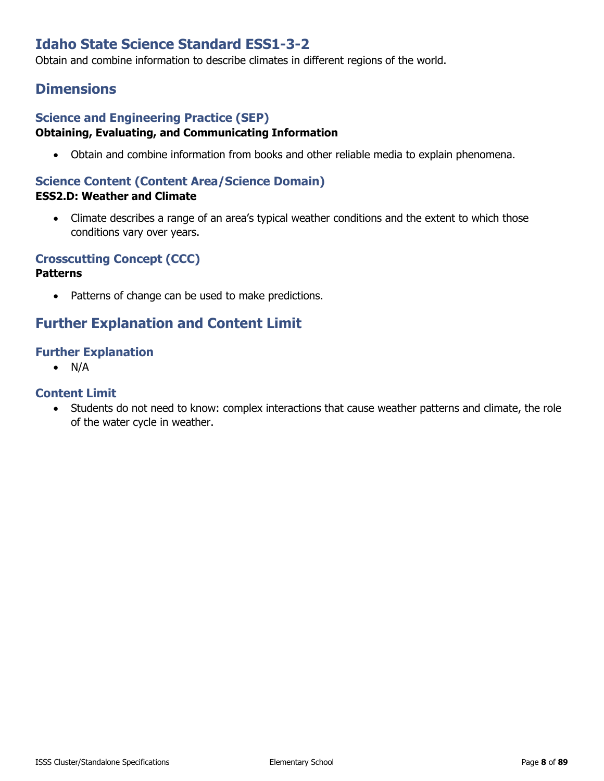# **Idaho State Science Standard ESS1-3-2**

Obtain and combine information to describe climates in different regions of the world.

### **Dimensions**

#### **Science and Engineering Practice (SEP) Obtaining, Evaluating, and Communicating Information**

• Obtain and combine information from books and other reliable media to explain phenomena.

#### **Science Content (Content Area/Science Domain) ESS2.D: Weather and Climate**

• Climate describes a range of an area's typical weather conditions and the extent to which those conditions vary over years.

#### **Crosscutting Concept (CCC)**

#### **Patterns**

• Patterns of change can be used to make predictions.

### **Further Explanation and Content Limit**

#### **Further Explanation**

• N/A

#### **Content Limit**

• Students do not need to know: complex interactions that cause weather patterns and climate, the role of the water cycle in weather.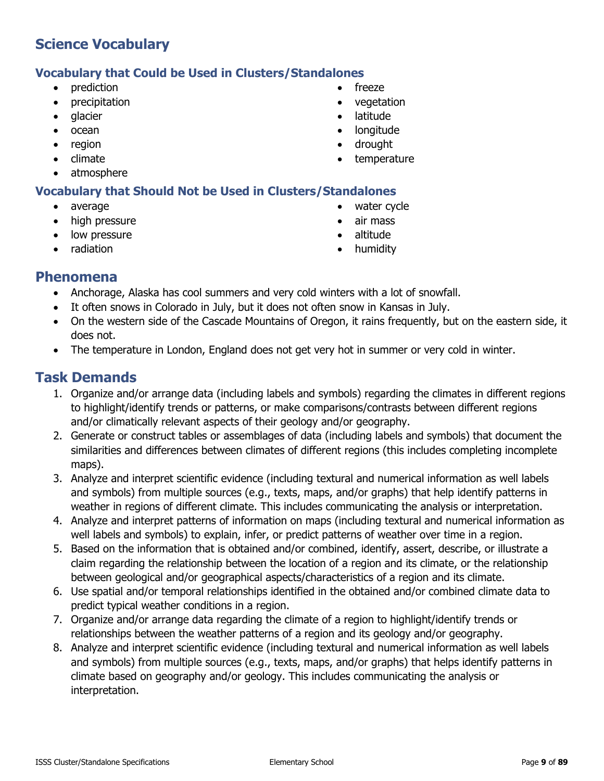#### **Vocabulary that Could be Used in Clusters/Standalones**

- prediction
- precipitation
- glacier
- ocean
- region
- climate
- atmosphere

### **Vocabulary that Should Not be Used in Clusters/Standalones**

- average
- high pressure
- low pressure
- radiation
- freeze
- vegetation
- latitude
- longitude
- drought
- **temperature**
- water cycle
- air mass
- altitude
- humidity

### **Phenomena**

- Anchorage, Alaska has cool summers and very cold winters with a lot of snowfall.
- It often snows in Colorado in July, but it does not often snow in Kansas in July.
- On the western side of the Cascade Mountains of Oregon, it rains frequently, but on the eastern side, it does not.
- The temperature in London, England does not get very hot in summer or very cold in winter.

- 1. Organize and/or arrange data (including labels and symbols) regarding the climates in different regions to highlight/identify trends or patterns, or make comparisons/contrasts between different regions and/or climatically relevant aspects of their geology and/or geography.
- 2. Generate or construct tables or assemblages of data (including labels and symbols) that document the similarities and differences between climates of different regions (this includes completing incomplete maps).
- 3. Analyze and interpret scientific evidence (including textural and numerical information as well labels and symbols) from multiple sources (e.g., texts, maps, and/or graphs) that help identify patterns in weather in regions of different climate. This includes communicating the analysis or interpretation.
- 4. Analyze and interpret patterns of information on maps (including textural and numerical information as well labels and symbols) to explain, infer, or predict patterns of weather over time in a region.
- 5. Based on the information that is obtained and/or combined, identify, assert, describe, or illustrate a claim regarding the relationship between the location of a region and its climate, or the relationship between geological and/or geographical aspects/characteristics of a region and its climate.
- 6. Use spatial and/or temporal relationships identified in the obtained and/or combined climate data to predict typical weather conditions in a region.
- 7. Organize and/or arrange data regarding the climate of a region to highlight/identify trends or relationships between the weather patterns of a region and its geology and/or geography.
- 8. Analyze and interpret scientific evidence (including textural and numerical information as well labels and symbols) from multiple sources (e.g., texts, maps, and/or graphs) that helps identify patterns in climate based on geography and/or geology. This includes communicating the analysis or interpretation.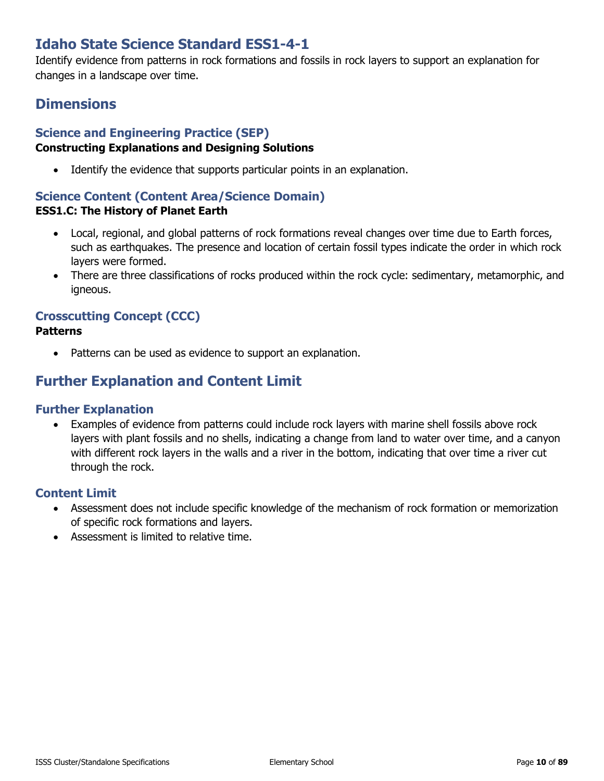# **Idaho State Science Standard ESS1-4-1**

Identify evidence from patterns in rock formations and fossils in rock layers to support an explanation for changes in a landscape over time.

# **Dimensions**

#### **Science and Engineering Practice (SEP) Constructing Explanations and Designing Solutions**

• Identify the evidence that supports particular points in an explanation.

### **Science Content (Content Area/Science Domain)**

#### **ESS1.C: The History of Planet Earth**

- Local, regional, and global patterns of rock formations reveal changes over time due to Earth forces, such as earthquakes. The presence and location of certain fossil types indicate the order in which rock layers were formed.
- There are three classifications of rocks produced within the rock cycle: sedimentary, metamorphic, and igneous.

# **Crosscutting Concept (CCC)**

#### **Patterns**

• Patterns can be used as evidence to support an explanation.

# **Further Explanation and Content Limit**

#### **Further Explanation**

• Examples of evidence from patterns could include rock layers with marine shell fossils above rock layers with plant fossils and no shells, indicating a change from land to water over time, and a canyon with different rock layers in the walls and a river in the bottom, indicating that over time a river cut through the rock.

- Assessment does not include specific knowledge of the mechanism of rock formation or memorization of specific rock formations and layers.
- Assessment is limited to relative time.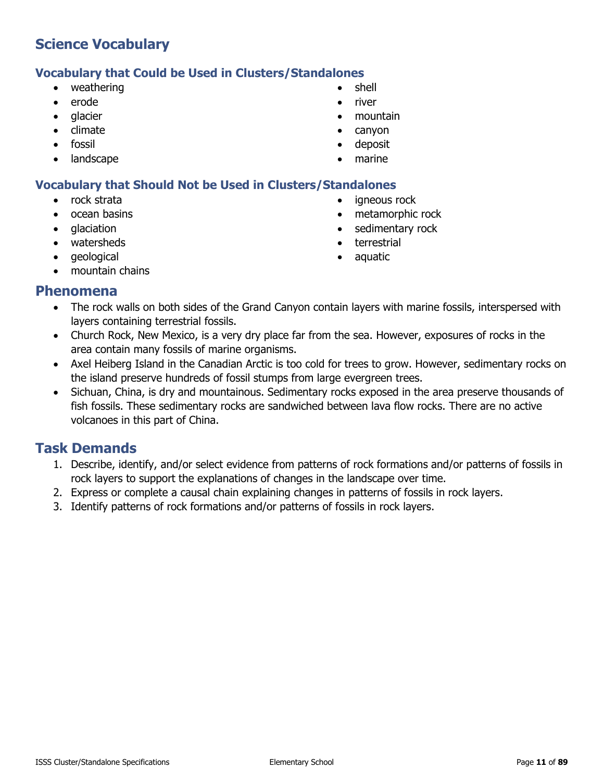#### **Vocabulary that Could be Used in Clusters/Standalones**

- weathering
- erode
- glacier
- climate
- fossil
- landscape
- shell
- river
- mountain
- canyon
- deposit
- marine

• terrestrial • aquatic

igneous rock • metamorphic rock • sedimentary rock

#### **Vocabulary that Should Not be Used in Clusters/Standalones**

- rock strata
- ocean basins
- glaciation
- watersheds
- geological
- mountain chains

#### **Phenomena**

- The rock walls on both sides of the Grand Canyon contain layers with marine fossils, interspersed with layers containing terrestrial fossils.
- Church Rock, New Mexico, is a very dry place far from the sea. However, exposures of rocks in the area contain many fossils of marine organisms.
- Axel Heiberg Island in the Canadian Arctic is too cold for trees to grow. However, sedimentary rocks on the island preserve hundreds of fossil stumps from large evergreen trees.
- Sichuan, China, is dry and mountainous. Sedimentary rocks exposed in the area preserve thousands of fish fossils. These sedimentary rocks are sandwiched between lava flow rocks. There are no active volcanoes in this part of China.

- 1. Describe, identify, and/or select evidence from patterns of rock formations and/or patterns of fossils in rock layers to support the explanations of changes in the landscape over time.
- 2. Express or complete a causal chain explaining changes in patterns of fossils in rock layers.
- 3. Identify patterns of rock formations and/or patterns of fossils in rock layers.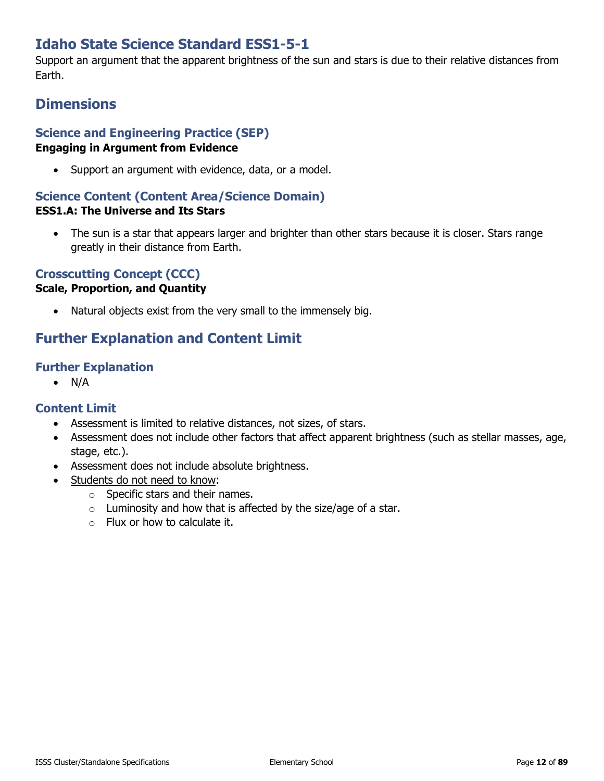# **Idaho State Science Standard ESS1-5-1**

Support an argument that the apparent brightness of the sun and stars is due to their relative distances from Earth.

# **Dimensions**

# **Science and Engineering Practice (SEP)**

#### **Engaging in Argument from Evidence**

• Support an argument with evidence, data, or a model.

### **Science Content (Content Area/Science Domain)**

#### **ESS1.A: The Universe and Its Stars**

• The sun is a star that appears larger and brighter than other stars because it is closer. Stars range greatly in their distance from Earth.

### **Crosscutting Concept (CCC)**

#### **Scale, Proportion, and Quantity**

• Natural objects exist from the very small to the immensely big.

# **Further Explanation and Content Limit**

#### **Further Explanation**

• N/A

- Assessment is limited to relative distances, not sizes, of stars.
- Assessment does not include other factors that affect apparent brightness (such as stellar masses, age, stage, etc.).
- Assessment does not include absolute brightness.
- Students do not need to know:
	- o Specific stars and their names.
	- $\circ$  Luminosity and how that is affected by the size/age of a star.
	- o Flux or how to calculate it.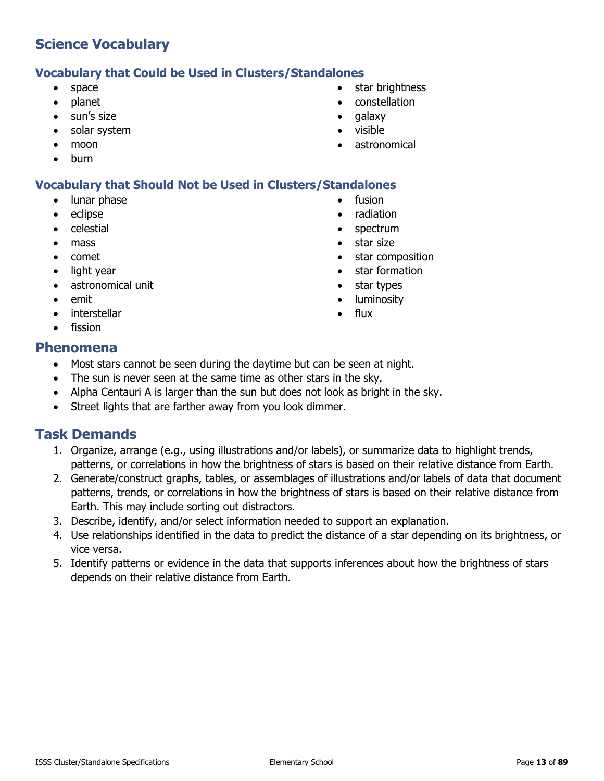### **Vocabulary that Could be Used in Clusters/Standalones**

- space
- planet
- sun's size
- solar system
- moon
- burn

### **Vocabulary that Should Not be Used in Clusters/Standalones**

- lunar phase
- eclipse
- celestial
- mass
- comet
- light year
- astronomical unit
- emit
- **interstellar**
- fission

### **Phenomena**

- Most stars cannot be seen during the daytime but can be seen at night.
- The sun is never seen at the same time as other stars in the sky.
- Alpha Centauri A is larger than the sun but does not look as bright in the sky.
- Street lights that are farther away from you look dimmer.

# **Task Demands**

- 1. Organize, arrange (e.g., using illustrations and/or labels), or summarize data to highlight trends, patterns, or correlations in how the brightness of stars is based on their relative distance from Earth.
- 2. Generate/construct graphs, tables, or assemblages of illustrations and/or labels of data that document patterns, trends, or correlations in how the brightness of stars is based on their relative distance from Earth. This may include sorting out distractors.
- 3. Describe, identify, and/or select information needed to support an explanation.
- 4. Use relationships identified in the data to predict the distance of a star depending on its brightness, or vice versa.
- 5. Identify patterns or evidence in the data that supports inferences about how the brightness of stars depends on their relative distance from Earth.
- star brightness
- constellation
- galaxy
- visible
- astronomical

fusion • radiation • spectrum • star size

• star composition • star formation • star types • luminosity flux

ISSS Cluster/Standalone Specifications **Elementary School Page 13** of 89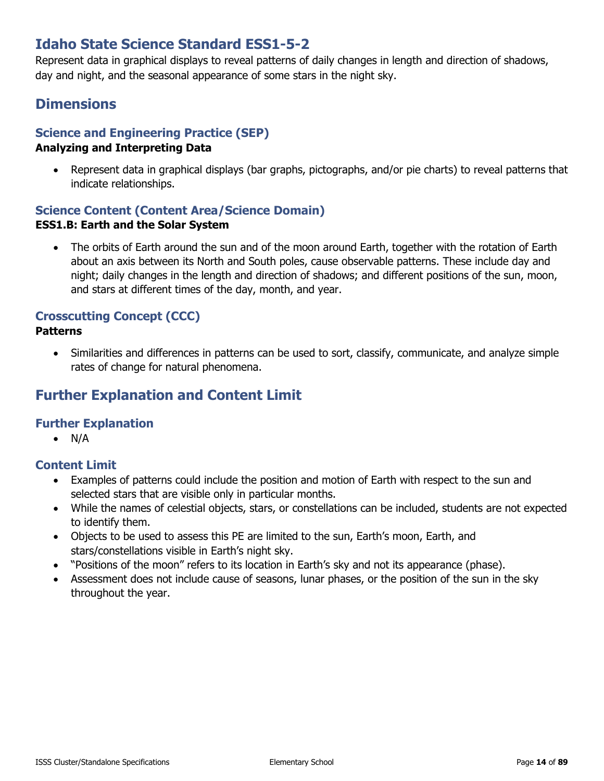# **Idaho State Science Standard ESS1-5-2**

Represent data in graphical displays to reveal patterns of daily changes in length and direction of shadows, day and night, and the seasonal appearance of some stars in the night sky.

### **Dimensions**

### **Science and Engineering Practice (SEP)**

#### **Analyzing and Interpreting Data**

• Represent data in graphical displays (bar graphs, pictographs, and/or pie charts) to reveal patterns that indicate relationships.

#### **Science Content (Content Area/Science Domain) ESS1.B: Earth and the Solar System**

• The orbits of Earth around the sun and of the moon around Earth, together with the rotation of Earth about an axis between its North and South poles, cause observable patterns. These include day and night; daily changes in the length and direction of shadows; and different positions of the sun, moon, and stars at different times of the day, month, and year.

### **Crosscutting Concept (CCC)**

#### **Patterns**

• Similarities and differences in patterns can be used to sort, classify, communicate, and analyze simple rates of change for natural phenomena.

# **Further Explanation and Content Limit**

#### **Further Explanation**

 $\bullet$  N/A

- Examples of patterns could include the position and motion of Earth with respect to the sun and selected stars that are visible only in particular months.
- While the names of celestial objects, stars, or constellations can be included, students are not expected to identify them.
- Objects to be used to assess this PE are limited to the sun, Earth's moon, Earth, and stars/constellations visible in Earth's night sky.
- "Positions of the moon" refers to its location in Earth's sky and not its appearance (phase).
- Assessment does not include cause of seasons, lunar phases, or the position of the sun in the sky throughout the year.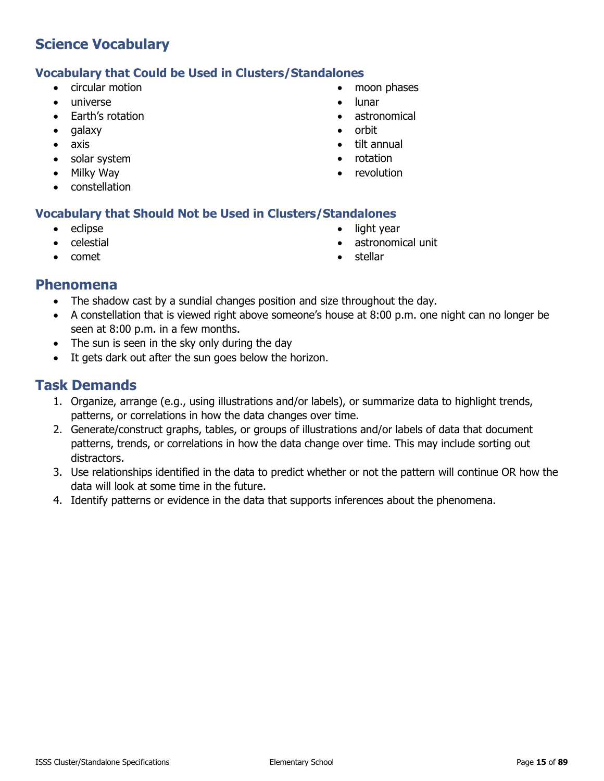#### **Vocabulary that Could be Used in Clusters/Standalones**

- circular motion
- universe
- Earth's rotation
- galaxy
- axis
- solar system
- Milky Way
- constellation

#### • moon phases

- lunar
- astronomical
- orbit
- tilt annual
- rotation
- revolution

#### **Vocabulary that Should Not be Used in Clusters/Standalones**

- eclipse
- celestial
- comet
- light year
- astronomical unit
- **stellar**

### **Phenomena**

- The shadow cast by a sundial changes position and size throughout the day.
- A constellation that is viewed right above someone's house at 8:00 p.m. one night can no longer be seen at 8:00 p.m. in a few months.
- The sun is seen in the sky only during the day
- It gets dark out after the sun goes below the horizon.

- 1. Organize, arrange (e.g., using illustrations and/or labels), or summarize data to highlight trends, patterns, or correlations in how the data changes over time.
- 2. Generate/construct graphs, tables, or groups of illustrations and/or labels of data that document patterns, trends, or correlations in how the data change over time. This may include sorting out distractors.
- 3. Use relationships identified in the data to predict whether or not the pattern will continue OR how the data will look at some time in the future.
- 4. Identify patterns or evidence in the data that supports inferences about the phenomena.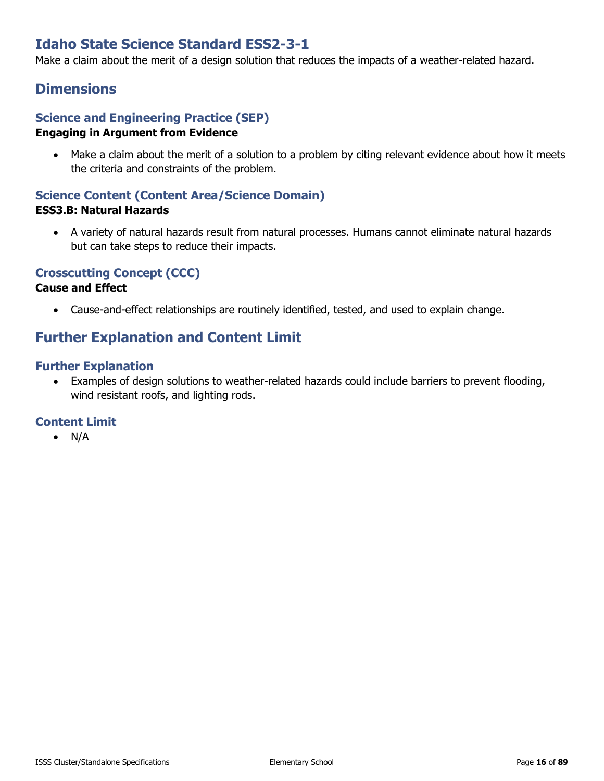# **Idaho State Science Standard ESS2-3-1**

Make a claim about the merit of a design solution that reduces the impacts of a weather-related hazard.

### **Dimensions**

#### **Science and Engineering Practice (SEP) Engaging in Argument from Evidence**

• Make a claim about the merit of a solution to a problem by citing relevant evidence about how it meets the criteria and constraints of the problem.

#### **Science Content (Content Area/Science Domain) ESS3.B: Natural Hazards**

• A variety of natural hazards result from natural processes. Humans cannot eliminate natural hazards but can take steps to reduce their impacts.

### **Crosscutting Concept (CCC)**

#### **Cause and Effect**

• Cause-and-effect relationships are routinely identified, tested, and used to explain change.

# **Further Explanation and Content Limit**

#### **Further Explanation**

• Examples of design solutions to weather-related hazards could include barriers to prevent flooding, wind resistant roofs, and lighting rods.

#### **Content Limit**

• N/A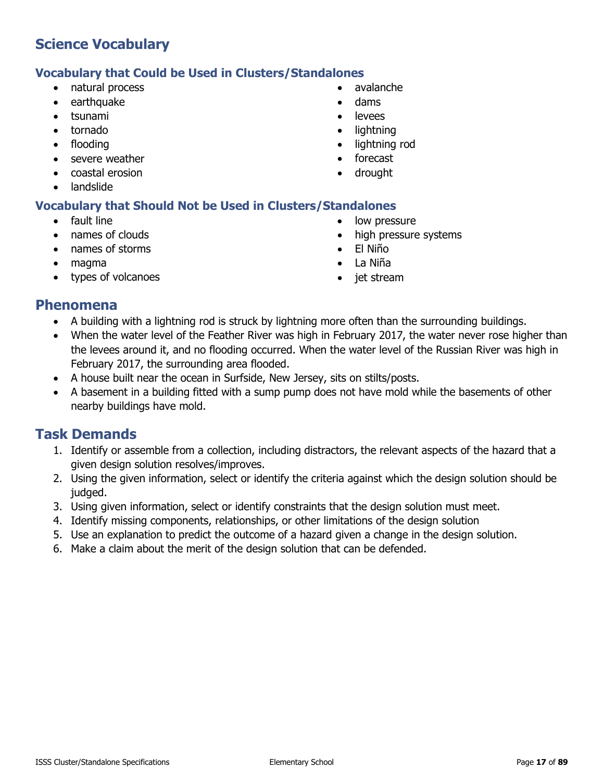#### **Vocabulary that Could be Used in Clusters/Standalones**

- natural process
- earthquake
- tsunami
- tornado
- flooding
- severe weather
- coastal erosion
- landslide

#### **Vocabulary that Should Not be Used in Clusters/Standalones**

- fault line
- names of clouds
- names of storms
- magma
- types of volcanoes
- avalanche
- dams
- levees
- lightning
- lightning rod
- forecast
- drought
- low pressure
- high pressure systems
- El Niño
- La Niña
- jet stream

### **Phenomena**

- A building with a lightning rod is struck by lightning more often than the surrounding buildings.
- When the water level of the Feather River was high in February 2017, the water never rose higher than the levees around it, and no flooding occurred. When the water level of the Russian River was high in February 2017, the surrounding area flooded.
- A house built near the ocean in Surfside, New Jersey, sits on stilts/posts.
- A basement in a building fitted with a sump pump does not have mold while the basements of other nearby buildings have mold.

- 1. Identify or assemble from a collection, including distractors, the relevant aspects of the hazard that a given design solution resolves/improves.
- 2. Using the given information, select or identify the criteria against which the design solution should be judged.
- 3. Using given information, select or identify constraints that the design solution must meet.
- 4. Identify missing components, relationships, or other limitations of the design solution
- 5. Use an explanation to predict the outcome of a hazard given a change in the design solution.
- 6. Make a claim about the merit of the design solution that can be defended.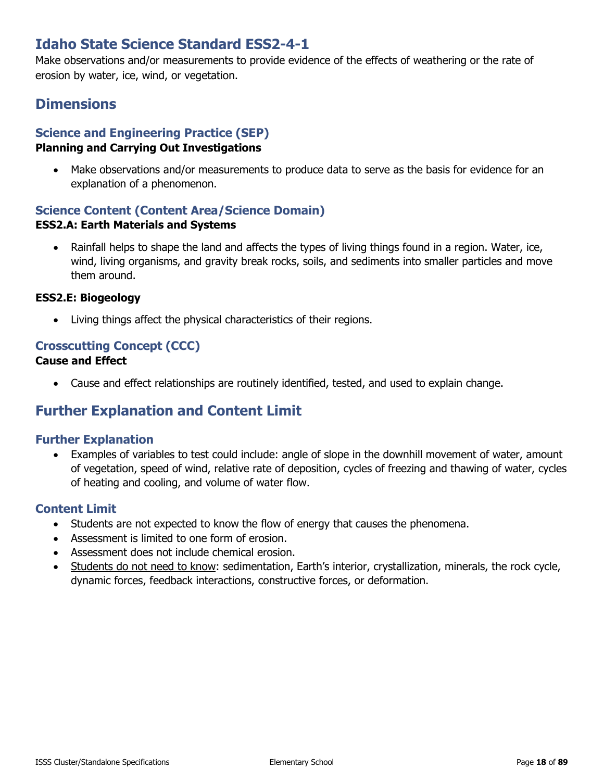# **Idaho State Science Standard ESS2-4-1**

Make observations and/or measurements to provide evidence of the effects of weathering or the rate of erosion by water, ice, wind, or vegetation.

### **Dimensions**

# **Science and Engineering Practice (SEP)**

#### **Planning and Carrying Out Investigations**

• Make observations and/or measurements to produce data to serve as the basis for evidence for an explanation of a phenomenon.

# **Science Content (Content Area/Science Domain)**

#### **ESS2.A: Earth Materials and Systems**

• Rainfall helps to shape the land and affects the types of living things found in a region. Water, ice, wind, living organisms, and gravity break rocks, soils, and sediments into smaller particles and move them around.

#### **ESS2.E: Biogeology**

• Living things affect the physical characteristics of their regions.

#### **Crosscutting Concept (CCC) Cause and Effect**

• Cause and effect relationships are routinely identified, tested, and used to explain change.

# **Further Explanation and Content Limit**

#### **Further Explanation**

• Examples of variables to test could include: angle of slope in the downhill movement of water, amount of vegetation, speed of wind, relative rate of deposition, cycles of freezing and thawing of water, cycles of heating and cooling, and volume of water flow.

- Students are not expected to know the flow of energy that causes the phenomena.
- Assessment is limited to one form of erosion.
- Assessment does not include chemical erosion.
- Students do not need to know: sedimentation, Earth's interior, crystallization, minerals, the rock cycle, dynamic forces, feedback interactions, constructive forces, or deformation.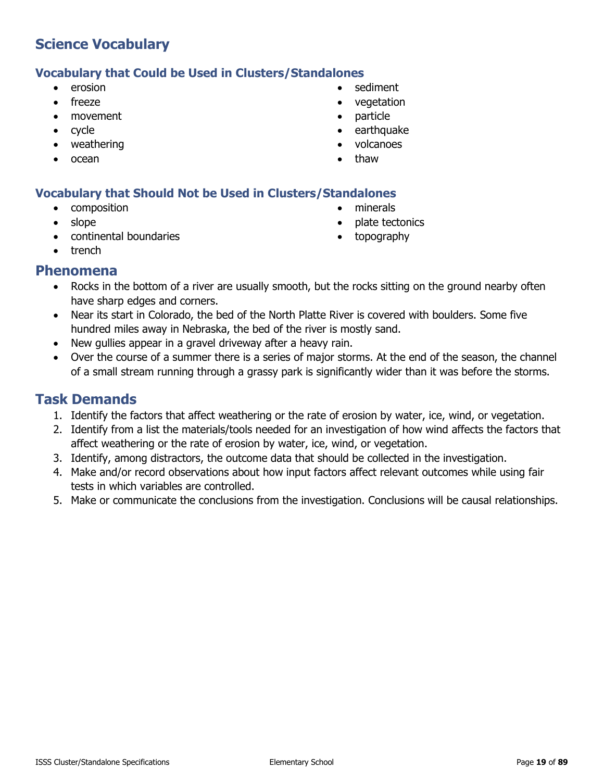#### **Vocabulary that Could be Used in Clusters/Standalones**

- erosion
- freeze
- movement
- cycle
- weathering
- ocean
- sediment
- vegetation
- particle
- earthquake
- volcanoes
- thaw

#### **Vocabulary that Should Not be Used in Clusters/Standalones**

- composition
- slope
- continental boundaries
- minerals
- plate tectonics
- topography

• trench

#### **Phenomena**

- Rocks in the bottom of a river are usually smooth, but the rocks sitting on the ground nearby often have sharp edges and corners.
- Near its start in Colorado, the bed of the North Platte River is covered with boulders. Some five hundred miles away in Nebraska, the bed of the river is mostly sand.
- New gullies appear in a gravel driveway after a heavy rain.
- Over the course of a summer there is a series of major storms. At the end of the season, the channel of a small stream running through a grassy park is significantly wider than it was before the storms.

- 1. Identify the factors that affect weathering or the rate of erosion by water, ice, wind, or vegetation.
- 2. Identify from a list the materials/tools needed for an investigation of how wind affects the factors that affect weathering or the rate of erosion by water, ice, wind, or vegetation.
- 3. Identify, among distractors, the outcome data that should be collected in the investigation.
- 4. Make and/or record observations about how input factors affect relevant outcomes while using fair tests in which variables are controlled.
- 5. Make or communicate the conclusions from the investigation. Conclusions will be causal relationships.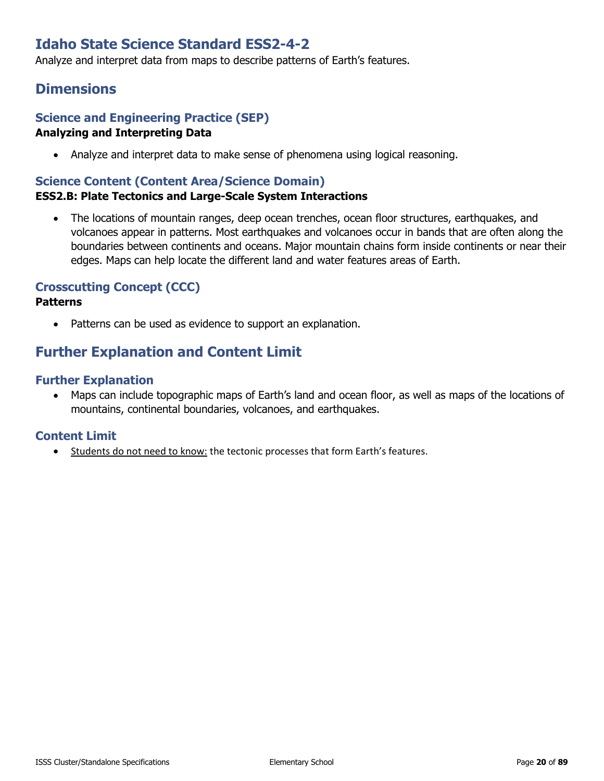# **Idaho State Science Standard ESS2-4-2**

Analyze and interpret data from maps to describe patterns of Earth's features.

### **Dimensions**

#### **Science and Engineering Practice (SEP) Analyzing and Interpreting Data**

• Analyze and interpret data to make sense of phenomena using logical reasoning.

### **Science Content (Content Area/Science Domain)**

#### **ESS2.B: Plate Tectonics and Large-Scale System Interactions**

• The locations of mountain ranges, deep ocean trenches, ocean floor structures, earthquakes, and volcanoes appear in patterns. Most earthquakes and volcanoes occur in bands that are often along the boundaries between continents and oceans. Major mountain chains form inside continents or near their edges. Maps can help locate the different land and water features areas of Earth.

#### **Crosscutting Concept (CCC)**

#### **Patterns**

• Patterns can be used as evidence to support an explanation.

### **Further Explanation and Content Limit**

#### **Further Explanation**

• Maps can include topographic maps of Earth's land and ocean floor, as well as maps of the locations of mountains, continental boundaries, volcanoes, and earthquakes.

#### **Content Limit**

• Students do not need to know: the tectonic processes that form Earth's features.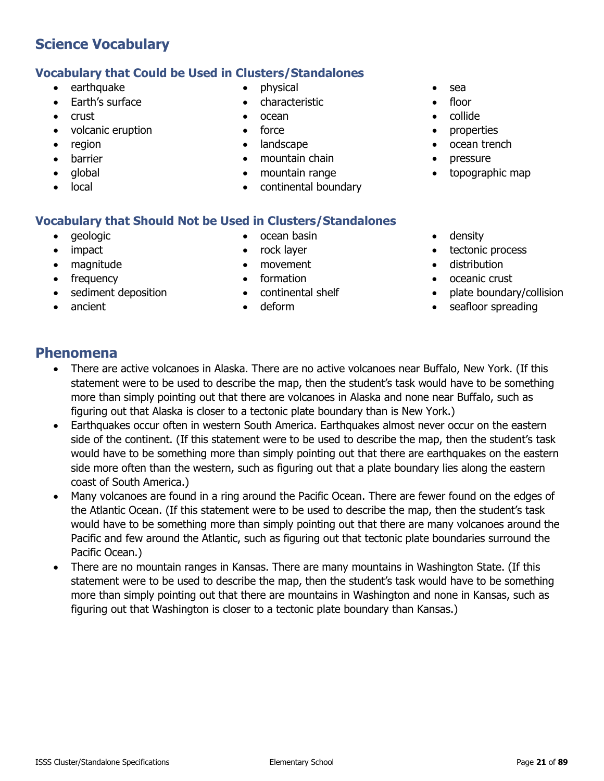# • barrier

• global

• crust

• region

**Science Vocabulary**

earthquake • Earth's surface

• volcanic eruption

local

- **Vocabulary that Could be Used in Clusters/Standalones** • physical
	- characteristic
	- ocean
	- force
	- landscape
	- mountain chain
	- mountain range
	- continental boundary
- sea
- floor
- collide
- **properties**
- ocean trench
- pressure
- topographic map

#### **Vocabulary that Should Not be Used in Clusters/Standalones**

- geologic
- impact
- magnitude
- frequency
- sediment deposition
- ancient
- ocean basin
- rock layer
- movement
- formation
- continental shelf
- deform
- density
- tectonic process
- distribution
- oceanic crust
- plate boundary/collision
- seafloor spreading

### **Phenomena**

- There are active volcanoes in Alaska. There are no active volcanoes near Buffalo, New York. (If this statement were to be used to describe the map, then the student's task would have to be something more than simply pointing out that there are volcanoes in Alaska and none near Buffalo, such as figuring out that Alaska is closer to a tectonic plate boundary than is New York.)
- Earthquakes occur often in western South America. Earthquakes almost never occur on the eastern side of the continent. (If this statement were to be used to describe the map, then the student's task would have to be something more than simply pointing out that there are earthquakes on the eastern side more often than the western, such as figuring out that a plate boundary lies along the eastern coast of South America.)
- Many volcanoes are found in a ring around the Pacific Ocean. There are fewer found on the edges of the Atlantic Ocean. (If this statement were to be used to describe the map, then the student's task would have to be something more than simply pointing out that there are many volcanoes around the Pacific and few around the Atlantic, such as figuring out that tectonic plate boundaries surround the Pacific Ocean.)
- There are no mountain ranges in Kansas. There are many mountains in Washington State. (If this statement were to be used to describe the map, then the student's task would have to be something more than simply pointing out that there are mountains in Washington and none in Kansas, such as figuring out that Washington is closer to a tectonic plate boundary than Kansas.)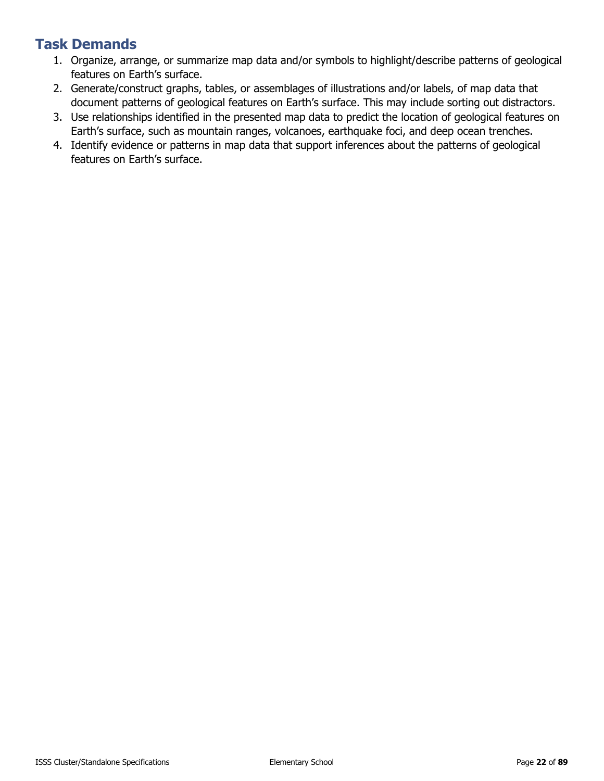- 1. Organize, arrange, or summarize map data and/or symbols to highlight/describe patterns of geological features on Earth's surface.
- 2. Generate/construct graphs, tables, or assemblages of illustrations and/or labels, of map data that document patterns of geological features on Earth's surface. This may include sorting out distractors.
- 3. Use relationships identified in the presented map data to predict the location of geological features on Earth's surface, such as mountain ranges, volcanoes, earthquake foci, and deep ocean trenches.
- 4. Identify evidence or patterns in map data that support inferences about the patterns of geological features on Earth's surface.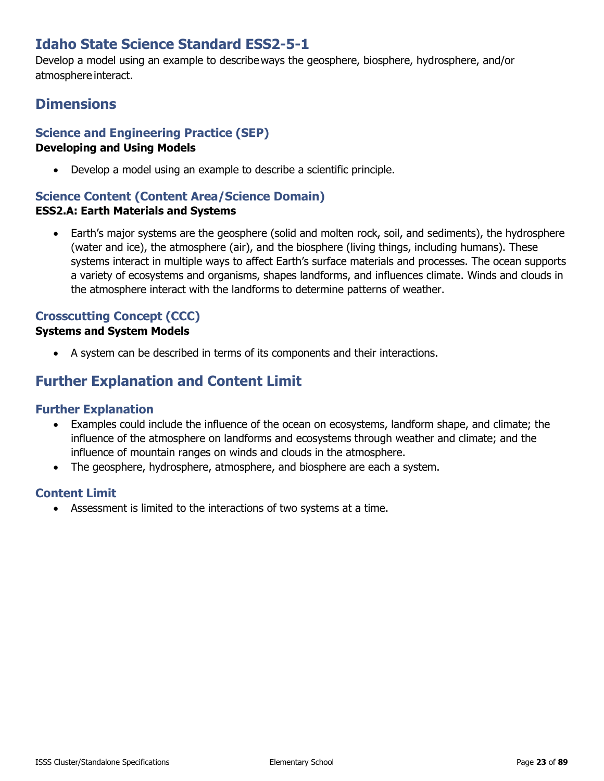# **Idaho State Science Standard ESS2-5-1**

Develop a model using an example to describe ways the geosphere, biosphere, hydrosphere, and/or atmosphere interact.

# **Dimensions**

### **Science and Engineering Practice (SEP)**

#### **Developing and Using Models**

• Develop a model using an example to describe a scientific principle.

# **Science Content (Content Area/Science Domain)**

#### **ESS2.A: Earth Materials and Systems**

• Earth's major systems are the geosphere (solid and molten rock, soil, and sediments), the hydrosphere (water and ice), the atmosphere (air), and the biosphere (living things, including humans). These systems interact in multiple ways to affect Earth's surface materials and processes. The ocean supports a variety of ecosystems and organisms, shapes landforms, and influences climate. Winds and clouds in the atmosphere interact with the landforms to determine patterns of weather.

### **Crosscutting Concept (CCC)**

#### **Systems and System Models**

• A system can be described in terms of its components and their interactions.

# **Further Explanation and Content Limit**

#### **Further Explanation**

- Examples could include the influence of the ocean on ecosystems, landform shape, and climate; the influence of the atmosphere on landforms and ecosystems through weather and climate; and the influence of mountain ranges on winds and clouds in the atmosphere.
- The geosphere, hydrosphere, atmosphere, and biosphere are each a system.

### **Content Limit**

• Assessment is limited to the interactions of two systems at a time.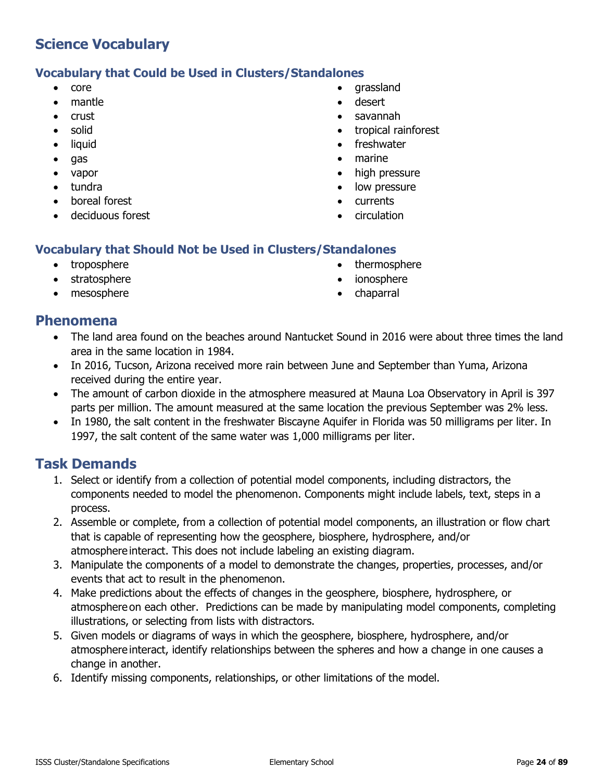#### **Vocabulary that Could be Used in Clusters/Standalones**

- core
- mantle
- crust
- solid
- liquid
- gas
- vapor
- tundra
- boreal forest
- deciduous forest
- grassland
- desert
- savannah
- tropical rainforest
- freshwater
- marine
- high pressure
- low pressure
- currents
- circulation

#### **Vocabulary that Should Not be Used in Clusters/Standalones**

- troposphere
- stratosphere
- mesosphere
- thermosphere
- ionosphere
- chaparral

### **Phenomena**

- The land area found on the beaches around Nantucket Sound in 2016 were about three times the land area in the same location in 1984.
- In 2016, Tucson, Arizona received more rain between June and September than Yuma, Arizona received during the entire year.
- The amount of carbon dioxide in the atmosphere measured at Mauna Loa Observatory in April is 397 parts per million. The amount measured at the same location the previous September was 2% less.
- In 1980, the salt content in the freshwater Biscayne Aquifer in Florida was 50 milligrams per liter. In 1997, the salt content of the same water was 1,000 milligrams per liter.

- 1. Select or identify from a collection of potential model components, including distractors, the components needed to model the phenomenon. Components might include labels, text, steps in a process.
- 2. Assemble or complete, from a collection of potential model components, an illustration or flow chart that is capable of representing how the geosphere, biosphere, hydrosphere, and/or atmosphere interact. This does not include labeling an existing diagram.
- 3. Manipulate the components of a model to demonstrate the changes, properties, processes, and/or events that act to result in the phenomenon.
- 4. Make predictions about the effects of changes in the geosphere, biosphere, hydrosphere, or atmosphere on each other. Predictions can be made by manipulating model components, completing illustrations, or selecting from lists with distractors.
- 5. Given models or diagrams of ways in which the geosphere, biosphere, hydrosphere, and/or atmosphere interact, identify relationships between the spheres and how a change in one causes a change in another.
- 6. Identify missing components, relationships, or other limitations of the model.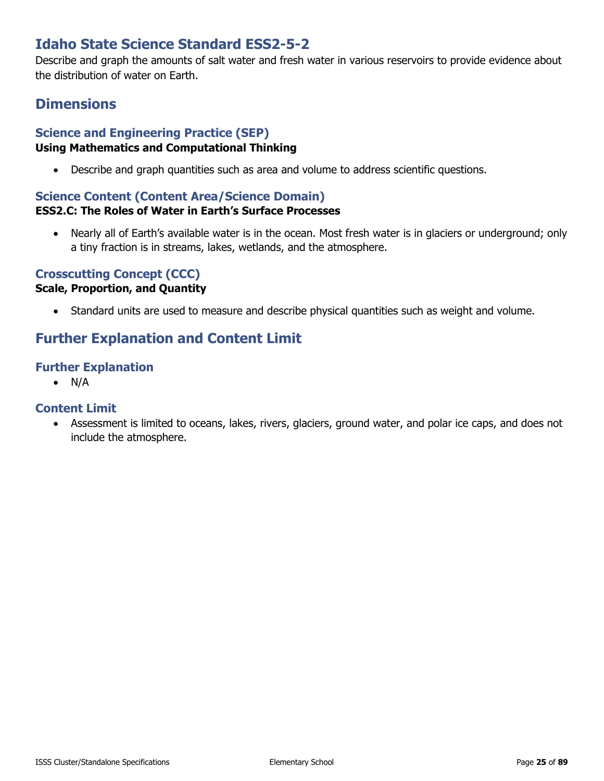# **Idaho State Science Standard ESS2-5-2**

Describe and graph the amounts of salt water and fresh water in various reservoirs to provide evidence about the distribution of water on Earth.

### **Dimensions**

### **Science and Engineering Practice (SEP)**

#### **Using Mathematics and Computational Thinking**

• Describe and graph quantities such as area and volume to address scientific questions.

#### **Science Content (Content Area/Science Domain)**

#### **ESS2.C: The Roles of Water in Earth's Surface Processes**

• Nearly all of Earth's available water is in the ocean. Most fresh water is in glaciers or underground; only a tiny fraction is in streams, lakes, wetlands, and the atmosphere.

### **Crosscutting Concept (CCC)**

#### **Scale, Proportion, and Quantity**

• Standard units are used to measure and describe physical quantities such as weight and volume.

# **Further Explanation and Content Limit**

#### **Further Explanation**

• N/A

#### **Content Limit**

• Assessment is limited to oceans, lakes, rivers, glaciers, ground water, and polar ice caps, and does not include the atmosphere.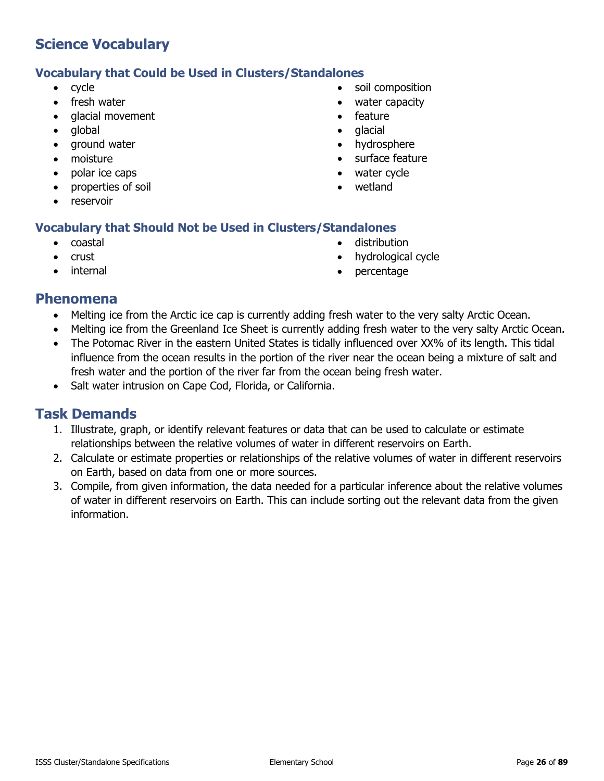#### **Vocabulary that Could be Used in Clusters/Standalones**

- cycle
- fresh water
- glacial movement
- global
- ground water
- moisture
- polar ice caps
- properties of soil
- reservoir

#### **Vocabulary that Should Not be Used in Clusters/Standalones**

- coastal
- crust
- **internal**
- soil composition
- water capacity
- feature
- glacial
- hydrosphere
- surface feature
- water cycle
- wetland
- - distribution
		- hydrological cycle
		- percentage

### **Phenomena**

- Melting ice from the Arctic ice cap is currently adding fresh water to the very salty Arctic Ocean.
- Melting ice from the Greenland Ice Sheet is currently adding fresh water to the very salty Arctic Ocean.
- The Potomac River in the eastern United States is tidally influenced over XX% of its length. This tidal influence from the ocean results in the portion of the river near the ocean being a mixture of salt and fresh water and the portion of the river far from the ocean being fresh water.
- Salt water intrusion on Cape Cod, Florida, or California.

- 1. Illustrate, graph, or identify relevant features or data that can be used to calculate or estimate relationships between the relative volumes of water in different reservoirs on Earth.
- 2. Calculate or estimate properties or relationships of the relative volumes of water in different reservoirs on Earth, based on data from one or more sources.
- 3. Compile, from given information, the data needed for a particular inference about the relative volumes of water in different reservoirs on Earth. This can include sorting out the relevant data from the given information.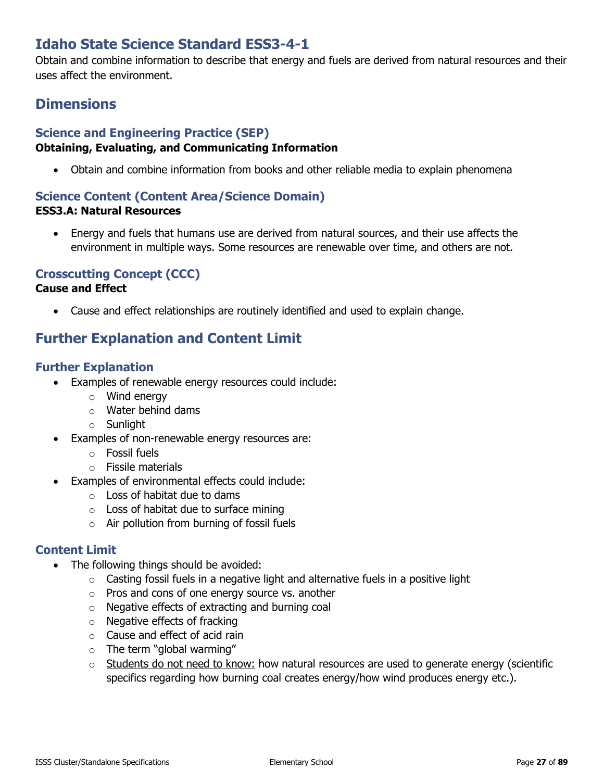# **Idaho State Science Standard ESS3-4-1**

Obtain and combine information to describe that energy and fuels are derived from natural resources and their uses affect the environment.

# **Dimensions**

### **Science and Engineering Practice (SEP)**

#### **Obtaining, Evaluating, and Communicating Information**

• Obtain and combine information from books and other reliable media to explain phenomena

### **Science Content (Content Area/Science Domain)**

#### **ESS3.A: Natural Resources**

• Energy and fuels that humans use are derived from natural sources, and their use affects the environment in multiple ways. Some resources are renewable over time, and others are not.

### **Crosscutting Concept (CCC)**

#### **Cause and Effect**

• Cause and effect relationships are routinely identified and used to explain change.

# **Further Explanation and Content Limit**

#### **Further Explanation**

- Examples of renewable energy resources could include:
	- o Wind energy
	- o Water behind dams
	- o Sunlight
- Examples of non-renewable energy resources are:
	- o Fossil fuels
	- o Fissile materials
- Examples of environmental effects could include:
	- $\circ$  Loss of habitat due to dams
	- $\circ$  Loss of habitat due to surface mining
	- o Air pollution from burning of fossil fuels

- The following things should be avoided:
	- o Casting fossil fuels in a negative light and alternative fuels in a positive light
	- o Pros and cons of one energy source vs. another
	- o Negative effects of extracting and burning coal
	- o Negative effects of fracking
	- o Cause and effect of acid rain
	- $\circ$  The term "global warming"
	- $\circ$  Students do not need to know: how natural resources are used to generate energy (scientific specifics regarding how burning coal creates energy/how wind produces energy etc.).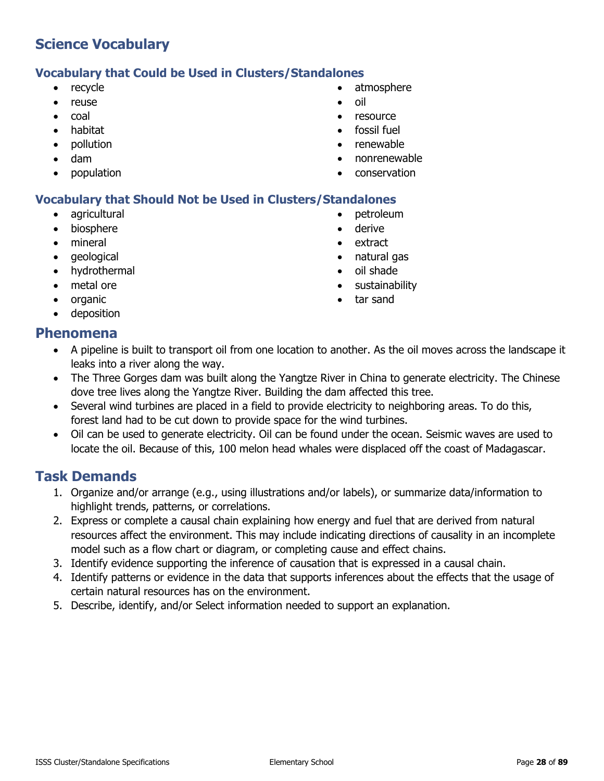#### **Vocabulary that Could be Used in Clusters/Standalones**

- recycle
- reuse
- coal
- habitat
- pollution
- dam
- population
- atmosphere
- oil
- resource
- fossil fuel
- renewable
- nonrenewable
- conservation

#### **Vocabulary that Should Not be Used in Clusters/Standalones**

- agricultural
- **biosphere**
- mineral
- geological
- hydrothermal
- metal ore
- organic
- deposition
- derive • extract
- natural gas

• petroleum

- oil shade
- sustainability
- tar sand

### **Phenomena**

- A pipeline is built to transport oil from one location to another. As the oil moves across the landscape it leaks into a river along the way.
- The Three Gorges dam was built along the Yangtze River in China to generate electricity. The Chinese dove tree lives along the Yangtze River. Building the dam affected this tree.
- Several wind turbines are placed in a field to provide electricity to neighboring areas. To do this, forest land had to be cut down to provide space for the wind turbines.
- Oil can be used to generate electricity. Oil can be found under the ocean. Seismic waves are used to locate the oil. Because of this, 100 melon head whales were displaced off the coast of Madagascar.

- 1. Organize and/or arrange (e.g., using illustrations and/or labels), or summarize data/information to highlight trends, patterns, or correlations.
- 2. Express or complete a causal chain explaining how energy and fuel that are derived from natural resources affect the environment. This may include indicating directions of causality in an incomplete model such as a flow chart or diagram, or completing cause and effect chains.
- 3. Identify evidence supporting the inference of causation that is expressed in a causal chain.
- 4. Identify patterns or evidence in the data that supports inferences about the effects that the usage of certain natural resources has on the environment.
- 5. Describe, identify, and/or Select information needed to support an explanation.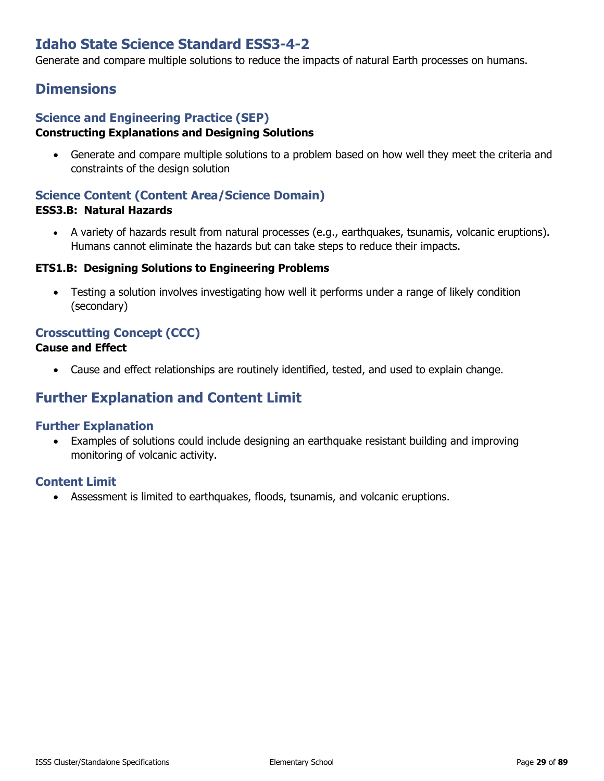# **Idaho State Science Standard ESS3-4-2**

Generate and compare multiple solutions to reduce the impacts of natural Earth processes on humans.

### **Dimensions**

#### **Science and Engineering Practice (SEP) Constructing Explanations and Designing Solutions**

• Generate and compare multiple solutions to a problem based on how well they meet the criteria and constraints of the design solution

#### **Science Content (Content Area/Science Domain) ESS3.B: Natural Hazards**

• A variety of hazards result from natural processes (e.g., earthquakes, tsunamis, volcanic eruptions). Humans cannot eliminate the hazards but can take steps to reduce their impacts.

#### **ETS1.B: Designing Solutions to Engineering Problems**

• Testing a solution involves investigating how well it performs under a range of likely condition (secondary)

### **Crosscutting Concept (CCC)**

#### **Cause and Effect**

• Cause and effect relationships are routinely identified, tested, and used to explain change.

### **Further Explanation and Content Limit**

#### **Further Explanation**

• Examples of solutions could include designing an earthquake resistant building and improving monitoring of volcanic activity.

#### **Content Limit**

• Assessment is limited to earthquakes, floods, tsunamis, and volcanic eruptions.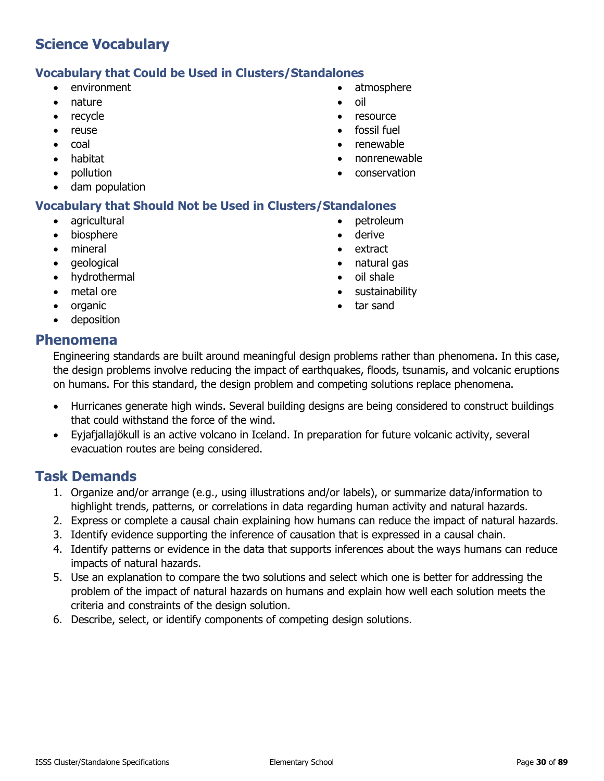#### **Vocabulary that Could be Used in Clusters/Standalones**

- environment
- nature
- recycle
- reuse
- coal
- habitat
- pollution
- dam population

#### **Vocabulary that Should Not be Used in Clusters/Standalones**

- agricultural
- biosphere
- mineral
- geological
- hydrothermal
- metal ore
- organic
- deposition

• petroleum

• atmosphere

• oil

• resource fossil fuel • renewable • nonrenewable • conservation

- derive
- extract
- natural gas
- oil shale
- sustainability
- tar sand

#### **Phenomena**

Engineering standards are built around meaningful design problems rather than phenomena. In this case, the design problems involve reducing the impact of earthquakes, floods, tsunamis, and volcanic eruptions on humans. For this standard, the design problem and competing solutions replace phenomena.

- Hurricanes generate high winds. Several building designs are being considered to construct buildings that could withstand the force of the wind.
- Eyjafjallajökull is an active volcano in Iceland. In preparation for future volcanic activity, several evacuation routes are being considered.

- 1. Organize and/or arrange (e.g., using illustrations and/or labels), or summarize data/information to highlight trends, patterns, or correlations in data regarding human activity and natural hazards.
- 2. Express or complete a causal chain explaining how humans can reduce the impact of natural hazards.
- 3. Identify evidence supporting the inference of causation that is expressed in a causal chain.
- 4. Identify patterns or evidence in the data that supports inferences about the ways humans can reduce impacts of natural hazards.
- 5. Use an explanation to compare the two solutions and select which one is better for addressing the problem of the impact of natural hazards on humans and explain how well each solution meets the criteria and constraints of the design solution.
- 6. Describe, select, or identify components of competing design solutions.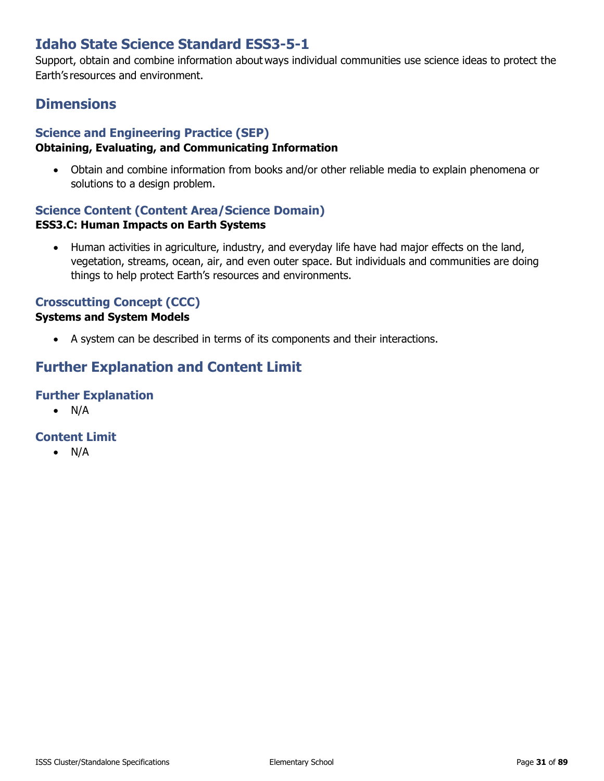# **Idaho State Science Standard ESS3-5-1**

Support, obtain and combine information about ways individual communities use science ideas to protect the Earth's resources and environment.

## **Dimensions**

### **Science and Engineering Practice (SEP)**

#### **Obtaining, Evaluating, and Communicating Information**

• Obtain and combine information from books and/or other reliable media to explain phenomena or solutions to a design problem.

### **Science Content (Content Area/Science Domain) ESS3.C: Human Impacts on Earth Systems**

• Human activities in agriculture, industry, and everyday life have had major effects on the land, vegetation, streams, ocean, air, and even outer space. But individuals and communities are doing things to help protect Earth's resources and environments.

### **Crosscutting Concept (CCC)**

#### **Systems and System Models**

• A system can be described in terms of its components and their interactions.

# **Further Explanation and Content Limit**

### **Further Explanation**

 $\bullet$  N/A

### **Content Limit**

• N/A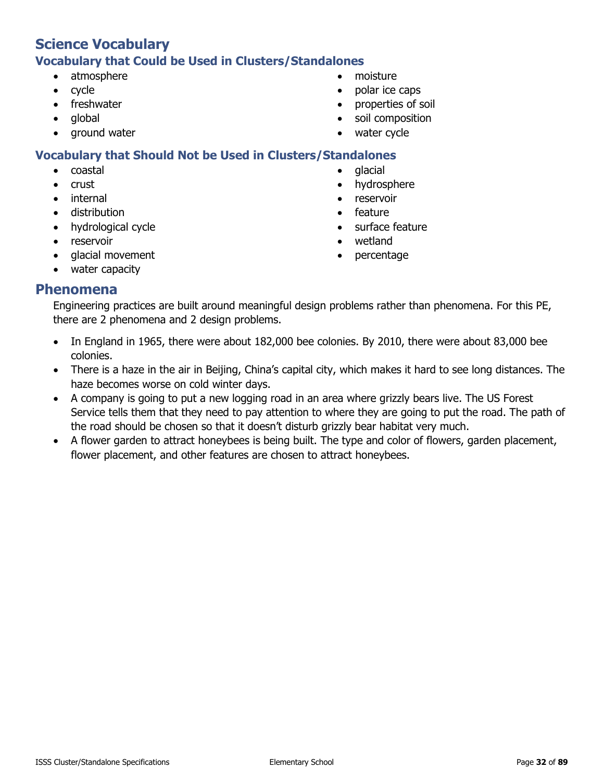#### **Vocabulary that Could be Used in Clusters/Standalones**

- atmosphere
- cycle
- freshwater
- global
- ground water
- moisture
- polar ice caps
- properties of soil
- soil composition
- water cycle

### **Vocabulary that Should Not be Used in Clusters/Standalones**

- coastal
- crust
- internal
- distribution
- hydrological cycle
- reservoir
- glacial movement
- water capacity
- **Phenomena**

Engineering practices are built around meaningful design problems rather than phenomena. For this PE, there are 2 phenomena and 2 design problems.

- In England in 1965, there were about 182,000 bee colonies. By 2010, there were about 83,000 bee colonies.
- There is a haze in the air in Beijing, China's capital city, which makes it hard to see long distances. The haze becomes worse on cold winter days.
- A company is going to put a new logging road in an area where grizzly bears live. The US Forest Service tells them that they need to pay attention to where they are going to put the road. The path of the road should be chosen so that it doesn't disturb grizzly bear habitat very much.
- A flower garden to attract honeybees is being built. The type and color of flowers, garden placement, flower placement, and other features are chosen to attract honeybees.
- glacial
	- hydrosphere
	- reservoir
	- feature
	- surface feature
	- wetland
	- percentage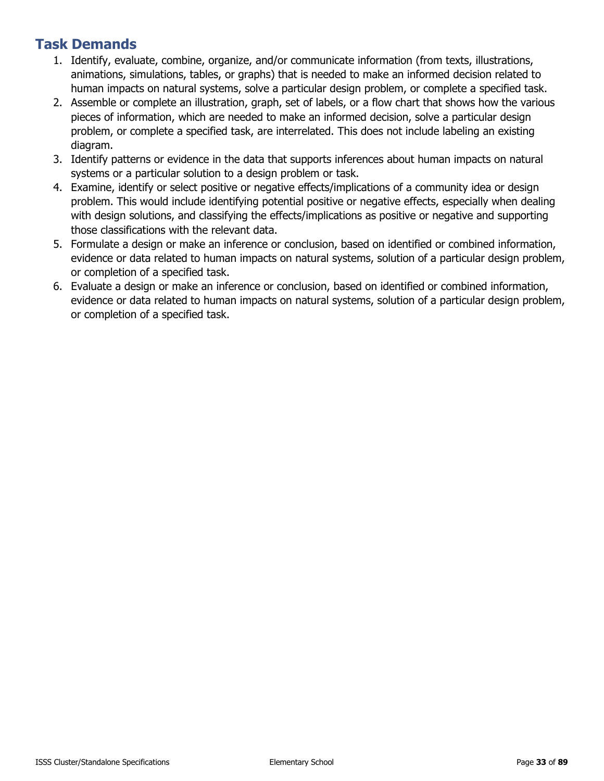- 1. Identify, evaluate, combine, organize, and/or communicate information (from texts, illustrations, animations, simulations, tables, or graphs) that is needed to make an informed decision related to human impacts on natural systems, solve a particular design problem, or complete a specified task.
- 2. Assemble or complete an illustration, graph, set of labels, or a flow chart that shows how the various pieces of information, which are needed to make an informed decision, solve a particular design problem, or complete a specified task, are interrelated. This does not include labeling an existing diagram.
- 3. Identify patterns or evidence in the data that supports inferences about human impacts on natural systems or a particular solution to a design problem or task.
- 4. Examine, identify or select positive or negative effects/implications of a community idea or design problem. This would include identifying potential positive or negative effects, especially when dealing with design solutions, and classifying the effects/implications as positive or negative and supporting those classifications with the relevant data.
- 5. Formulate a design or make an inference or conclusion, based on identified or combined information, evidence or data related to human impacts on natural systems, solution of a particular design problem, or completion of a specified task.
- 6. Evaluate a design or make an inference or conclusion, based on identified or combined information, evidence or data related to human impacts on natural systems, solution of a particular design problem, or completion of a specified task.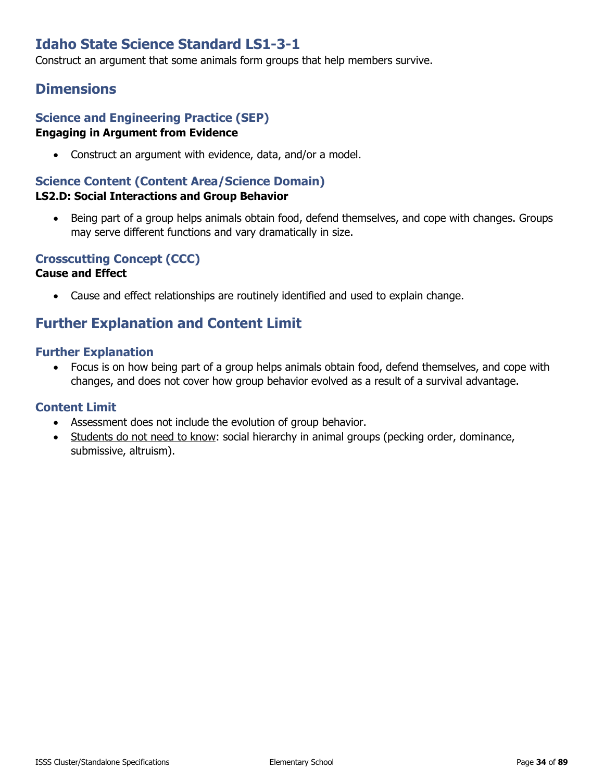# **Idaho State Science Standard LS1-3-1**

Construct an argument that some animals form groups that help members survive.

### **Dimensions**

#### **Science and Engineering Practice (SEP) Engaging in Argument from Evidence**

• Construct an argument with evidence, data, and/or a model.

### **Science Content (Content Area/Science Domain)**

#### **LS2.D: Social Interactions and Group Behavior**

• Being part of a group helps animals obtain food, defend themselves, and cope with changes. Groups may serve different functions and vary dramatically in size.

#### **Crosscutting Concept (CCC)**

#### **Cause and Effect**

• Cause and effect relationships are routinely identified and used to explain change.

### **Further Explanation and Content Limit**

#### **Further Explanation**

• Focus is on how being part of a group helps animals obtain food, defend themselves, and cope with changes, and does not cover how group behavior evolved as a result of a survival advantage.

- Assessment does not include the evolution of group behavior.
- Students do not need to know: social hierarchy in animal groups (pecking order, dominance, submissive, altruism).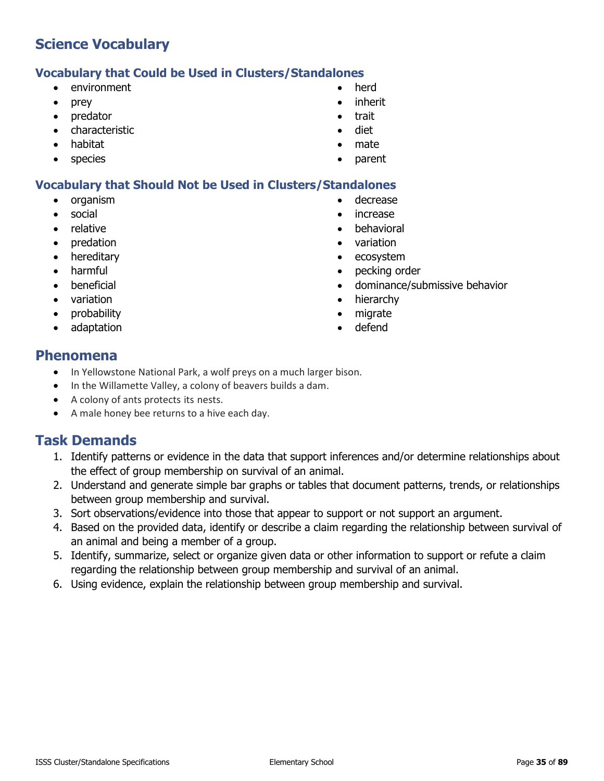### **Vocabulary that Could be Used in Clusters/Standalones**

- environment
- prey
- predator
- characteristic
- habitat
- species
- herd
- inherit
- trait
- diet
- mate
- parent

### **Vocabulary that Should Not be Used in Clusters/Standalones**

- organism
- social
- relative
- predation
- hereditary
- harmful
- beneficial
- variation
- probability
- adaptation
- decrease
- increase
- behavioral
- variation
- ecosystem
- pecking order
- dominance/submissive behavior
- hierarchy
- migrate
- defend

### **Phenomena**

- In Yellowstone National Park, a wolf preys on a much larger bison.
- In the Willamette Valley, a colony of beavers builds a dam.
- A colony of ants protects its nests.
- A male honey bee returns to a hive each day.

- 1. Identify patterns or evidence in the data that support inferences and/or determine relationships about the effect of group membership on survival of an animal.
- 2. Understand and generate simple bar graphs or tables that document patterns, trends, or relationships between group membership and survival.
- 3. Sort observations/evidence into those that appear to support or not support an argument.
- 4. Based on the provided data, identify or describe a claim regarding the relationship between survival of an animal and being a member of a group.
- 5. Identify, summarize, select or organize given data or other information to support or refute a claim regarding the relationship between group membership and survival of an animal.
- 6. Using evidence, explain the relationship between group membership and survival.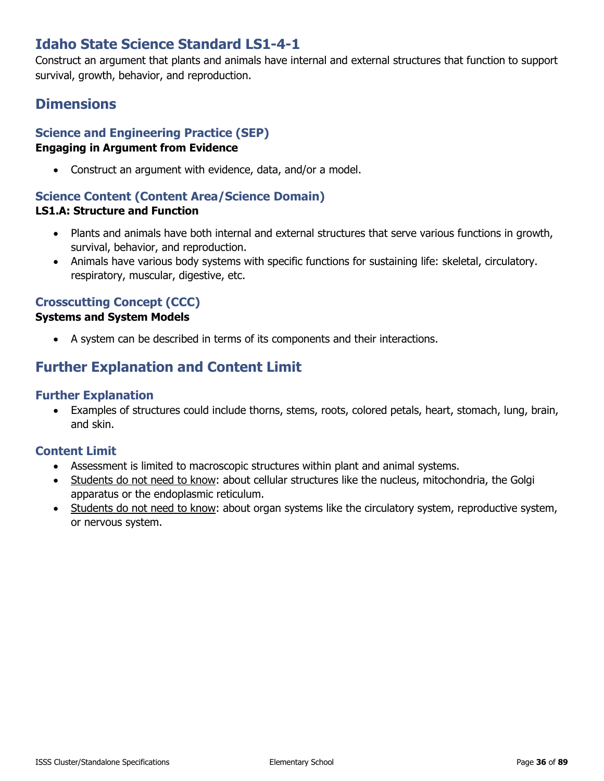# **Idaho State Science Standard LS1-4-1**

Construct an argument that plants and animals have internal and external structures that function to support survival, growth, behavior, and reproduction.

# **Dimensions**

# **Science and Engineering Practice (SEP)**

#### **Engaging in Argument from Evidence**

• Construct an argument with evidence, data, and/or a model.

#### **Science Content (Content Area/Science Domain)**

#### **LS1.A: Structure and Function**

- Plants and animals have both internal and external structures that serve various functions in growth, survival, behavior, and reproduction.
- Animals have various body systems with specific functions for sustaining life: skeletal, circulatory. respiratory, muscular, digestive, etc.

### **Crosscutting Concept (CCC)**

#### **Systems and System Models**

• A system can be described in terms of its components and their interactions.

# **Further Explanation and Content Limit**

#### **Further Explanation**

• Examples of structures could include thorns, stems, roots, colored petals, heart, stomach, lung, brain, and skin.

- Assessment is limited to macroscopic structures within plant and animal systems.
- Students do not need to know: about cellular structures like the nucleus, mitochondria, the Golgi apparatus or the endoplasmic reticulum.
- Students do not need to know: about organ systems like the circulatory system, reproductive system, or nervous system.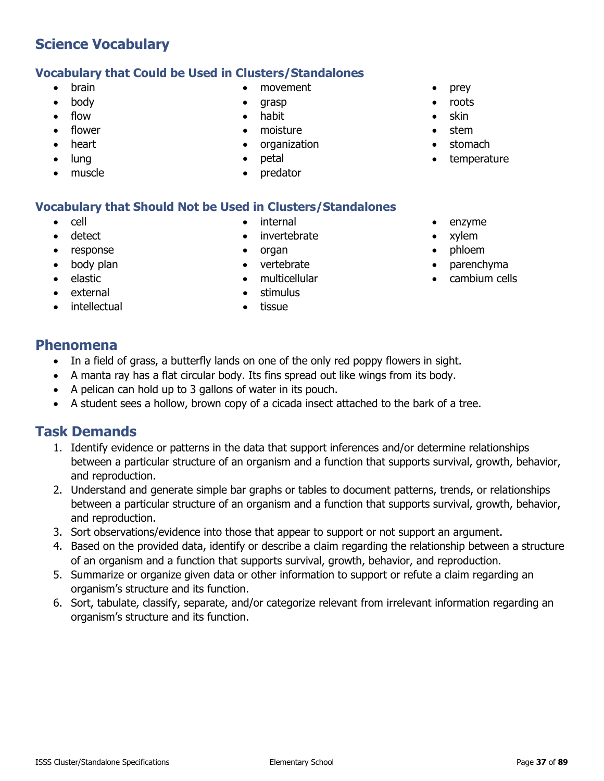## **Vocabulary that Could be Used in Clusters/Standalones**

- brain
- body
- flow
- flower
- heart
- lung
- muscle
- movement
- grasp
- habit
- moisture
- organization
- petal
- predator

## **Vocabulary that Should Not be Used in Clusters/Standalones**

- cell
- detect
- response
- body plan
- elastic
- external
- **intellectual**
- internal
- invertebrate
- organ
- vertebrate
- multicellular
- stimulus
- tissue
- prey
- roots
- skin
- stem
- stomach
- temperature
- enzyme
- xylem
- phloem
- parenchyma
- cambium cells

## **Phenomena**

- In a field of grass, a butterfly lands on one of the only red poppy flowers in sight.
- A manta ray has a flat circular body. Its fins spread out like wings from its body.
- A pelican can hold up to 3 gallons of water in its pouch.
- A student sees a hollow, brown copy of a cicada insect attached to the bark of a tree.

- 1. Identify evidence or patterns in the data that support inferences and/or determine relationships between a particular structure of an organism and a function that supports survival, growth, behavior, and reproduction.
- 2. Understand and generate simple bar graphs or tables to document patterns, trends, or relationships between a particular structure of an organism and a function that supports survival, growth, behavior, and reproduction.
- 3. Sort observations/evidence into those that appear to support or not support an argument.
- 4. Based on the provided data, identify or describe a claim regarding the relationship between a structure of an organism and a function that supports survival, growth, behavior, and reproduction.
- 5. Summarize or organize given data or other information to support or refute a claim regarding an organism's structure and its function.
- 6. Sort, tabulate, classify, separate, and/or categorize relevant from irrelevant information regarding an organism's structure and its function.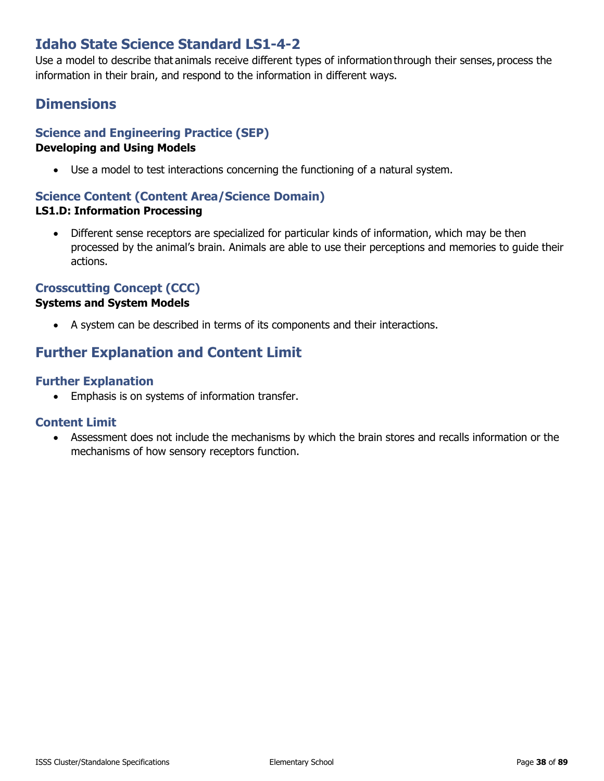## **Idaho State Science Standard LS1-4-2**

Use a model to describe that animals receive different types of information through their senses, process the information in their brain, and respond to the information in different ways.

## **Dimensions**

#### **Science and Engineering Practice (SEP)**

#### **Developing and Using Models**

• Use a model to test interactions concerning the functioning of a natural system.

#### **Science Content (Content Area/Science Domain)**

#### **LS1.D: Information Processing**

• Different sense receptors are specialized for particular kinds of information, which may be then processed by the animal's brain. Animals are able to use their perceptions and memories to guide their actions.

#### **Crosscutting Concept (CCC)**

#### **Systems and System Models**

• A system can be described in terms of its components and their interactions.

## **Further Explanation and Content Limit**

#### **Further Explanation**

• Emphasis is on systems of information transfer.

#### **Content Limit**

• Assessment does not include the mechanisms by which the brain stores and recalls information or the mechanisms of how sensory receptors function.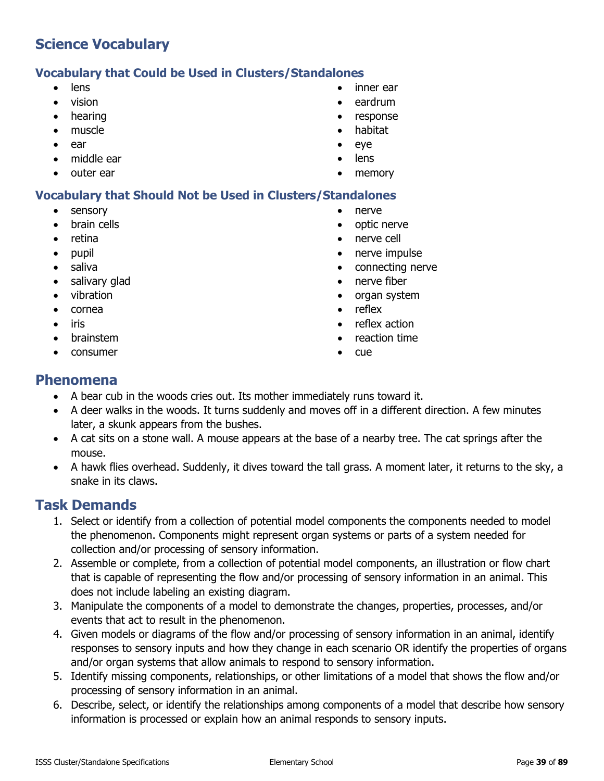#### **Vocabulary that Could be Used in Clusters/Standalones**

- lens
- vision
- hearing
- muscle
- ear
- middle ear
- outer ear

#### **Vocabulary that Should Not be Used in Clusters/Standalones**

- sensory
- brain cells
- retina
- pupil
- saliva
- salivary glad
- vibration
- cornea
- iris
- brainstem
- consumer
- inner ear
- eardrum
- response
- habitat
- eye
- lens
- memory
- nerve
- optic nerve
- nerve cell
- nerve impulse
- connecting nerve
- nerve fiber
- organ system
- reflex
- reflex action
- reaction time
- cue

#### **Phenomena**

- A bear cub in the woods cries out. Its mother immediately runs toward it.
- A deer walks in the woods. It turns suddenly and moves off in a different direction. A few minutes later, a skunk appears from the bushes.
- A cat sits on a stone wall. A mouse appears at the base of a nearby tree. The cat springs after the mouse.
- A hawk flies overhead. Suddenly, it dives toward the tall grass. A moment later, it returns to the sky, a snake in its claws.

- 1. Select or identify from a collection of potential model components the components needed to model the phenomenon. Components might represent organ systems or parts of a system needed for collection and/or processing of sensory information.
- 2. Assemble or complete, from a collection of potential model components, an illustration or flow chart that is capable of representing the flow and/or processing of sensory information in an animal. This does not include labeling an existing diagram.
- 3. Manipulate the components of a model to demonstrate the changes, properties, processes, and/or events that act to result in the phenomenon.
- 4. Given models or diagrams of the flow and/or processing of sensory information in an animal, identify responses to sensory inputs and how they change in each scenario OR identify the properties of organs and/or organ systems that allow animals to respond to sensory information.
- 5. Identify missing components, relationships, or other limitations of a model that shows the flow and/or processing of sensory information in an animal.
- 6. Describe, select, or identify the relationships among components of a model that describe how sensory information is processed or explain how an animal responds to sensory inputs.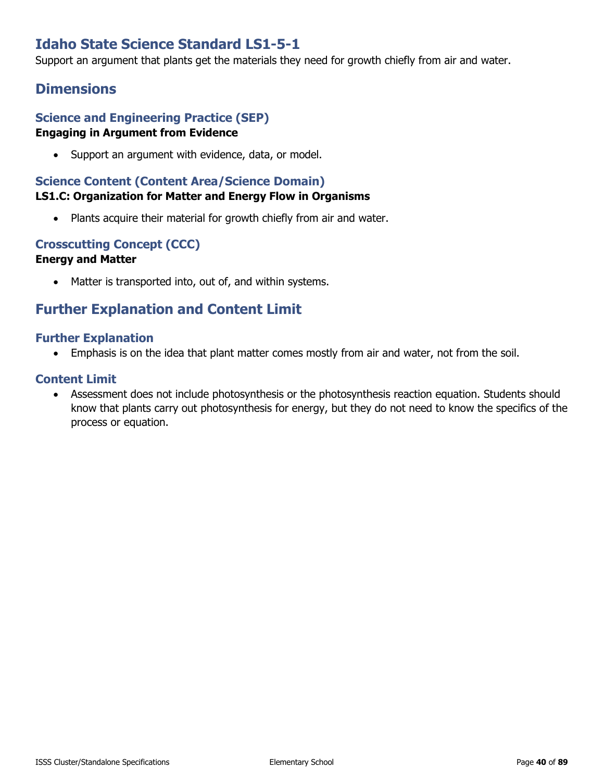## **Idaho State Science Standard LS1-5-1**

Support an argument that plants get the materials they need for growth chiefly from air and water.

## **Dimensions**

#### **Science and Engineering Practice (SEP) Engaging in Argument from Evidence**

• Support an argument with evidence, data, or model.

#### **Science Content (Content Area/Science Domain) LS1.C: Organization for Matter and Energy Flow in Organisms**

• Plants acquire their material for growth chiefly from air and water.

## **Crosscutting Concept (CCC)**

#### **Energy and Matter**

• Matter is transported into, out of, and within systems.

## **Further Explanation and Content Limit**

#### **Further Explanation**

• Emphasis is on the idea that plant matter comes mostly from air and water, not from the soil.

#### **Content Limit**

• Assessment does not include photosynthesis or the photosynthesis reaction equation. Students should know that plants carry out photosynthesis for energy, but they do not need to know the specifics of the process or equation.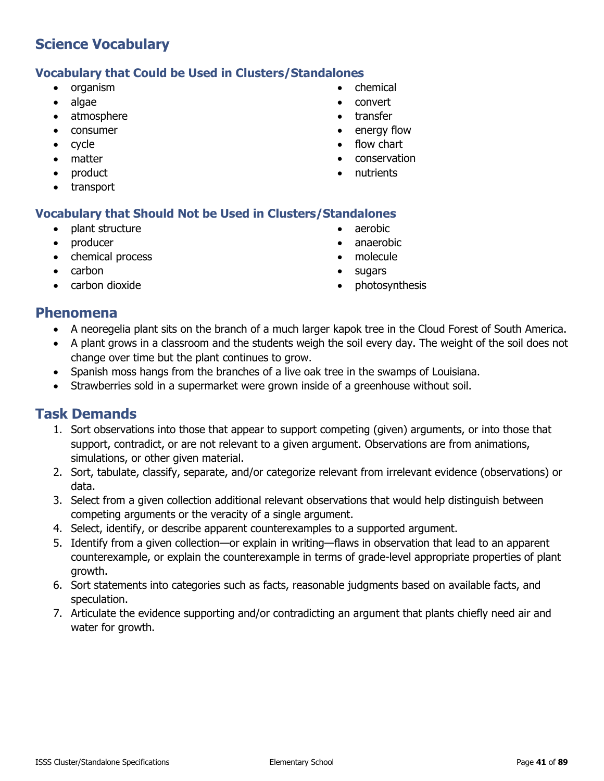#### **Vocabulary that Could be Used in Clusters/Standalones**

- organism
- algae
- atmosphere
- consumer
- cycle
- matter
- product
- transport
- chemical
- convert
- transfer
- energy flow
- flow chart
- conservation
- nutrients

#### **Vocabulary that Should Not be Used in Clusters/Standalones**

- plant structure
- producer
- chemical process
- carbon
- carbon dioxide
- aerobic
- anaerobic
- molecule
- sugars
- photosynthesis

#### **Phenomena**

- A neoregelia plant sits on the branch of a much larger kapok tree in the Cloud Forest of South America.
- A plant grows in a classroom and the students weigh the soil every day. The weight of the soil does not change over time but the plant continues to grow.
- Spanish moss hangs from the branches of a live oak tree in the swamps of Louisiana.
- Strawberries sold in a supermarket were grown inside of a greenhouse without soil.

- 1. Sort observations into those that appear to support competing (given) arguments, or into those that support, contradict, or are not relevant to a given argument. Observations are from animations, simulations, or other given material.
- 2. Sort, tabulate, classify, separate, and/or categorize relevant from irrelevant evidence (observations) or data.
- 3. Select from a given collection additional relevant observations that would help distinguish between competing arguments or the veracity of a single argument.
- 4. Select, identify, or describe apparent counterexamples to a supported argument.
- 5. Identify from a given collection—or explain in writing—flaws in observation that lead to an apparent counterexample, or explain the counterexample in terms of grade-level appropriate properties of plant growth.
- 6. Sort statements into categories such as facts, reasonable judgments based on available facts, and speculation.
- 7. Articulate the evidence supporting and/or contradicting an argument that plants chiefly need air and water for growth.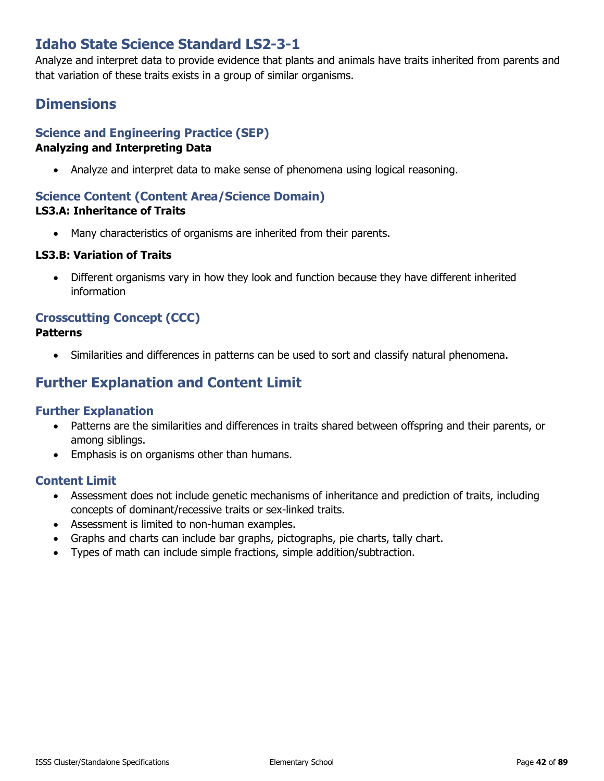## **Idaho State Science Standard LS2-3-1**

Analyze and interpret data to provide evidence that plants and animals have traits inherited from parents and that variation of these traits exists in a group of similar organisms.

## **Dimensions**

## **Science and Engineering Practice (SEP)**

#### **Analyzing and Interpreting Data**

• Analyze and interpret data to make sense of phenomena using logical reasoning.

## **Science Content (Content Area/Science Domain)**

#### **LS3.A: Inheritance of Traits**

• Many characteristics of organisms are inherited from their parents.

#### **LS3.B: Variation of Traits**

• Different organisms vary in how they look and function because they have different inherited information

# **Crosscutting Concept (CCC)**

#### **Patterns**

• Similarities and differences in patterns can be used to sort and classify natural phenomena.

## **Further Explanation and Content Limit**

#### **Further Explanation**

- Patterns are the similarities and differences in traits shared between offspring and their parents, or among siblings.
- Emphasis is on organisms other than humans.

- Assessment does not include genetic mechanisms of inheritance and prediction of traits, including concepts of dominant/recessive traits or sex-linked traits.
- Assessment is limited to non-human examples.
- Graphs and charts can include bar graphs, pictographs, pie charts, tally chart.
- Types of math can include simple fractions, simple addition/subtraction.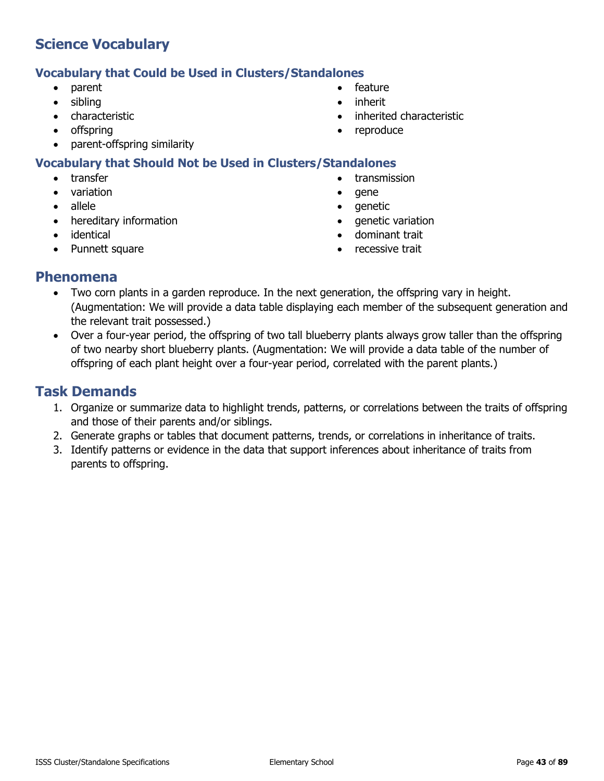#### **Vocabulary that Could be Used in Clusters/Standalones**

- parent
- sibling
- characteristic
- offspring
- parent-offspring similarity

- **transfer**
- variation
- allele
- hereditary information
- identical
- Punnett square
- feature
- inherit
- inherited characteristic
- reproduce
- **Vocabulary that Should Not be Used in Clusters/Standalones**
	-
	-
	-
	-
	-
	-
- 
- transmission
- gene
- genetic
- genetic variation
- dominant trait
- recessive trait

#### **Phenomena**

- Two corn plants in a garden reproduce. In the next generation, the offspring vary in height. (Augmentation: We will provide a data table displaying each member of the subsequent generation and the relevant trait possessed.)
- Over a four-year period, the offspring of two tall blueberry plants always grow taller than the offspring of two nearby short blueberry plants. (Augmentation: We will provide a data table of the number of offspring of each plant height over a four-year period, correlated with the parent plants.)

- 1. Organize or summarize data to highlight trends, patterns, or correlations between the traits of offspring and those of their parents and/or siblings.
- 2. Generate graphs or tables that document patterns, trends, or correlations in inheritance of traits.
- 3. Identify patterns or evidence in the data that support inferences about inheritance of traits from parents to offspring.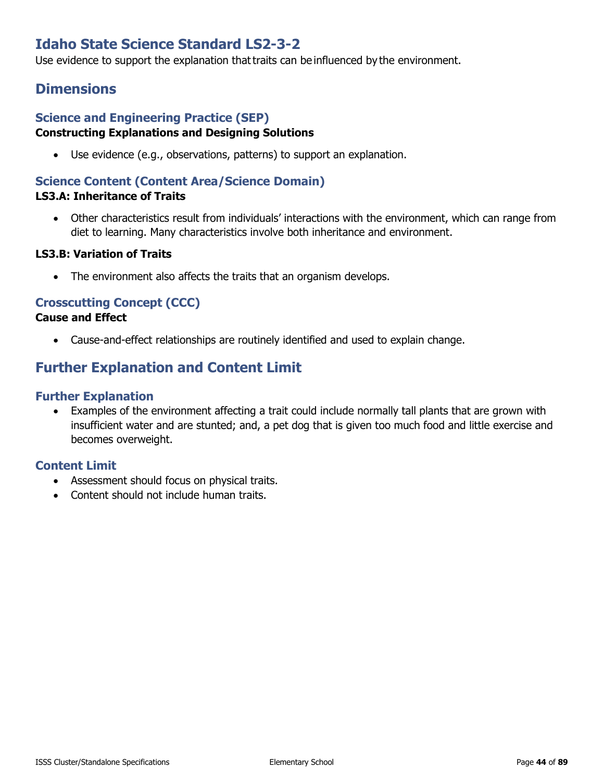## **Idaho State Science Standard LS2-3-2**

Use evidence to support the explanation that traits can be influenced by the environment.

## **Dimensions**

#### **Science and Engineering Practice (SEP) Constructing Explanations and Designing Solutions**

• Use evidence (e.g., observations, patterns) to support an explanation.

#### **Science Content (Content Area/Science Domain) LS3.A: Inheritance of Traits**

• Other characteristics result from individuals' interactions with the environment, which can range from diet to learning. Many characteristics involve both inheritance and environment.

#### **LS3.B: Variation of Traits**

• The environment also affects the traits that an organism develops.

#### **Crosscutting Concept (CCC)**

#### **Cause and Effect**

• Cause-and-effect relationships are routinely identified and used to explain change.

## **Further Explanation and Content Limit**

#### **Further Explanation**

• Examples of the environment affecting a trait could include normally tall plants that are grown with insufficient water and are stunted; and, a pet dog that is given too much food and little exercise and becomes overweight.

- Assessment should focus on physical traits.
- Content should not include human traits.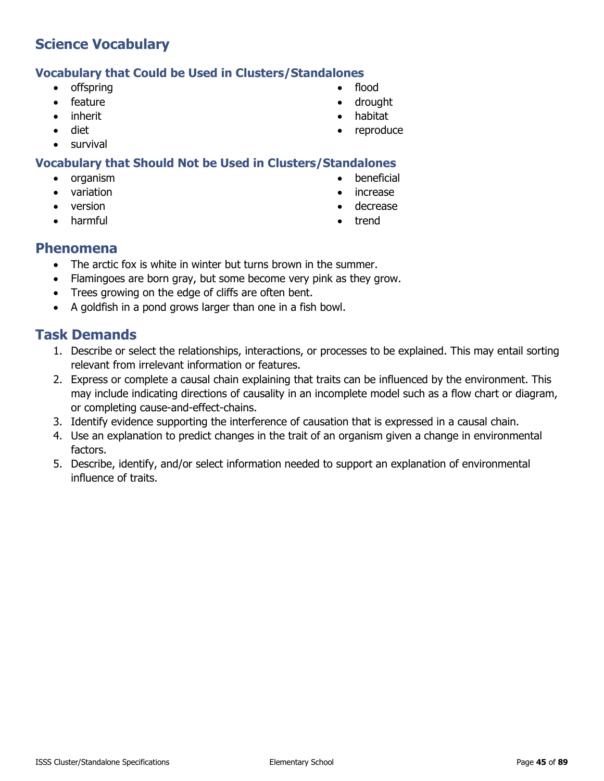## **Vocabulary that Could be Used in Clusters/Standalones**

- offspring
- feature
- inherit
- diet
- survival

## **Vocabulary that Should Not be Used in Clusters/Standalones**

- organism
- variation
- version
- harmful
- flood
- drought
- habitat
- reproduce
- - beneficial
	- increase
	- decrease
	- trend

#### **Phenomena**

- The arctic fox is white in winter but turns brown in the summer.
- Flamingoes are born gray, but some become very pink as they grow.
- Trees growing on the edge of cliffs are often bent.
- A goldfish in a pond grows larger than one in a fish bowl.

- 1. Describe or select the relationships, interactions, or processes to be explained. This may entail sorting relevant from irrelevant information or features.
- 2. Express or complete a causal chain explaining that traits can be influenced by the environment. This may include indicating directions of causality in an incomplete model such as a flow chart or diagram, or completing cause-and-effect-chains.
- 3. Identify evidence supporting the interference of causation that is expressed in a causal chain.
- 4. Use an explanation to predict changes in the trait of an organism given a change in environmental factors.
- 5. Describe, identify, and/or select information needed to support an explanation of environmental influence of traits.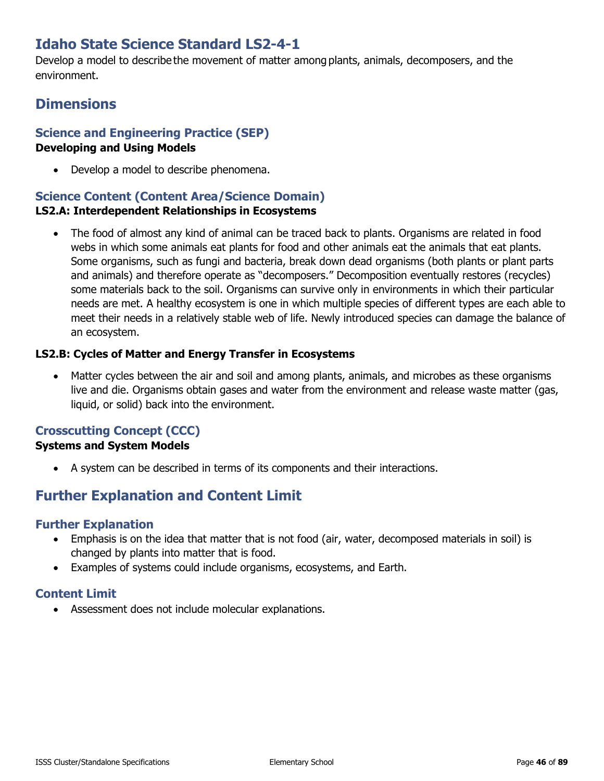## **Idaho State Science Standard LS2-4-1**

Develop a model to describe the movement of matter among plants, animals, decomposers, and the environment.

## **Dimensions**

## **Science and Engineering Practice (SEP)**

#### **Developing and Using Models**

• Develop a model to describe phenomena.

## **Science Content (Content Area/Science Domain)**

#### **LS2.A: Interdependent Relationships in Ecosystems**

• The food of almost any kind of animal can be traced back to plants. Organisms are related in food webs in which some animals eat plants for food and other animals eat the animals that eat plants. Some organisms, such as fungi and bacteria, break down dead organisms (both plants or plant parts and animals) and therefore operate as "decomposers." Decomposition eventually restores (recycles) some materials back to the soil. Organisms can survive only in environments in which their particular needs are met. A healthy ecosystem is one in which multiple species of different types are each able to meet their needs in a relatively stable web of life. Newly introduced species can damage the balance of an ecosystem.

#### **LS2.B: Cycles of Matter and Energy Transfer in Ecosystems**

• Matter cycles between the air and soil and among plants, animals, and microbes as these organisms live and die. Organisms obtain gases and water from the environment and release waste matter (gas, liquid, or solid) back into the environment.

#### **Crosscutting Concept (CCC)**

#### **Systems and System Models**

• A system can be described in terms of its components and their interactions.

## **Further Explanation and Content Limit**

#### **Further Explanation**

- Emphasis is on the idea that matter that is not food (air, water, decomposed materials in soil) is changed by plants into matter that is food.
- Examples of systems could include organisms, ecosystems, and Earth.

## **Content Limit**

• Assessment does not include molecular explanations.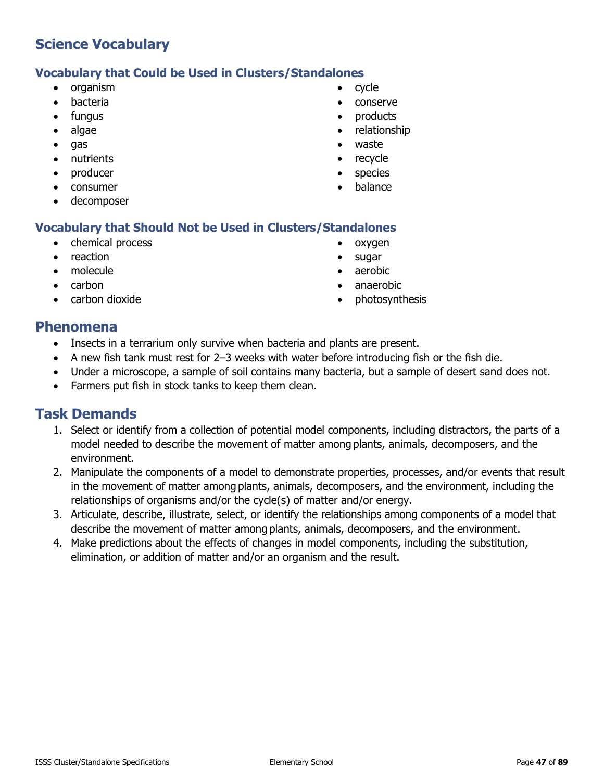## **Vocabulary that Could be Used in Clusters/Standalones**

- organism
- bacteria
- fungus
- algae
- gas
- nutrients
- producer
- consumer
- decomposer

## **Vocabulary that Should Not be Used in Clusters/Standalones**

- chemical process
- reaction
- molecule
- carbon
- carbon dioxide
- cycle
- conserve
- products
- relationship
- waste
- recycle
- species
- balance
- oxygen
- sugar
- aerobic
- anaerobic
- photosynthesis

### **Phenomena**

- Insects in a terrarium only survive when bacteria and plants are present.
- A new fish tank must rest for 2–3 weeks with water before introducing fish or the fish die.
- Under a microscope, a sample of soil contains many bacteria, but a sample of desert sand does not.
- Farmers put fish in stock tanks to keep them clean.

- 1. Select or identify from a collection of potential model components, including distractors, the parts of a model needed to describe the movement of matter among plants, animals, decomposers, and the environment.
- 2. Manipulate the components of a model to demonstrate properties, processes, and/or events that result in the movement of matter among plants, animals, decomposers, and the environment, including the relationships of organisms and/or the cycle(s) of matter and/or energy.
- 3. Articulate, describe, illustrate, select, or identify the relationships among components of a model that describe the movement of matter among plants, animals, decomposers, and the environment.
- 4. Make predictions about the effects of changes in model components, including the substitution, elimination, or addition of matter and/or an organism and the result.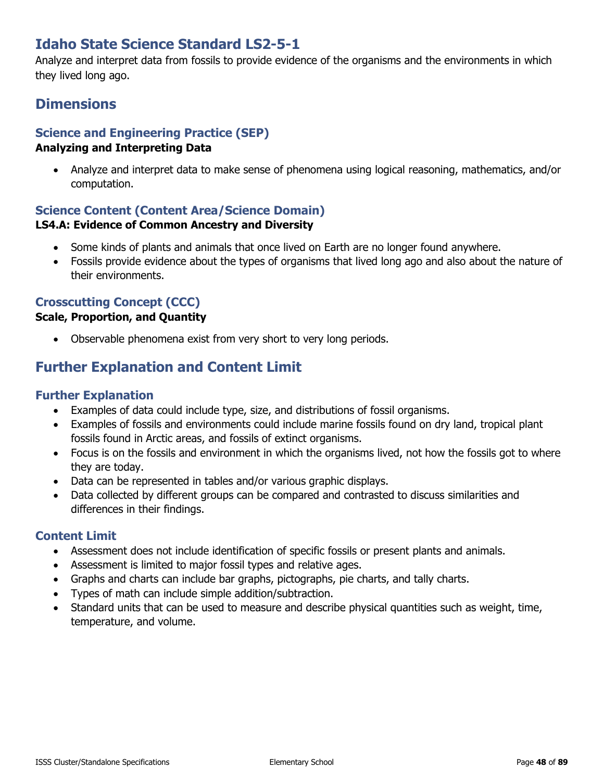## **Idaho State Science Standard LS2-5-1**

Analyze and interpret data from fossils to provide evidence of the organisms and the environments in which they lived long ago.

## **Dimensions**

## **Science and Engineering Practice (SEP)**

#### **Analyzing and Interpreting Data**

• Analyze and interpret data to make sense of phenomena using logical reasoning, mathematics, and/or computation.

## **Science Content (Content Area/Science Domain)**

#### **LS4.A: Evidence of Common Ancestry and Diversity**

- Some kinds of plants and animals that once lived on Earth are no longer found anywhere.
- Fossils provide evidence about the types of organisms that lived long ago and also about the nature of their environments.

### **Crosscutting Concept (CCC)**

#### **Scale, Proportion, and Quantity**

• Observable phenomena exist from very short to very long periods.

## **Further Explanation and Content Limit**

#### **Further Explanation**

- Examples of data could include type, size, and distributions of fossil organisms.
- Examples of fossils and environments could include marine fossils found on dry land, tropical plant fossils found in Arctic areas, and fossils of extinct organisms.
- Focus is on the fossils and environment in which the organisms lived, not how the fossils got to where they are today.
- Data can be represented in tables and/or various graphic displays.
- Data collected by different groups can be compared and contrasted to discuss similarities and differences in their findings.

- Assessment does not include identification of specific fossils or present plants and animals.
- Assessment is limited to major fossil types and relative ages.
- Graphs and charts can include bar graphs, pictographs, pie charts, and tally charts.
- Types of math can include simple addition/subtraction.
- Standard units that can be used to measure and describe physical quantities such as weight, time, temperature, and volume.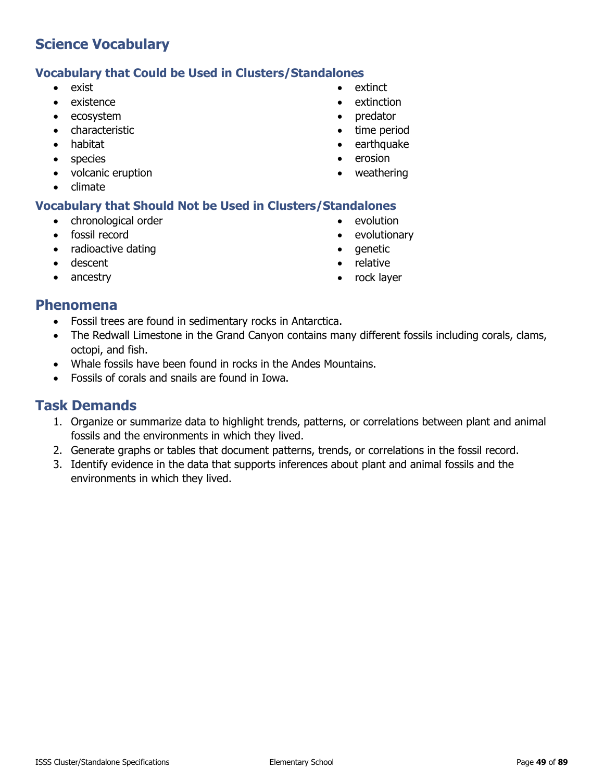#### **Vocabulary that Could be Used in Clusters/Standalones**

- exist
- existence
- ecosystem
- characteristic
- habitat
- species
- volcanic eruption
- climate

#### **Vocabulary that Should Not be Used in Clusters/Standalones**

- chronological order
- fossil record
- radioactive dating
- descent
- ancestry
- extinct
- extinction
- predator
- time period
- earthquake
- erosion
- weathering
	-
- evolution
	- evolutionary
	- genetic
	- relative
	- rock layer

### **Phenomena**

- Fossil trees are found in sedimentary rocks in Antarctica.
- The Redwall Limestone in the Grand Canyon contains many different fossils including corals, clams, octopi, and fish.
- Whale fossils have been found in rocks in the Andes Mountains.
- Fossils of corals and snails are found in Iowa.

- 1. Organize or summarize data to highlight trends, patterns, or correlations between plant and animal fossils and the environments in which they lived.
- 2. Generate graphs or tables that document patterns, trends, or correlations in the fossil record.
- 3. Identify evidence in the data that supports inferences about plant and animal fossils and the environments in which they lived.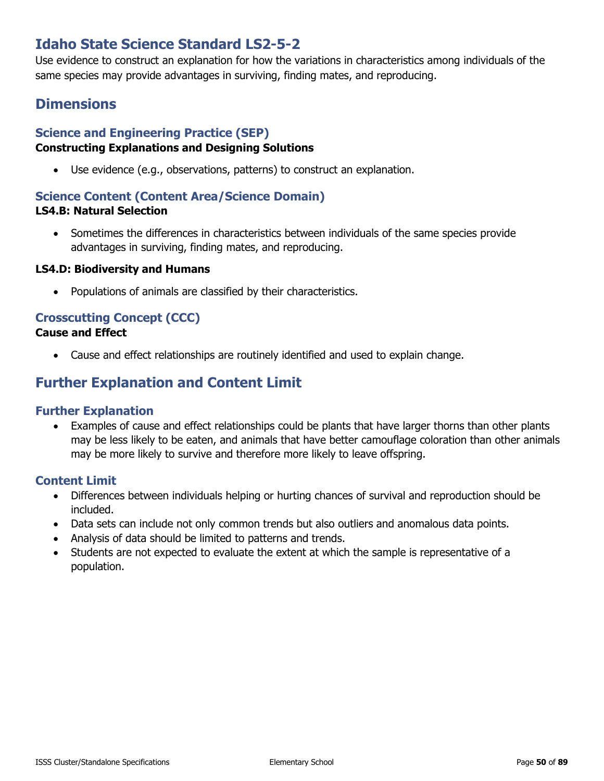## **Idaho State Science Standard LS2-5-2**

Use evidence to construct an explanation for how the variations in characteristics among individuals of the same species may provide advantages in surviving, finding mates, and reproducing.

## **Dimensions**

#### **Science and Engineering Practice (SEP) Constructing Explanations and Designing Solutions**

• Use evidence (e.g., observations, patterns) to construct an explanation.

#### **Science Content (Content Area/Science Domain)**

#### **LS4.B: Natural Selection**

• Sometimes the differences in characteristics between individuals of the same species provide advantages in surviving, finding mates, and reproducing.

#### **LS4.D: Biodiversity and Humans**

• Populations of animals are classified by their characteristics.

## **Crosscutting Concept (CCC)**

#### **Cause and Effect**

• Cause and effect relationships are routinely identified and used to explain change.

## **Further Explanation and Content Limit**

#### **Further Explanation**

• Examples of cause and effect relationships could be plants that have larger thorns than other plants may be less likely to be eaten, and animals that have better camouflage coloration than other animals may be more likely to survive and therefore more likely to leave offspring.

- Differences between individuals helping or hurting chances of survival and reproduction should be included.
- Data sets can include not only common trends but also outliers and anomalous data points.
- Analysis of data should be limited to patterns and trends.
- Students are not expected to evaluate the extent at which the sample is representative of a population.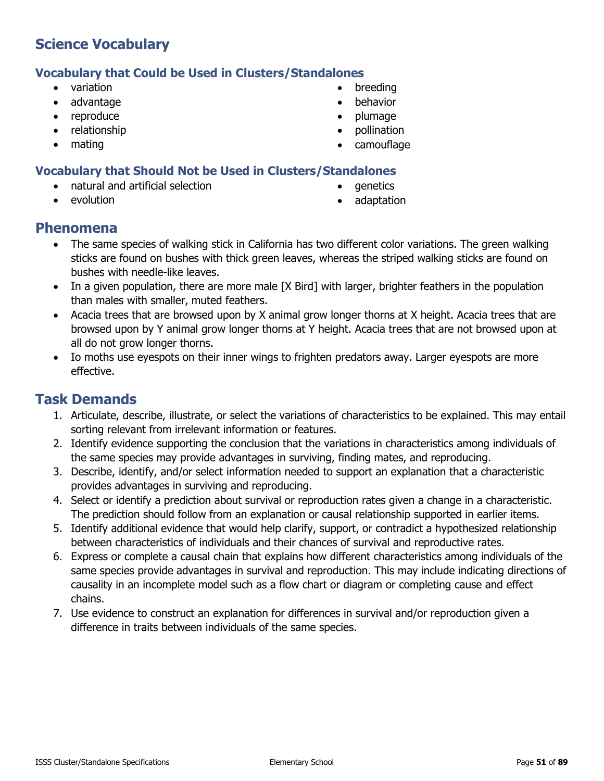#### **Vocabulary that Could be Used in Clusters/Standalones**

- variation
- advantage
- reproduce
- relationship
- mating
- **breeding**
- behavior
- plumage
- pollination
- camouflage

#### **Vocabulary that Should Not be Used in Clusters/Standalones**

- natural and artificial selection
	- evolution
- genetics
- adaptation

#### **Phenomena**

- The same species of walking stick in California has two different color variations. The green walking sticks are found on bushes with thick green leaves, whereas the striped walking sticks are found on bushes with needle-like leaves.
- In a given population, there are more male [X Bird] with larger, brighter feathers in the population than males with smaller, muted feathers.
- Acacia trees that are browsed upon by X animal grow longer thorns at X height. Acacia trees that are browsed upon by Y animal grow longer thorns at Y height. Acacia trees that are not browsed upon at all do not grow longer thorns.
- Io moths use eyespots on their inner wings to frighten predators away. Larger eyespots are more effective.

- 1. Articulate, describe, illustrate, or select the variations of characteristics to be explained. This may entail sorting relevant from irrelevant information or features.
- 2. Identify evidence supporting the conclusion that the variations in characteristics among individuals of the same species may provide advantages in surviving, finding mates, and reproducing.
- 3. Describe, identify, and/or select information needed to support an explanation that a characteristic provides advantages in surviving and reproducing.
- 4. Select or identify a prediction about survival or reproduction rates given a change in a characteristic. The prediction should follow from an explanation or causal relationship supported in earlier items.
- 5. Identify additional evidence that would help clarify, support, or contradict a hypothesized relationship between characteristics of individuals and their chances of survival and reproductive rates.
- 6. Express or complete a causal chain that explains how different characteristics among individuals of the same species provide advantages in survival and reproduction. This may include indicating directions of causality in an incomplete model such as a flow chart or diagram or completing cause and effect chains.
- 7. Use evidence to construct an explanation for differences in survival and/or reproduction given a difference in traits between individuals of the same species.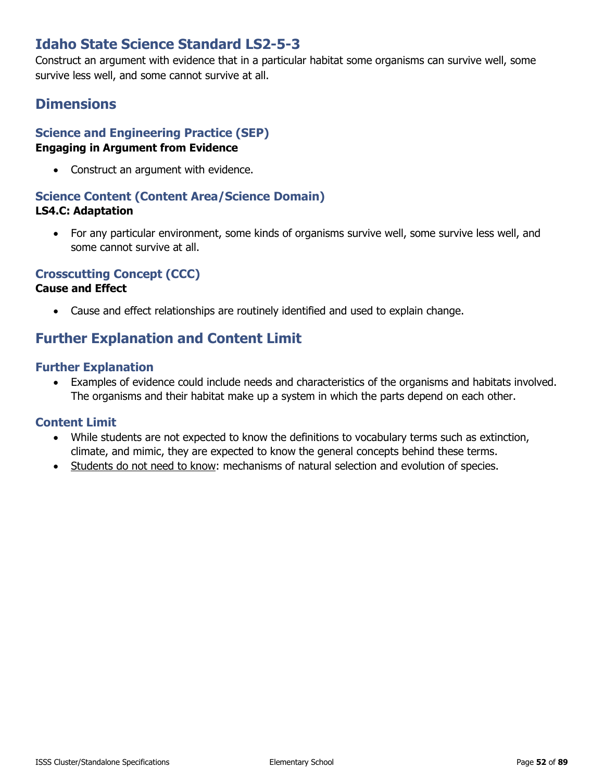## **Idaho State Science Standard LS2-5-3**

Construct an argument with evidence that in a particular habitat some organisms can survive well, some survive less well, and some cannot survive at all.

## **Dimensions**

#### **Science and Engineering Practice (SEP) Engaging in Argument from Evidence**

• Construct an argument with evidence.

#### **Science Content (Content Area/Science Domain) LS4.C: Adaptation**

• For any particular environment, some kinds of organisms survive well, some survive less well, and some cannot survive at all.

#### **Crosscutting Concept (CCC)**

#### **Cause and Effect**

• Cause and effect relationships are routinely identified and used to explain change.

## **Further Explanation and Content Limit**

#### **Further Explanation**

• Examples of evidence could include needs and characteristics of the organisms and habitats involved. The organisms and their habitat make up a system in which the parts depend on each other.

- While students are not expected to know the definitions to vocabulary terms such as extinction, climate, and mimic, they are expected to know the general concepts behind these terms.
- Students do not need to know: mechanisms of natural selection and evolution of species.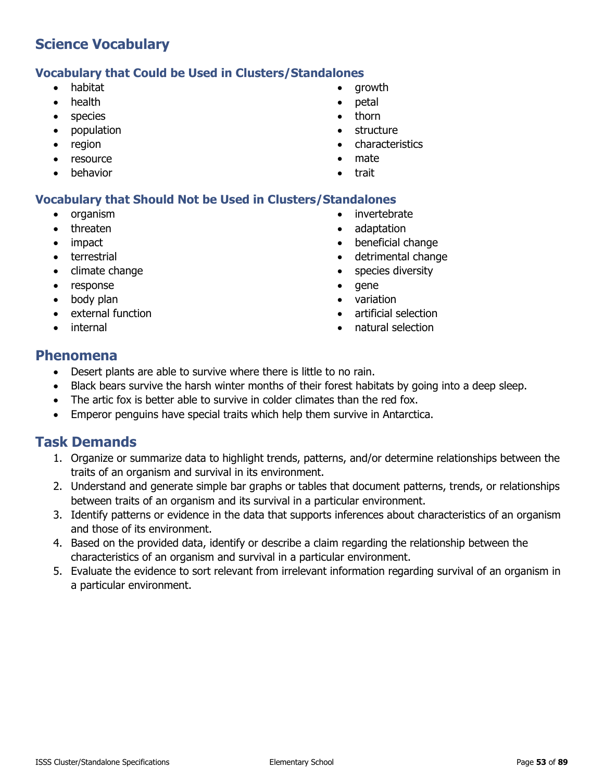#### **Vocabulary that Could be Used in Clusters/Standalones**

- habitat
- health
- species
- population
- region
- resource
- **behavior**
- growth
- petal
- thorn
- **structure**
- characteristics
- mate
- trait

#### **Vocabulary that Should Not be Used in Clusters/Standalones**

- organism
- threaten
- impact
- terrestrial
- climate change
- response
- body plan
- external function
- **internal**
- invertebrate
- adaptation
- beneficial change
- detrimental change
- species diversity
- gene
- variation
- artificial selection
- natural selection

#### **Phenomena**

- Desert plants are able to survive where there is little to no rain.
- Black bears survive the harsh winter months of their forest habitats by going into a deep sleep.
- The artic fox is better able to survive in colder climates than the red fox.
- Emperor penguins have special traits which help them survive in Antarctica.

- 1. Organize or summarize data to highlight trends, patterns, and/or determine relationships between the traits of an organism and survival in its environment.
- 2. Understand and generate simple bar graphs or tables that document patterns, trends, or relationships between traits of an organism and its survival in a particular environment.
- 3. Identify patterns or evidence in the data that supports inferences about characteristics of an organism and those of its environment.
- 4. Based on the provided data, identify or describe a claim regarding the relationship between the characteristics of an organism and survival in a particular environment.
- 5. Evaluate the evidence to sort relevant from irrelevant information regarding survival of an organism in a particular environment.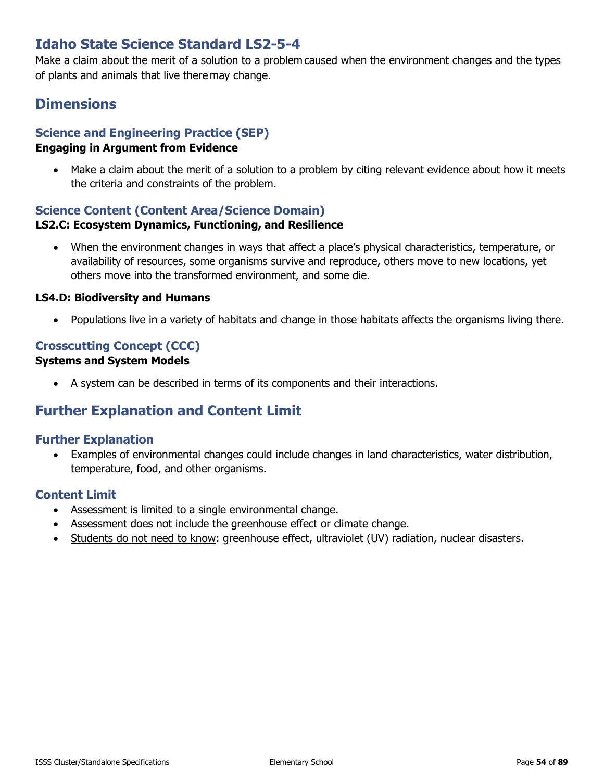## **Idaho State Science Standard LS2-5-4**

Make a claim about the merit of a solution to a problem caused when the environment changes and the types of plants and animals that live there may change.

## **Dimensions**

## **Science and Engineering Practice (SEP)**

#### **Engaging in Argument from Evidence**

• Make a claim about the merit of a solution to a problem by citing relevant evidence about how it meets the criteria and constraints of the problem.

## **Science Content (Content Area/Science Domain)**

#### **LS2.C: Ecosystem Dynamics, Functioning, and Resilience**

• When the environment changes in ways that affect a place's physical characteristics, temperature, or availability of resources, some organisms survive and reproduce, others move to new locations, yet others move into the transformed environment, and some die.

#### **LS4.D: Biodiversity and Humans**

• Populations live in a variety of habitats and change in those habitats affects the organisms living there.

#### **Crosscutting Concept (CCC) Systems and System Models**

• A system can be described in terms of its components and their interactions.

## **Further Explanation and Content Limit**

#### **Further Explanation**

• Examples of environmental changes could include changes in land characteristics, water distribution, temperature, food, and other organisms.

- Assessment is limited to a single environmental change.
- Assessment does not include the greenhouse effect or climate change.
- Students do not need to know: greenhouse effect, ultraviolet (UV) radiation, nuclear disasters.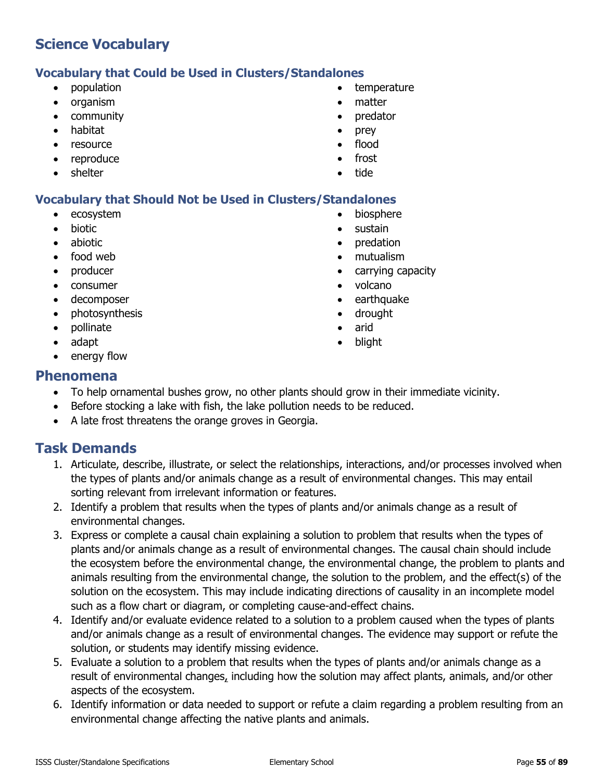#### **Vocabulary that Could be Used in Clusters/Standalones**

- population
- organism
- community
- habitat
- resource
- reproduce
- shelter
- **temperature**
- matter
- predator
- prey
- flood
- frost
- tide

#### **Vocabulary that Should Not be Used in Clusters/Standalones**

- ecosystem
- biotic
- abiotic
- food web
- producer
- consumer
- decomposer
- photosynthesis
- pollinate
- adapt
- energy flow

#### **Phenomena**

- To help ornamental bushes grow, no other plants should grow in their immediate vicinity.
- Before stocking a lake with fish, the lake pollution needs to be reduced.
- A late frost threatens the orange groves in Georgia.

- 1. Articulate, describe, illustrate, or select the relationships, interactions, and/or processes involved when the types of plants and/or animals change as a result of environmental changes. This may entail sorting relevant from irrelevant information or features.
- 2. Identify a problem that results when the types of plants and/or animals change as a result of environmental changes.
- 3. Express or complete a causal chain explaining a solution to problem that results when the types of plants and/or animals change as a result of environmental changes. The causal chain should include the ecosystem before the environmental change, the environmental change, the problem to plants and animals resulting from the environmental change, the solution to the problem, and the effect(s) of the solution on the ecosystem. This may include indicating directions of causality in an incomplete model such as a flow chart or diagram, or completing cause-and-effect chains.
- 4. Identify and/or evaluate evidence related to a solution to a problem caused when the types of plants and/or animals change as a result of environmental changes. The evidence may support or refute the solution, or students may identify missing evidence.
- 5. Evaluate a solution to a problem that results when the types of plants and/or animals change as a result of environmental changes, including how the solution may affect plants, animals, and/or other aspects of the ecosystem.
- 6. Identify information or data needed to support or refute a claim regarding a problem resulting from an environmental change affecting the native plants and animals.
- biosphere • sustain
- 
- predation
- mutualism
- carrying capacity
- volcano
- earthquake
- drought
- arid
- blight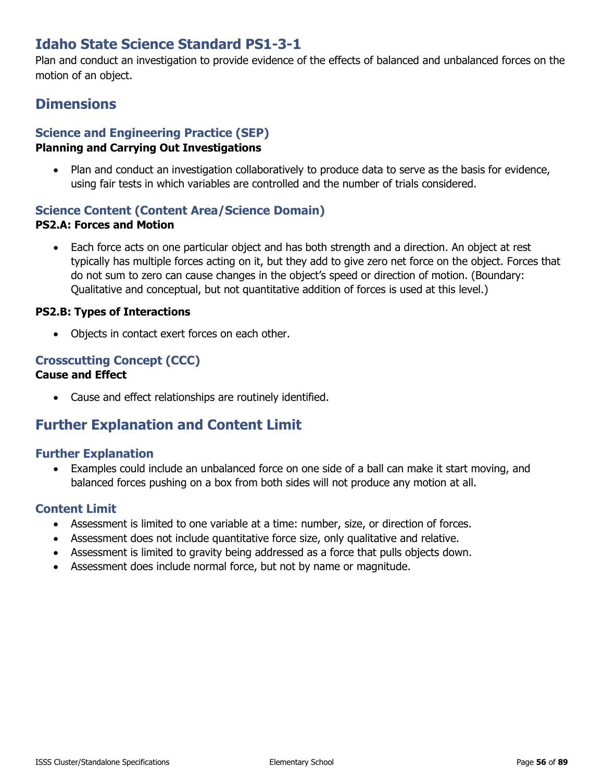## **Idaho State Science Standard PS1-3-1**

Plan and conduct an investigation to provide evidence of the effects of balanced and unbalanced forces on the motion of an object.

## **Dimensions**

## **Science and Engineering Practice (SEP)**

#### **Planning and Carrying Out Investigations**

• Plan and conduct an investigation collaboratively to produce data to serve as the basis for evidence, using fair tests in which variables are controlled and the number of trials considered.

#### **Science Content (Content Area/Science Domain) PS2.A: Forces and Motion**

• Each force acts on one particular object and has both strength and a direction. An object at rest typically has multiple forces acting on it, but they add to give zero net force on the object. Forces that do not sum to zero can cause changes in the object's speed or direction of motion. (Boundary: Qualitative and conceptual, but not quantitative addition of forces is used at this level.)

#### **PS2.B: Types of Interactions**

• Objects in contact exert forces on each other.

#### **Crosscutting Concept (CCC)**

#### **Cause and Effect**

• Cause and effect relationships are routinely identified.

## **Further Explanation and Content Limit**

#### **Further Explanation**

• Examples could include an unbalanced force on one side of a ball can make it start moving, and balanced forces pushing on a box from both sides will not produce any motion at all.

- Assessment is limited to one variable at a time: number, size, or direction of forces.
- Assessment does not include quantitative force size, only qualitative and relative.
- Assessment is limited to gravity being addressed as a force that pulls objects down.
- Assessment does include normal force, but not by name or magnitude.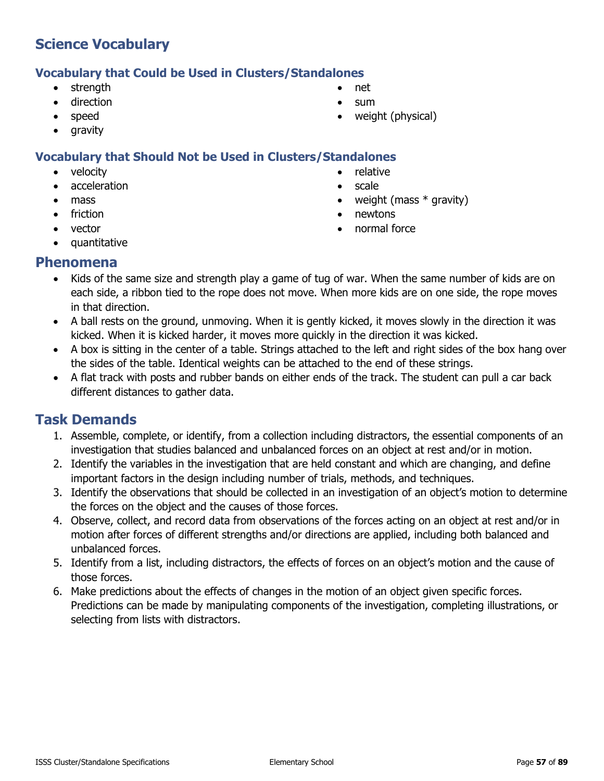#### **Vocabulary that Could be Used in Clusters/Standalones**

- strength
- direction
- speed
- gravity

#### **Vocabulary that Should Not be Used in Clusters/Standalones**

- velocity
- acceleration
- mass
- friction
- vector
- quantitative
- net
- sum
- weight (physical)
- 
- relative
- scale
- weight (mass  $*$  gravity)
- newtons
- normal force

### **Phenomena**

- Kids of the same size and strength play a game of tug of war. When the same number of kids are on each side, a ribbon tied to the rope does not move. When more kids are on one side, the rope moves in that direction.
- A ball rests on the ground, unmoving. When it is gently kicked, it moves slowly in the direction it was kicked. When it is kicked harder, it moves more quickly in the direction it was kicked.
- A box is sitting in the center of a table. Strings attached to the left and right sides of the box hang over the sides of the table. Identical weights can be attached to the end of these strings.
- A flat track with posts and rubber bands on either ends of the track. The student can pull a car back different distances to gather data.

- 1. Assemble, complete, or identify, from a collection including distractors, the essential components of an investigation that studies balanced and unbalanced forces on an object at rest and/or in motion.
- 2. Identify the variables in the investigation that are held constant and which are changing, and define important factors in the design including number of trials, methods, and techniques.
- 3. Identify the observations that should be collected in an investigation of an object's motion to determine the forces on the object and the causes of those forces.
- 4. Observe, collect, and record data from observations of the forces acting on an object at rest and/or in motion after forces of different strengths and/or directions are applied, including both balanced and unbalanced forces.
- 5. Identify from a list, including distractors, the effects of forces on an object's motion and the cause of those forces.
- 6. Make predictions about the effects of changes in the motion of an object given specific forces. Predictions can be made by manipulating components of the investigation, completing illustrations, or selecting from lists with distractors.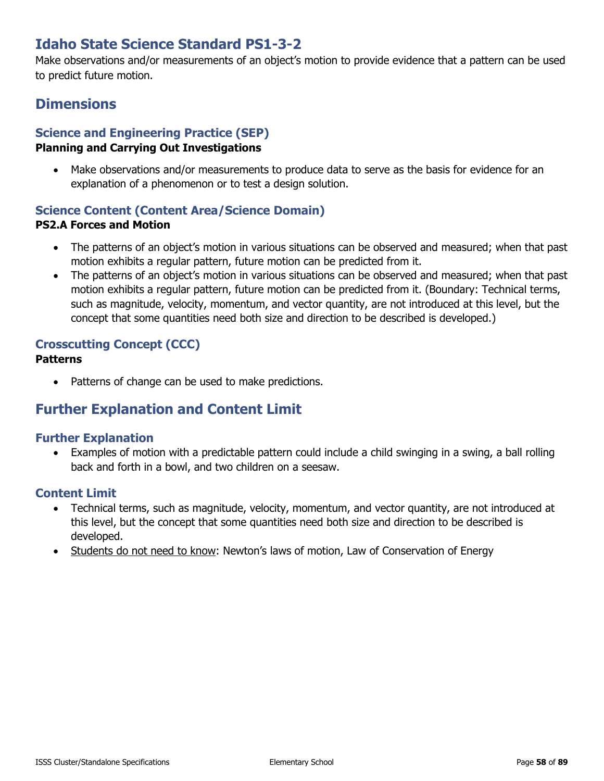## **Idaho State Science Standard PS1-3-2**

Make observations and/or measurements of an object's motion to provide evidence that a pattern can be used to predict future motion.

## **Dimensions**

## **Science and Engineering Practice (SEP)**

#### **Planning and Carrying Out Investigations**

• Make observations and/or measurements to produce data to serve as the basis for evidence for an explanation of a phenomenon or to test a design solution.

#### **Science Content (Content Area/Science Domain) PS2.A Forces and Motion**

- The patterns of an object's motion in various situations can be observed and measured; when that past motion exhibits a regular pattern, future motion can be predicted from it.
- The patterns of an object's motion in various situations can be observed and measured; when that past motion exhibits a regular pattern, future motion can be predicted from it. (Boundary: Technical terms, such as magnitude, velocity, momentum, and vector quantity, are not introduced at this level, but the concept that some quantities need both size and direction to be described is developed.)

# **Crosscutting Concept (CCC)**

- **Patterns**
	- Patterns of change can be used to make predictions.

## **Further Explanation and Content Limit**

#### **Further Explanation**

• Examples of motion with a predictable pattern could include a child swinging in a swing, a ball rolling back and forth in a bowl, and two children on a seesaw.

- Technical terms, such as magnitude, velocity, momentum, and vector quantity, are not introduced at this level, but the concept that some quantities need both size and direction to be described is developed.
- Students do not need to know: Newton's laws of motion, Law of Conservation of Energy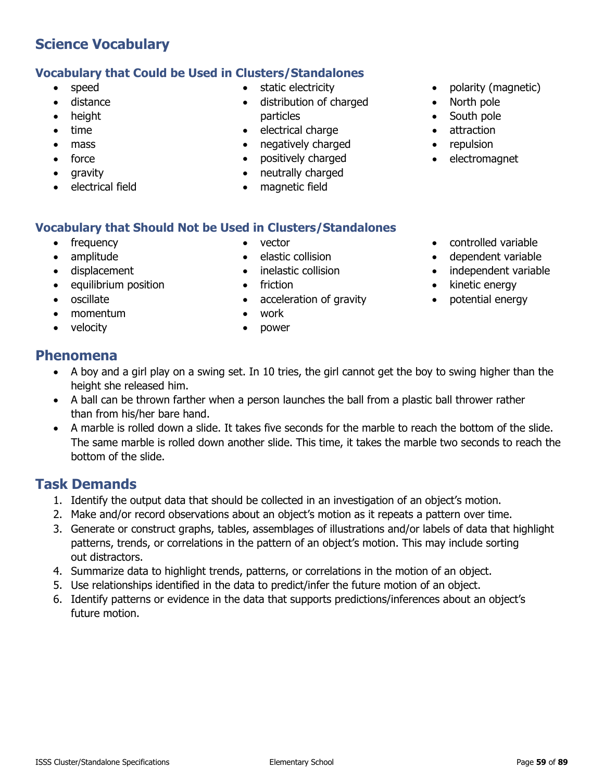4. Summarize data to highlight trends, patterns, or correlations in the motion of an object. 5. Use relationships identified in the data to predict/infer the future motion of an object.

out distractors.

future motion.

**Task Demands**

The same marble is rolled down another slide. This time, it takes the marble two seconds to reach the bottom of the slide.

3. Generate or construct graphs, tables, assemblages of illustrations and/or labels of data that highlight patterns, trends, or correlations in the pattern of an object's motion. This may include sorting

6. Identify patterns or evidence in the data that supports predictions/inferences about an object's

# **Phenomena**

- A boy and a girl play on a swing set. In 10 tries, the girl cannot get the boy to swing higher than the height she released him.
- 
- 

1. Identify the output data that should be collected in an investigation of an object's motion. 2. Make and/or record observations about an object's motion as it repeats a pattern over time.

- A ball can be thrown farther when a person launches the ball from a plastic ball thrower rather
- than from his/her bare hand. • A marble is rolled down a slide. It takes five seconds for the marble to reach the bottom of the slide.
- momentum • velocity

## vector

**Vocabulary that Should Not be Used in Clusters/Standalones**

• elastic collision

• static electricity

particles • electrical charge • negatively charged • positively charged • neutrally charged • magnetic field

• distribution of charged

- inelastic collision
- 
- acceleration of gravity
- 
- power

## **Vocabulary that Could be Used in Clusters/Standalones**

- speed
- distance

**Science Vocabulary**

- height
- 
- time
- 
- mass
- force
- gravity
- electrical field

• frequency • amplitude • displacement

• oscillate

• equilibrium position

- polarity (magnetic)
- North pole
- South pole
- attraction
- repulsion
- electromagnet

• controlled variable • dependent variable • independent variable

• kinetic energy • potential energy

- friction
- work
-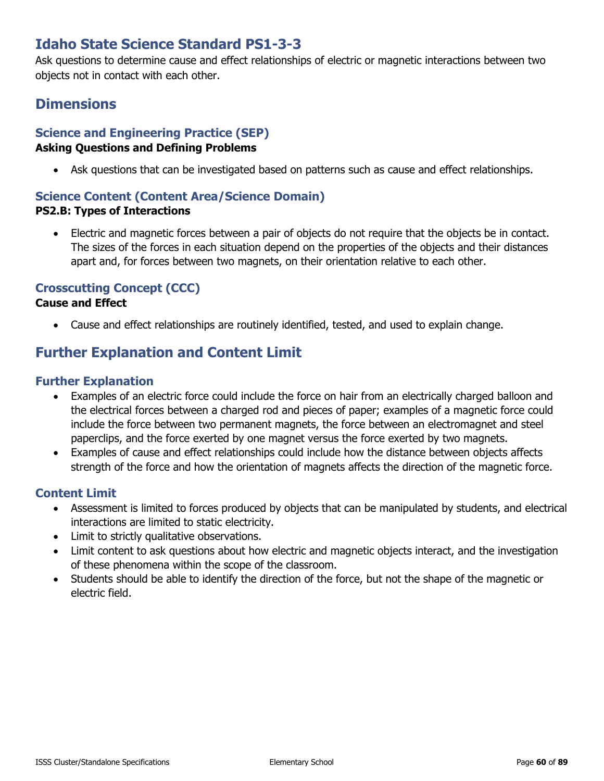## **Idaho State Science Standard PS1-3-3**

Ask questions to determine cause and effect relationships of electric or magnetic interactions between two objects not in contact with each other.

## **Dimensions**

## **Science and Engineering Practice (SEP)**

#### **Asking Questions and Defining Problems**

• Ask questions that can be investigated based on patterns such as cause and effect relationships.

#### **Science Content (Content Area/Science Domain)**

#### **PS2.B: Types of Interactions**

• Electric and magnetic forces between a pair of objects do not require that the objects be in contact. The sizes of the forces in each situation depend on the properties of the objects and their distances apart and, for forces between two magnets, on their orientation relative to each other.

#### **Crosscutting Concept (CCC)**

#### **Cause and Effect**

• Cause and effect relationships are routinely identified, tested, and used to explain change.

## **Further Explanation and Content Limit**

#### **Further Explanation**

- Examples of an electric force could include the force on hair from an electrically charged balloon and the electrical forces between a charged rod and pieces of paper; examples of a magnetic force could include the force between two permanent magnets, the force between an electromagnet and steel paperclips, and the force exerted by one magnet versus the force exerted by two magnets.
- Examples of cause and effect relationships could include how the distance between objects affects strength of the force and how the orientation of magnets affects the direction of the magnetic force.

- Assessment is limited to forces produced by objects that can be manipulated by students, and electrical interactions are limited to static electricity.
- Limit to strictly qualitative observations.
- Limit content to ask questions about how electric and magnetic objects interact, and the investigation of these phenomena within the scope of the classroom.
- Students should be able to identify the direction of the force, but not the shape of the magnetic or electric field.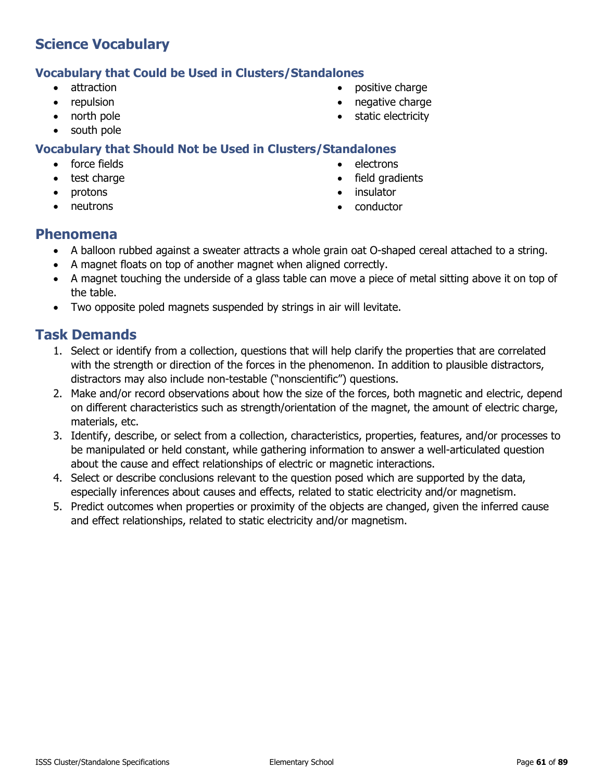#### **Vocabulary that Could be Used in Clusters/Standalones**

- attraction
- repulsion
- north pole
- south pole

#### **Vocabulary that Should Not be Used in Clusters/Standalones**

- force fields
- test charge
- protons
- neutrons
- positive charge
- negative charge
- static electricity
- - electrons
	- field gradients
	- **insulator**
	- conductor

#### **Phenomena**

- A balloon rubbed against a sweater attracts a whole grain oat O-shaped cereal attached to a string.
- A magnet floats on top of another magnet when aligned correctly.
- A magnet touching the underside of a glass table can move a piece of metal sitting above it on top of the table.
- Two opposite poled magnets suspended by strings in air will levitate.

- 1. Select or identify from a collection, questions that will help clarify the properties that are correlated with the strength or direction of the forces in the phenomenon. In addition to plausible distractors, distractors may also include non-testable ("nonscientific") questions.
- 2. Make and/or record observations about how the size of the forces, both magnetic and electric, depend on different characteristics such as strength/orientation of the magnet, the amount of electric charge, materials, etc.
- 3. Identify, describe, or select from a collection, characteristics, properties, features, and/or processes to be manipulated or held constant, while gathering information to answer a well-articulated question about the cause and effect relationships of electric or magnetic interactions.
- 4. Select or describe conclusions relevant to the question posed which are supported by the data, especially inferences about causes and effects, related to static electricity and/or magnetism.
- 5. Predict outcomes when properties or proximity of the objects are changed, given the inferred cause and effect relationships, related to static electricity and/or magnetism.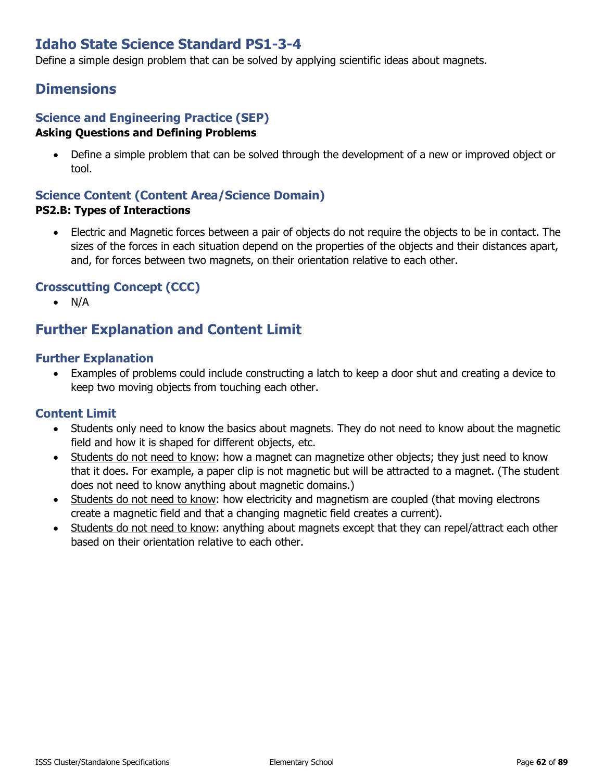## **Idaho State Science Standard PS1-3-4**

Define a simple design problem that can be solved by applying scientific ideas about magnets.

## **Dimensions**

#### **Science and Engineering Practice (SEP) Asking Questions and Defining Problems**

• Define a simple problem that can be solved through the development of a new or improved object or tool.

## **Science Content (Content Area/Science Domain)**

#### **PS2.B: Types of Interactions**

• Electric and Magnetic forces between a pair of objects do not require the objects to be in contact. The sizes of the forces in each situation depend on the properties of the objects and their distances apart, and, for forces between two magnets, on their orientation relative to each other.

#### **Crosscutting Concept (CCC)**

• N/A

## **Further Explanation and Content Limit**

#### **Further Explanation**

• Examples of problems could include constructing a latch to keep a door shut and creating a device to keep two moving objects from touching each other.

- Students only need to know the basics about magnets. They do not need to know about the magnetic field and how it is shaped for different objects, etc.
- Students do not need to know: how a magnet can magnetize other objects; they just need to know that it does. For example, a paper clip is not magnetic but will be attracted to a magnet. (The student does not need to know anything about magnetic domains.)
- Students do not need to know: how electricity and magnetism are coupled (that moving electrons create a magnetic field and that a changing magnetic field creates a current).
- Students do not need to know: anything about magnets except that they can repel/attract each other based on their orientation relative to each other.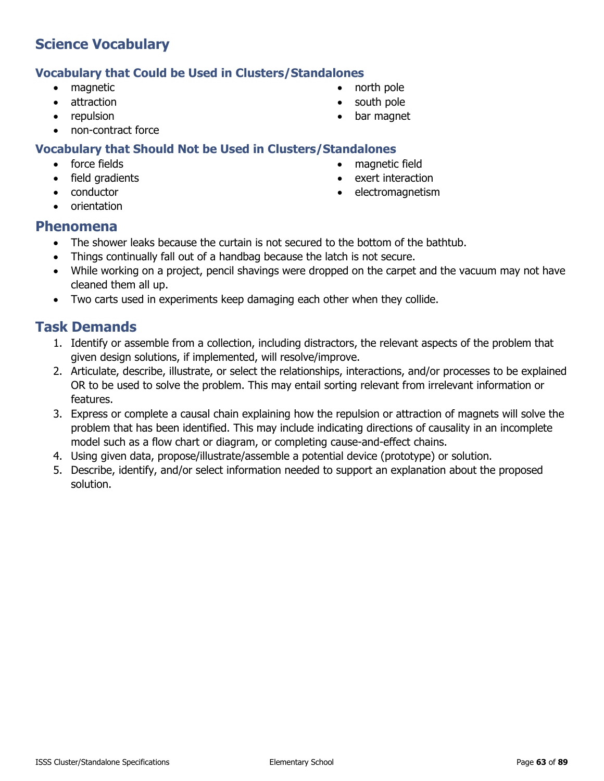## **Vocabulary that Could be Used in Clusters/Standalones**

- magnetic
- attraction
- repulsion
- non-contract force

## **Vocabulary that Should Not be Used in Clusters/Standalones**

- force fields
- field gradients
- conductor
- orientation
- north pole
- south pole
- bar magnet
- 
- 
- 
- 
- 

# • magnetic field

- exert interaction
- electromagnetism

- **Phenomena**
	- The shower leaks because the curtain is not secured to the bottom of the bathtub.
	- Things continually fall out of a handbag because the latch is not secure.
	- While working on a project, pencil shavings were dropped on the carpet and the vacuum may not have cleaned them all up.
	- Two carts used in experiments keep damaging each other when they collide.

- 1. Identify or assemble from a collection, including distractors, the relevant aspects of the problem that given design solutions, if implemented, will resolve/improve.
- 2. Articulate, describe, illustrate, or select the relationships, interactions, and/or processes to be explained OR to be used to solve the problem. This may entail sorting relevant from irrelevant information or features.
- 3. Express or complete a causal chain explaining how the repulsion or attraction of magnets will solve the problem that has been identified. This may include indicating directions of causality in an incomplete model such as a flow chart or diagram, or completing cause-and-effect chains.
- 4. Using given data, propose/illustrate/assemble a potential device (prototype) or solution.
- 5. Describe, identify, and/or select information needed to support an explanation about the proposed solution.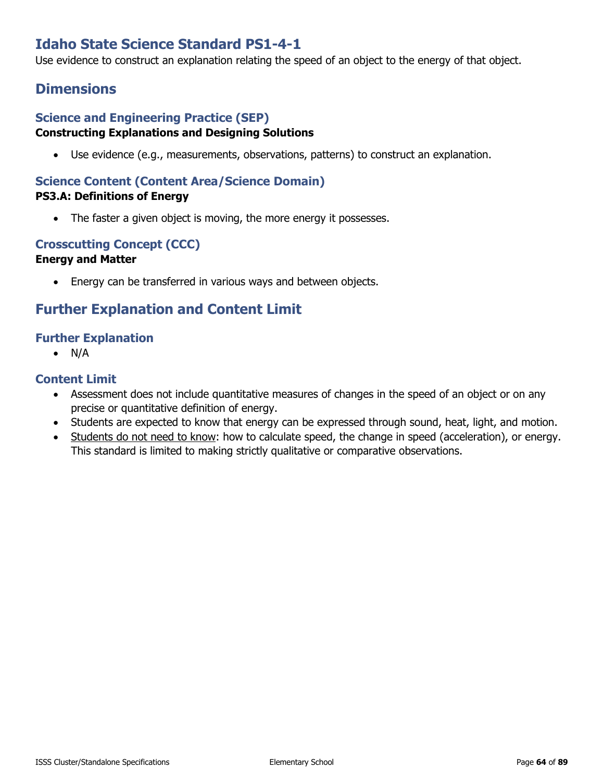## **Idaho State Science Standard PS1-4-1**

Use evidence to construct an explanation relating the speed of an object to the energy of that object.

## **Dimensions**

#### **Science and Engineering Practice (SEP) Constructing Explanations and Designing Solutions**

• Use evidence (e.g., measurements, observations, patterns) to construct an explanation.

#### **Science Content (Content Area/Science Domain) PS3.A: Definitions of Energy**

• The faster a given object is moving, the more energy it possesses.

## **Crosscutting Concept (CCC)**

#### **Energy and Matter**

• Energy can be transferred in various ways and between objects.

## **Further Explanation and Content Limit**

#### **Further Explanation**

• N/A

- Assessment does not include quantitative measures of changes in the speed of an object or on any precise or quantitative definition of energy.
- Students are expected to know that energy can be expressed through sound, heat, light, and motion.
- Students do not need to know: how to calculate speed, the change in speed (acceleration), or energy. This standard is limited to making strictly qualitative or comparative observations.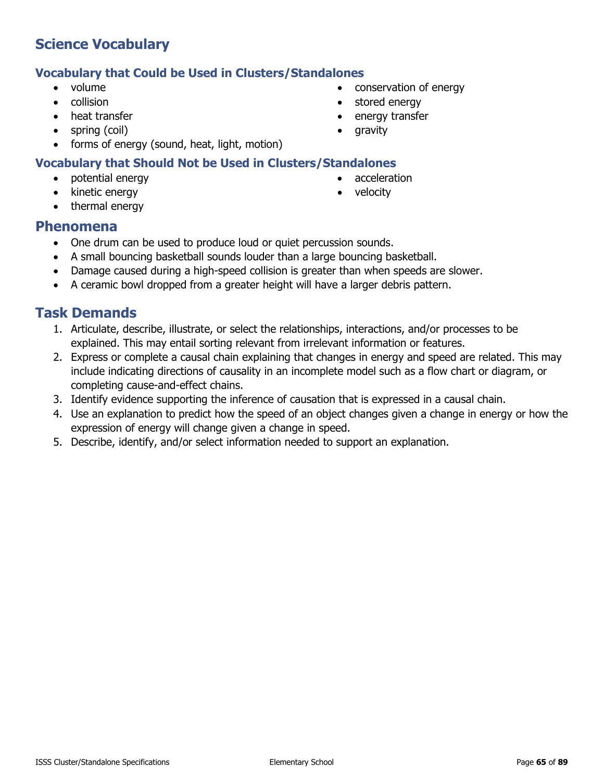#### **Vocabulary that Could be Used in Clusters/Standalones**

- volume
- collision
- heat transfer
- spring (coil)
- forms of energy (sound, heat, light, motion)

#### **Vocabulary that Should Not be Used in Clusters/Standalones**

- potential energy
- kinetic energy
- thermal energy
- conservation of energy • stored energy
- energy transfer
- gravity
- -
	-
	-

#### acceleration • velocity

- **Phenomena**
	- One drum can be used to produce loud or quiet percussion sounds.
	- A small bouncing basketball sounds louder than a large bouncing basketball.
	- Damage caused during a high-speed collision is greater than when speeds are slower.
	- A ceramic bowl dropped from a greater height will have a larger debris pattern.

- 1. Articulate, describe, illustrate, or select the relationships, interactions, and/or processes to be explained. This may entail sorting relevant from irrelevant information or features.
- 2. Express or complete a causal chain explaining that changes in energy and speed are related. This may include indicating directions of causality in an incomplete model such as a flow chart or diagram, or completing cause-and-effect chains.
- 3. Identify evidence supporting the inference of causation that is expressed in a causal chain.
- 4. Use an explanation to predict how the speed of an object changes given a change in energy or how the expression of energy will change given a change in speed.
- 5. Describe, identify, and/or select information needed to support an explanation.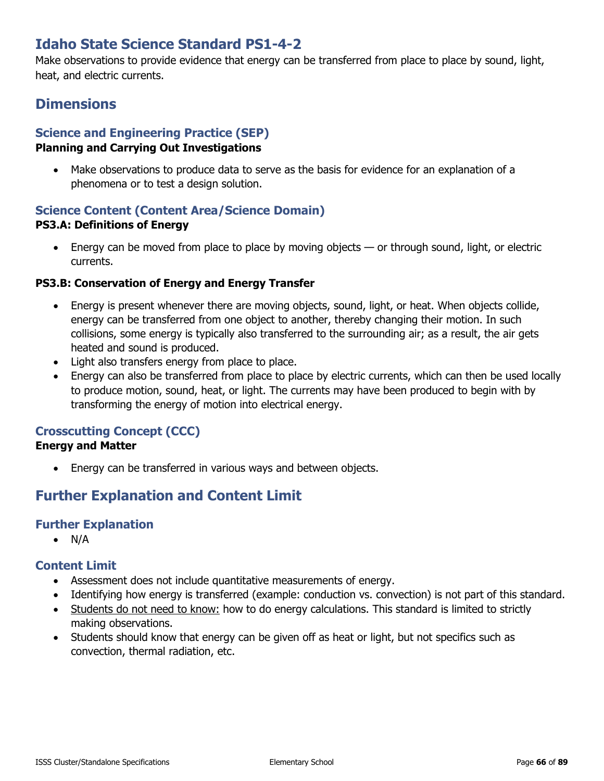## **Idaho State Science Standard PS1-4-2**

Make observations to provide evidence that energy can be transferred from place to place by sound, light, heat, and electric currents.

## **Dimensions**

## **Science and Engineering Practice (SEP)**

#### **Planning and Carrying Out Investigations**

• Make observations to produce data to serve as the basis for evidence for an explanation of a phenomena or to test a design solution.

## **Science Content (Content Area/Science Domain) PS3.A: Definitions of Energy**

Energy can be moved from place to place by moving objects  $-$  or through sound, light, or electric currents.

#### **PS3.B: Conservation of Energy and Energy Transfer**

- Energy is present whenever there are moving objects, sound, light, or heat. When objects collide, energy can be transferred from one object to another, thereby changing their motion. In such collisions, some energy is typically also transferred to the surrounding air; as a result, the air gets heated and sound is produced.
- Light also transfers energy from place to place.
- Energy can also be transferred from place to place by electric currents, which can then be used locally to produce motion, sound, heat, or light. The currents may have been produced to begin with by transforming the energy of motion into electrical energy.

#### **Crosscutting Concept (CCC)**

#### **Energy and Matter**

• Energy can be transferred in various ways and between objects.

## **Further Explanation and Content Limit**

#### **Further Explanation**

• N/A

- Assessment does not include quantitative measurements of energy.
- Identifying how energy is transferred (example: conduction vs. convection) is not part of this standard.
- Students do not need to know: how to do energy calculations. This standard is limited to strictly making observations.
- Students should know that energy can be given off as heat or light, but not specifics such as convection, thermal radiation, etc.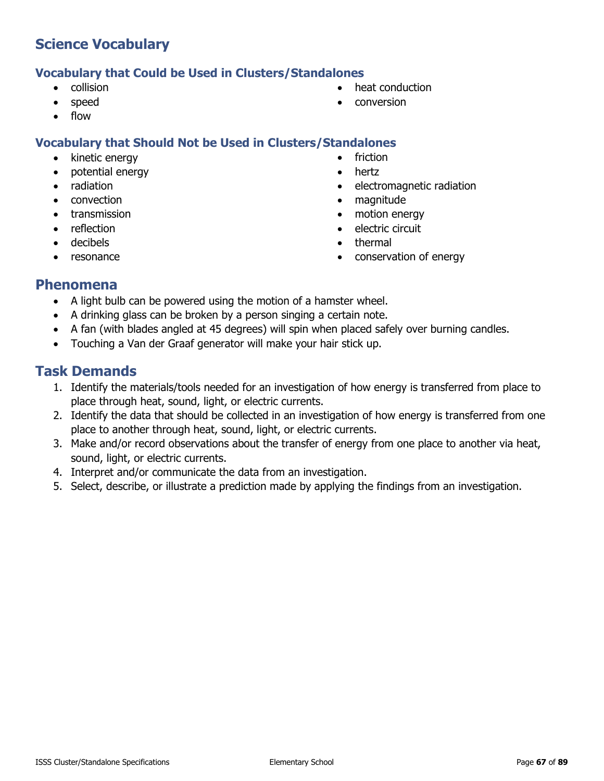#### **Vocabulary that Could be Used in Clusters/Standalones**

- collision
- speed
- flow

#### **Vocabulary that Should Not be Used in Clusters/Standalones**

- kinetic energy
- potential energy
- radiation
- convection
- transmission
- reflection
- decibels
- resonance
- heat conduction
- conversion
- 
- **friction**
- hertz
- electromagnetic radiation
- magnitude
- motion energy
- electric circuit
- thermal
- conservation of energy

### **Phenomena**

- A light bulb can be powered using the motion of a hamster wheel.
- A drinking glass can be broken by a person singing a certain note.
- A fan (with blades angled at 45 degrees) will spin when placed safely over burning candles.
- Touching a Van der Graaf generator will make your hair stick up.

- 1. Identify the materials/tools needed for an investigation of how energy is transferred from place to place through heat, sound, light, or electric currents.
- 2. Identify the data that should be collected in an investigation of how energy is transferred from one place to another through heat, sound, light, or electric currents.
- 3. Make and/or record observations about the transfer of energy from one place to another via heat, sound, light, or electric currents.
- 4. Interpret and/or communicate the data from an investigation.
- 5. Select, describe, or illustrate a prediction made by applying the findings from an investigation.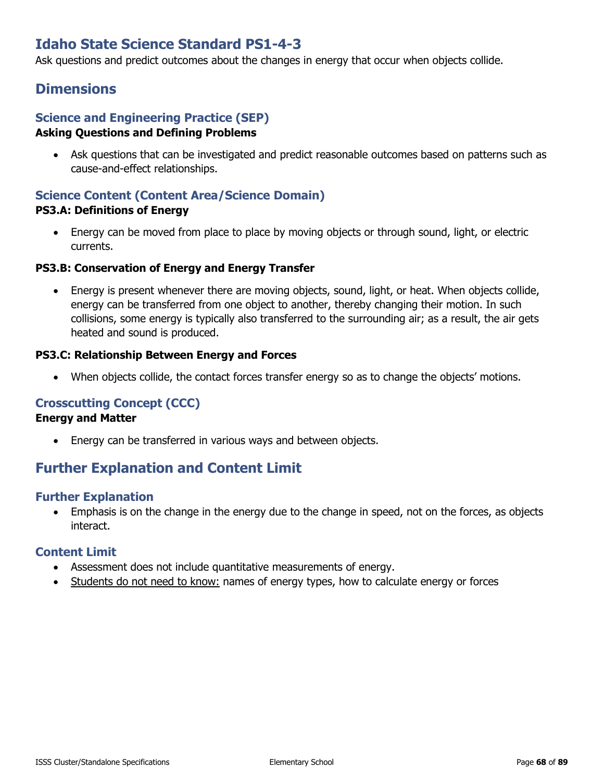## **Idaho State Science Standard PS1-4-3**

Ask questions and predict outcomes about the changes in energy that occur when objects collide.

## **Dimensions**

#### **Science and Engineering Practice (SEP) Asking Questions and Defining Problems**

• Ask questions that can be investigated and predict reasonable outcomes based on patterns such as cause-and-effect relationships.

#### **Science Content (Content Area/Science Domain) PS3.A: Definitions of Energy**

• Energy can be moved from place to place by moving objects or through sound, light, or electric currents.

#### **PS3.B: Conservation of Energy and Energy Transfer**

• Energy is present whenever there are moving objects, sound, light, or heat. When objects collide, energy can be transferred from one object to another, thereby changing their motion. In such collisions, some energy is typically also transferred to the surrounding air; as a result, the air gets heated and sound is produced.

#### **PS3.C: Relationship Between Energy and Forces**

When objects collide, the contact forces transfer energy so as to change the objects' motions.

#### **Crosscutting Concept (CCC)**

#### **Energy and Matter**

Energy can be transferred in various ways and between objects.

## **Further Explanation and Content Limit**

#### **Further Explanation**

• Emphasis is on the change in the energy due to the change in speed, not on the forces, as objects interact.

- Assessment does not include quantitative measurements of energy.
- Students do not need to know: names of energy types, how to calculate energy or forces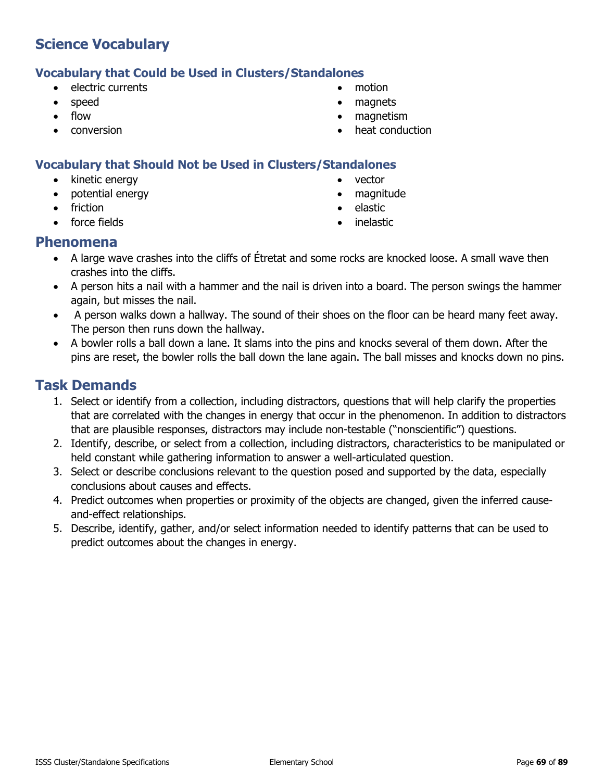#### **Vocabulary that Could be Used in Clusters/Standalones**

- electric currents
- speed
- flow
- conversion
- motion
- magnets
- magnetism
- heat conduction

#### **Vocabulary that Should Not be Used in Clusters/Standalones**

- kinetic energy
- potential energy
- friction
- force fields
- vector
- magnitude
- elastic
- **inelastic**

#### **Phenomena**

- A large wave crashes into the cliffs of Étretat and some rocks are knocked loose. A small wave then crashes into the cliffs.
- A person hits a nail with a hammer and the nail is driven into a board. The person swings the hammer again, but misses the nail.
- A person walks down a hallway. The sound of their shoes on the floor can be heard many feet away. The person then runs down the hallway.
- A bowler rolls a ball down a lane. It slams into the pins and knocks several of them down. After the pins are reset, the bowler rolls the ball down the lane again. The ball misses and knocks down no pins.

- 1. Select or identify from a collection, including distractors, questions that will help clarify the properties that are correlated with the changes in energy that occur in the phenomenon. In addition to distractors that are plausible responses, distractors may include non-testable ("nonscientific") questions.
- 2. Identify, describe, or select from a collection, including distractors, characteristics to be manipulated or held constant while gathering information to answer a well-articulated question.
- 3. Select or describe conclusions relevant to the question posed and supported by the data, especially conclusions about causes and effects.
- 4. Predict outcomes when properties or proximity of the objects are changed, given the inferred causeand-effect relationships.
- 5. Describe, identify, gather, and/or select information needed to identify patterns that can be used to predict outcomes about the changes in energy.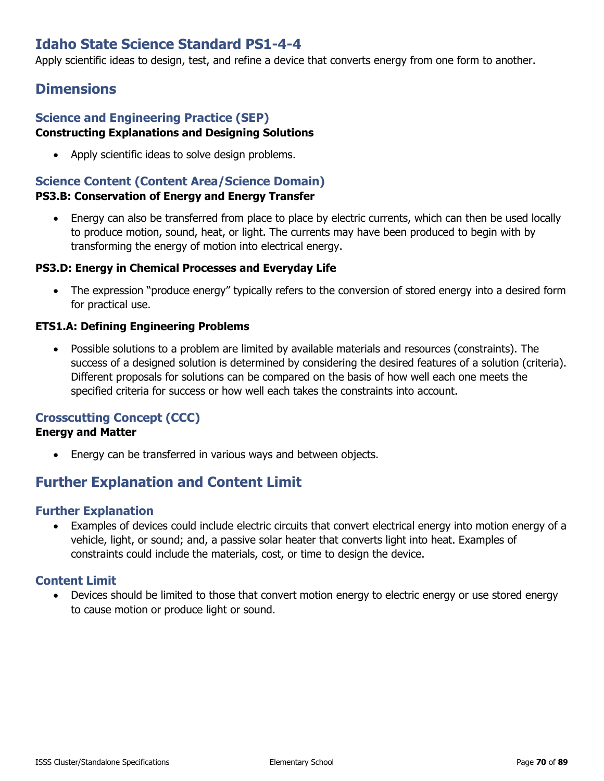## **Idaho State Science Standard PS1-4-4**

Apply scientific ideas to design, test, and refine a device that converts energy from one form to another.

## **Dimensions**

#### **Science and Engineering Practice (SEP) Constructing Explanations and Designing Solutions**

• Apply scientific ideas to solve design problems.

# **Science Content (Content Area/Science Domain)**

#### **PS3.B: Conservation of Energy and Energy Transfer**

• Energy can also be transferred from place to place by electric currents, which can then be used locally to produce motion, sound, heat, or light. The currents may have been produced to begin with by transforming the energy of motion into electrical energy.

#### **PS3.D: Energy in Chemical Processes and Everyday Life**

• The expression "produce energy" typically refers to the conversion of stored energy into a desired form for practical use.

#### **ETS1.A: Defining Engineering Problems**

• Possible solutions to a problem are limited by available materials and resources (constraints). The success of a designed solution is determined by considering the desired features of a solution (criteria). Different proposals for solutions can be compared on the basis of how well each one meets the specified criteria for success or how well each takes the constraints into account.

#### **Crosscutting Concept (CCC)**

#### **Energy and Matter**

• Energy can be transferred in various ways and between objects.

## **Further Explanation and Content Limit**

#### **Further Explanation**

• Examples of devices could include electric circuits that convert electrical energy into motion energy of a vehicle, light, or sound; and, a passive solar heater that converts light into heat. Examples of constraints could include the materials, cost, or time to design the device.

#### **Content Limit**

• Devices should be limited to those that convert motion energy to electric energy or use stored energy to cause motion or produce light or sound.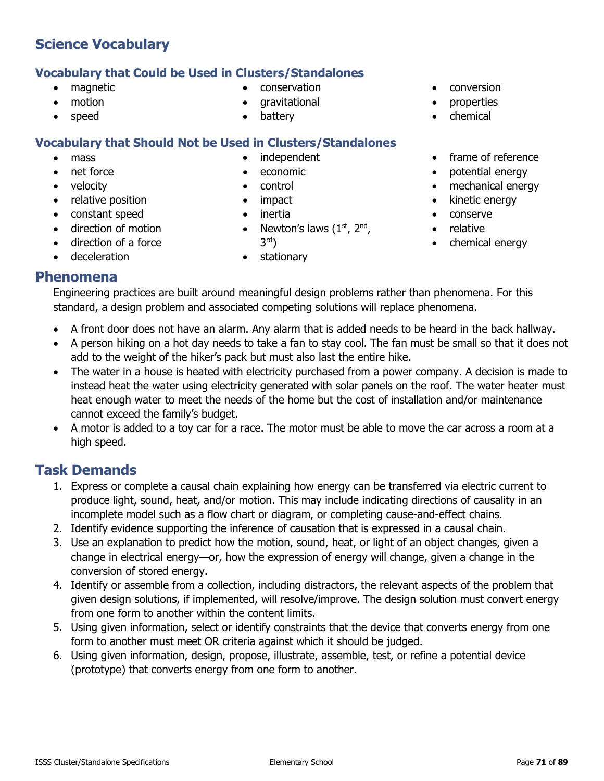## **Vocabulary that Could be Used in Clusters/Standalones**

- magnetic
- motion
- speed

# **Vocabulary that Should Not be Used in Clusters/Standalones**

- mass
- net force
- velocity
- relative position
- constant speed
- direction of motion
- direction of a force
- deceleration

independent

• conservation • gravitational **battery** 

- economic
- control
- impact
- inertia
- Newton's laws  $(1<sup>st</sup>, 2<sup>nd</sup>)$ , 3rd)
- stationary
- conversion
- **properties**
- chemical
- frame of reference
- potential energy
- mechanical energy
- kinetic energy
- conserve
- relative
- chemical energy

## **Phenomena**

Engineering practices are built around meaningful design problems rather than phenomena. For this standard, a design problem and associated competing solutions will replace phenomena.

- A front door does not have an alarm. Any alarm that is added needs to be heard in the back hallway.
- A person hiking on a hot day needs to take a fan to stay cool. The fan must be small so that it does not add to the weight of the hiker's pack but must also last the entire hike.
- The water in a house is heated with electricity purchased from a power company. A decision is made to instead heat the water using electricity generated with solar panels on the roof. The water heater must heat enough water to meet the needs of the home but the cost of installation and/or maintenance cannot exceed the family's budget.
- A motor is added to a toy car for a race. The motor must be able to move the car across a room at a high speed.

- 1. Express or complete a causal chain explaining how energy can be transferred via electric current to produce light, sound, heat, and/or motion. This may include indicating directions of causality in an incomplete model such as a flow chart or diagram, or completing cause-and-effect chains.
- 2. Identify evidence supporting the inference of causation that is expressed in a causal chain.
- 3. Use an explanation to predict how the motion, sound, heat, or light of an object changes, given a change in electrical energy—or, how the expression of energy will change, given a change in the conversion of stored energy.
- 4. Identify or assemble from a collection, including distractors, the relevant aspects of the problem that given design solutions, if implemented, will resolve/improve. The design solution must convert energy from one form to another within the content limits.
- 5. Using given information, select or identify constraints that the device that converts energy from one form to another must meet OR criteria against which it should be judged.
- 6. Using given information, design, propose, illustrate, assemble, test, or refine a potential device (prototype) that converts energy from one form to another.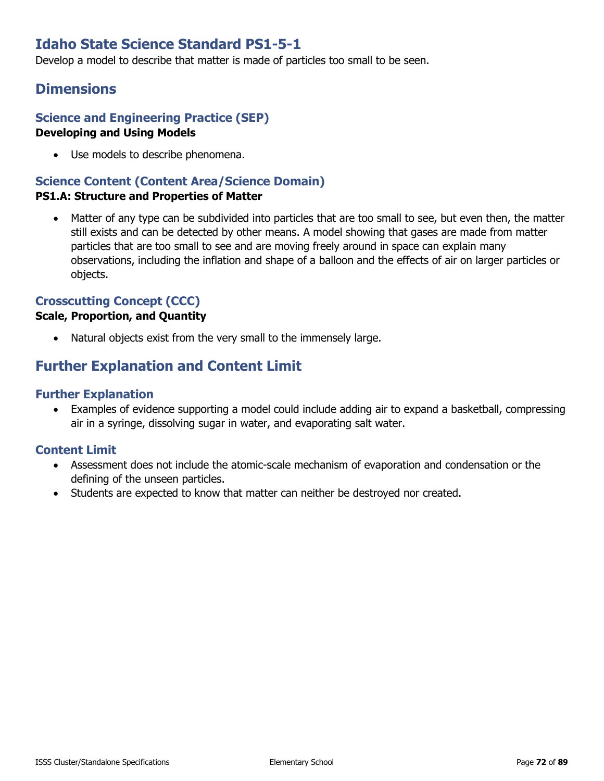## **Idaho State Science Standard PS1-5-1**

Develop a model to describe that matter is made of particles too small to be seen.

## **Dimensions**

#### **Science and Engineering Practice (SEP) Developing and Using Models**

• Use models to describe phenomena.

## **Science Content (Content Area/Science Domain)**

#### **PS1.A: Structure and Properties of Matter**

Matter of any type can be subdivided into particles that are too small to see, but even then, the matter still exists and can be detected by other means. A model showing that gases are made from matter particles that are too small to see and are moving freely around in space can explain many observations, including the inflation and shape of a balloon and the effects of air on larger particles or objects.

#### **Crosscutting Concept (CCC)**

#### **Scale, Proportion, and Quantity**

Natural objects exist from the very small to the immensely large.

## **Further Explanation and Content Limit**

#### **Further Explanation**

• Examples of evidence supporting a model could include adding air to expand a basketball, compressing air in a syringe, dissolving sugar in water, and evaporating salt water.

- Assessment does not include the atomic-scale mechanism of evaporation and condensation or the defining of the unseen particles.
- Students are expected to know that matter can neither be destroyed nor created.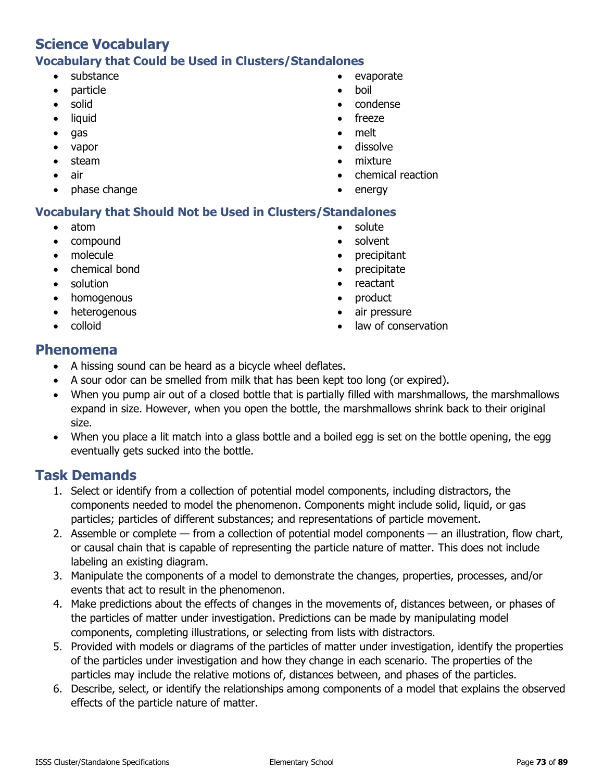# **Science Vocabulary Vocabulary that Could be Used in Clusters/Standalones**

- substance
- particle
- solid
- liquid
- gas
- vapor
- steam
- air
- phase change
- evaporate
- boil
- condense
- freeze
- melt
- dissolve
- mixture
- chemical reaction
- energy

## **Vocabulary that Should Not be Used in Clusters/Standalones**

- atom
- compound
- molecule
- chemical bond
- solution
- homogenous
- heterogenous
- colloid
- solute
- solvent
- precipitant
- precipitate
- reactant
- product
- air pressure
- law of conservation

## **Phenomena**

- A hissing sound can be heard as a bicycle wheel deflates.
- A sour odor can be smelled from milk that has been kept too long (or expired).
- When you pump air out of a closed bottle that is partially filled with marshmallows, the marshmallows expand in size. However, when you open the bottle, the marshmallows shrink back to their original size.
- When you place a lit match into a glass bottle and a boiled egg is set on the bottle opening, the egg eventually gets sucked into the bottle.

- 1. Select or identify from a collection of potential model components, including distractors, the components needed to model the phenomenon. Components might include solid, liquid, or gas particles; particles of different substances; and representations of particle movement.
- 2. Assemble or complete from a collection of potential model components an illustration, flow chart, or causal chain that is capable of representing the particle nature of matter. This does not include labeling an existing diagram.
- 3. Manipulate the components of a model to demonstrate the changes, properties, processes, and/or events that act to result in the phenomenon.
- 4. Make predictions about the effects of changes in the movements of, distances between, or phases of the particles of matter under investigation. Predictions can be made by manipulating model components, completing illustrations, or selecting from lists with distractors.
- 5. Provided with models or diagrams of the particles of matter under investigation, identify the properties of the particles under investigation and how they change in each scenario. The properties of the particles may include the relative motions of, distances between, and phases of the particles.
- 6. Describe, select, or identify the relationships among components of a model that explains the observed effects of the particle nature of matter.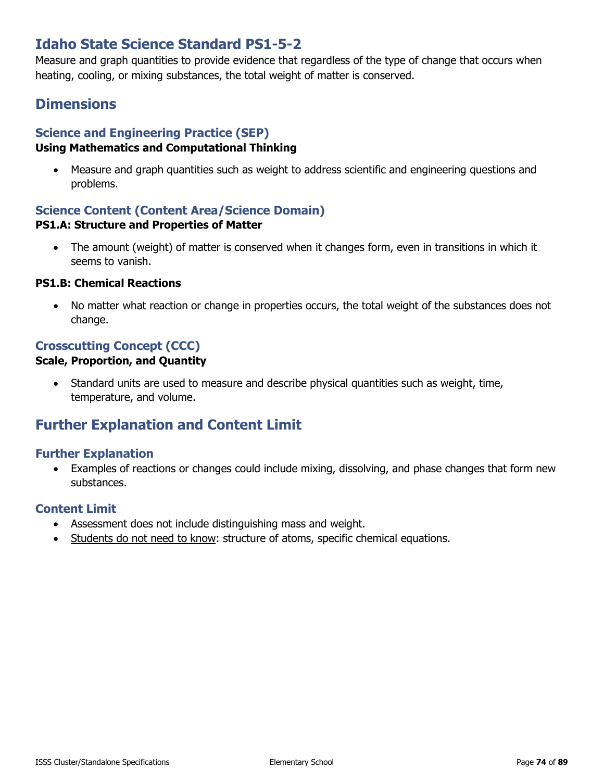# **Idaho State Science Standard PS1-5-2**

Measure and graph quantities to provide evidence that regardless of the type of change that occurs when heating, cooling, or mixing substances, the total weight of matter is conserved.

# **Dimensions**

## **Science and Engineering Practice (SEP)**

## **Using Mathematics and Computational Thinking**

• Measure and graph quantities such as weight to address scientific and engineering questions and problems.

## **Science Content (Content Area/Science Domain) PS1.A: Structure and Properties of Matter**

• The amount (weight) of matter is conserved when it changes form, even in transitions in which it seems to vanish.

### **PS1.B: Chemical Reactions**

• No matter what reaction or change in properties occurs, the total weight of the substances does not change.

## **Crosscutting Concept (CCC)**

## **Scale, Proportion, and Quantity**

• Standard units are used to measure and describe physical quantities such as weight, time, temperature, and volume.

# **Further Explanation and Content Limit**

## **Further Explanation**

• Examples of reactions or changes could include mixing, dissolving, and phase changes that form new substances.

- Assessment does not include distinguishing mass and weight.
- Students do not need to know: structure of atoms, specific chemical equations.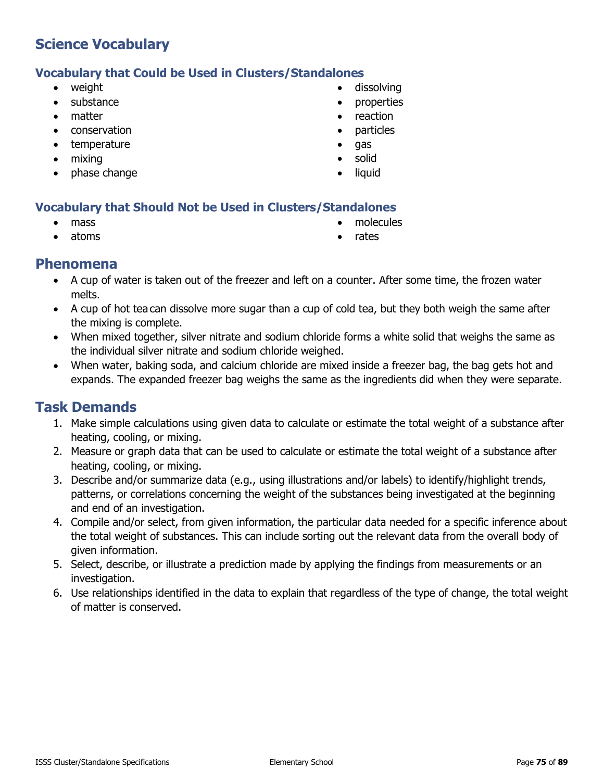## **Vocabulary that Could be Used in Clusters/Standalones**

- weight
- substance
- matter
- conservation
- temperature
- mixing
- phase change
- dissolving
- properties
- reaction
- particles
- gas
- solid
- liquid

## **Vocabulary that Should Not be Used in Clusters/Standalones**

mass

• molecules

• atoms

• rates

## **Phenomena**

- A cup of water is taken out of the freezer and left on a counter. After some time, the frozen water melts.
- A cup of hot tea can dissolve more sugar than a cup of cold tea, but they both weigh the same after the mixing is complete.
- When mixed together, silver nitrate and sodium chloride forms a white solid that weighs the same as the individual silver nitrate and sodium chloride weighed.
- When water, baking soda, and calcium chloride are mixed inside a freezer bag, the bag gets hot and expands. The expanded freezer bag weighs the same as the ingredients did when they were separate.

- 1. Make simple calculations using given data to calculate or estimate the total weight of a substance after heating, cooling, or mixing.
- 2. Measure or graph data that can be used to calculate or estimate the total weight of a substance after heating, cooling, or mixing.
- 3. Describe and/or summarize data (e.g., using illustrations and/or labels) to identify/highlight trends, patterns, or correlations concerning the weight of the substances being investigated at the beginning and end of an investigation.
- 4. Compile and/or select, from given information, the particular data needed for a specific inference about the total weight of substances. This can include sorting out the relevant data from the overall body of given information.
- 5. Select, describe, or illustrate a prediction made by applying the findings from measurements or an investigation.
- 6. Use relationships identified in the data to explain that regardless of the type of change, the total weight of matter is conserved.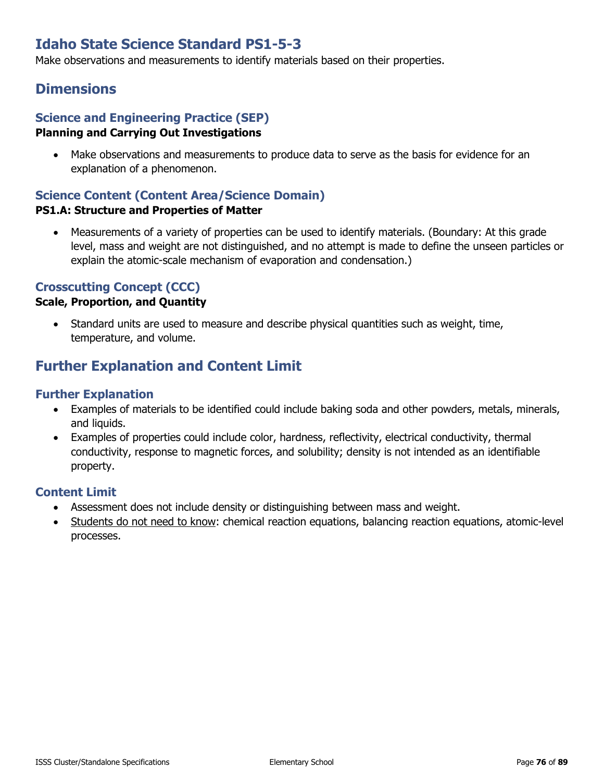# **Idaho State Science Standard PS1-5-3**

Make observations and measurements to identify materials based on their properties.

## **Dimensions**

### **Science and Engineering Practice (SEP) Planning and Carrying Out Investigations**

• Make observations and measurements to produce data to serve as the basis for evidence for an explanation of a phenomenon.

## **Science Content (Content Area/Science Domain)**

### **PS1.A: Structure and Properties of Matter**

• Measurements of a variety of properties can be used to identify materials. (Boundary: At this grade level, mass and weight are not distinguished, and no attempt is made to define the unseen particles or explain the atomic-scale mechanism of evaporation and condensation.)

## **Crosscutting Concept (CCC)**

### **Scale, Proportion, and Quantity**

• Standard units are used to measure and describe physical quantities such as weight, time, temperature, and volume.

# **Further Explanation and Content Limit**

## **Further Explanation**

- Examples of materials to be identified could include baking soda and other powders, metals, minerals, and liquids.
- Examples of properties could include color, hardness, reflectivity, electrical conductivity, thermal conductivity, response to magnetic forces, and solubility; density is not intended as an identifiable property.

- Assessment does not include density or distinguishing between mass and weight.
- Students do not need to know: chemical reaction equations, balancing reaction equations, atomic-level processes.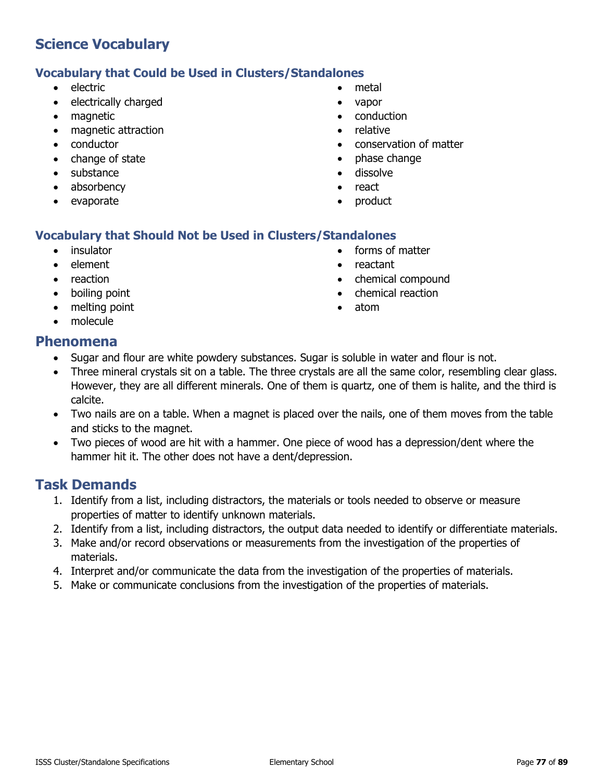## **Vocabulary that Could be Used in Clusters/Standalones**

- electric
- electrically charged
- magnetic
- magnetic attraction
- conductor
- change of state
- substance
- absorbency
- evaporate
- metal
- vapor
- conduction
- relative
- conservation of matter
- phase change
- dissolve
- react
- product

## **Vocabulary that Should Not be Used in Clusters/Standalones**

- **insulator**
- element
- reaction
- boiling point
- melting point
- molecule
- forms of matter
- reactant
- chemical compound
- chemical reaction
- atom

## **Phenomena**

- Sugar and flour are white powdery substances. Sugar is soluble in water and flour is not.
- Three mineral crystals sit on a table. The three crystals are all the same color, resembling clear glass. However, they are all different minerals. One of them is quartz, one of them is halite, and the third is calcite.
- Two nails are on a table. When a magnet is placed over the nails, one of them moves from the table and sticks to the magnet.
- Two pieces of wood are hit with a hammer. One piece of wood has a depression/dent where the hammer hit it. The other does not have a dent/depression.

- 1. Identify from a list, including distractors, the materials or tools needed to observe or measure properties of matter to identify unknown materials.
- 2. Identify from a list, including distractors, the output data needed to identify or differentiate materials.
- 3. Make and/or record observations or measurements from the investigation of the properties of materials.
- 4. Interpret and/or communicate the data from the investigation of the properties of materials.
- 5. Make or communicate conclusions from the investigation of the properties of materials.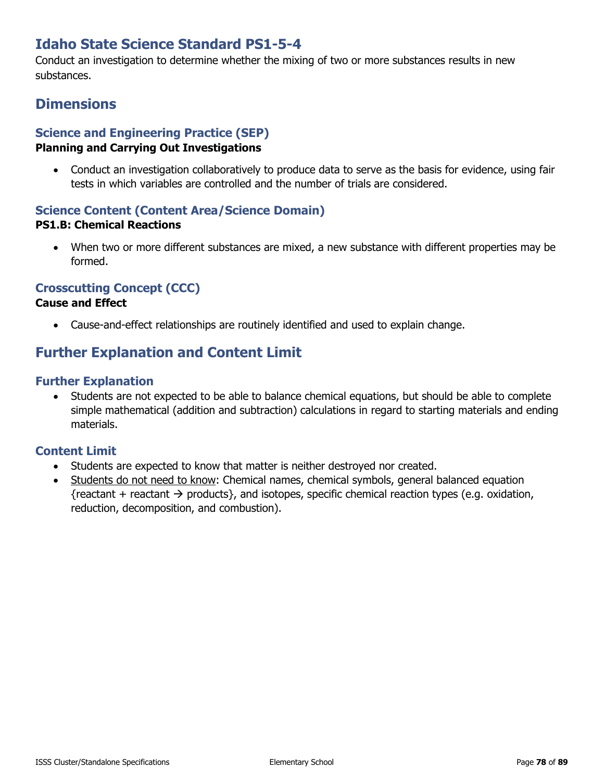# **Idaho State Science Standard PS1-5-4**

Conduct an investigation to determine whether the mixing of two or more substances results in new substances.

# **Dimensions**

## **Science and Engineering Practice (SEP)**

### **Planning and Carrying Out Investigations**

• Conduct an investigation collaboratively to produce data to serve as the basis for evidence, using fair tests in which variables are controlled and the number of trials are considered.

# **Science Content (Content Area/Science Domain)**

## **PS1.B: Chemical Reactions**

• When two or more different substances are mixed, a new substance with different properties may be formed.

## **Crosscutting Concept (CCC)**

### **Cause and Effect**

• Cause-and-effect relationships are routinely identified and used to explain change.

# **Further Explanation and Content Limit**

## **Further Explanation**

• Students are not expected to be able to balance chemical equations, but should be able to complete simple mathematical (addition and subtraction) calculations in regard to starting materials and ending materials.

- Students are expected to know that matter is neither destroyed nor created.
- Students do not need to know: Chemical names, chemical symbols, general balanced equation {reactant + reactant  $\rightarrow$  products}, and isotopes, specific chemical reaction types (e.g. oxidation, reduction, decomposition, and combustion).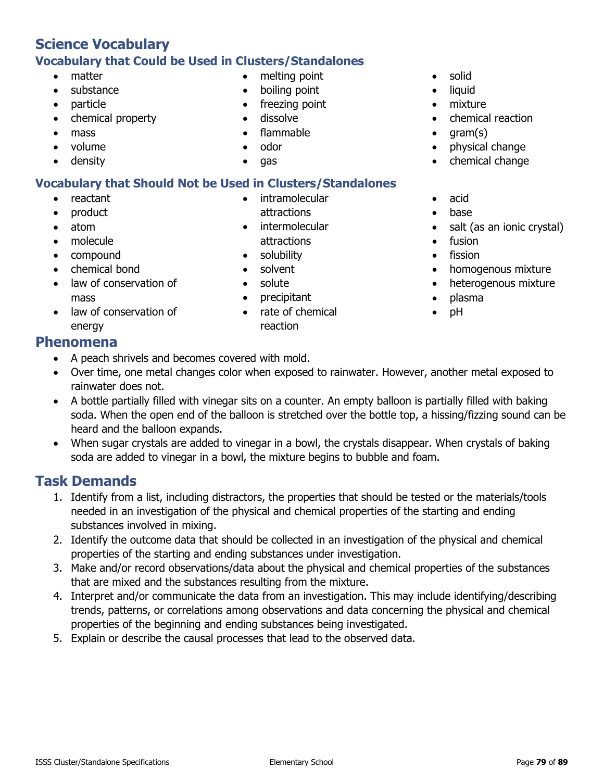## **Science Vocabulary Vocabulary that Could be Used in Clusters/Standalones**

- matter
- substance
- particle
- chemical property
- mass
- volume
- density

## **Vocabulary that Should Not be Used in Clusters/Standalones**

- reactant
- product
- atom
- molecule
- compound
- chemical bond
- law of conservation of mass
- law of conservation of energy

## **Phenomena**

- A peach shrivels and becomes covered with mold.
- Over time, one metal changes color when exposed to rainwater. However, another metal exposed to rainwater does not.
- A bottle partially filled with vinegar sits on a counter. An empty balloon is partially filled with baking soda. When the open end of the balloon is stretched over the bottle top, a hissing/fizzing sound can be heard and the balloon expands.
- When sugar crystals are added to vinegar in a bowl, the crystals disappear. When crystals of baking soda are added to vinegar in a bowl, the mixture begins to bubble and foam.

# **Task Demands**

- 1. Identify from a list, including distractors, the properties that should be tested or the materials/tools needed in an investigation of the physical and chemical properties of the starting and ending substances involved in mixing.
- 2. Identify the outcome data that should be collected in an investigation of the physical and chemical properties of the starting and ending substances under investigation.
- 3. Make and/or record observations/data about the physical and chemical properties of the substances that are mixed and the substances resulting from the mixture.
- 4. Interpret and/or communicate the data from an investigation. This may include identifying/describing trends, patterns, or correlations among observations and data concerning the physical and chemical properties of the beginning and ending substances being investigated.
- 5. Explain or describe the causal processes that lead to the observed data.
- solid
- liquid
- mixture
- chemical reaction
- gram(s)
- physical change
- chemical change
- acid
- base
- salt (as an ionic crystal)
- fusion
- fission
- homogenous mixture
- heterogenous mixture
- plasma
- pH

freezing point • dissolve

• melting point • boiling point

- flammable
- odor
- gas
- intramolecular attractions
- intermolecular attractions
- solubility
- solvent
- solute
- precipitant
- rate of chemical reaction
-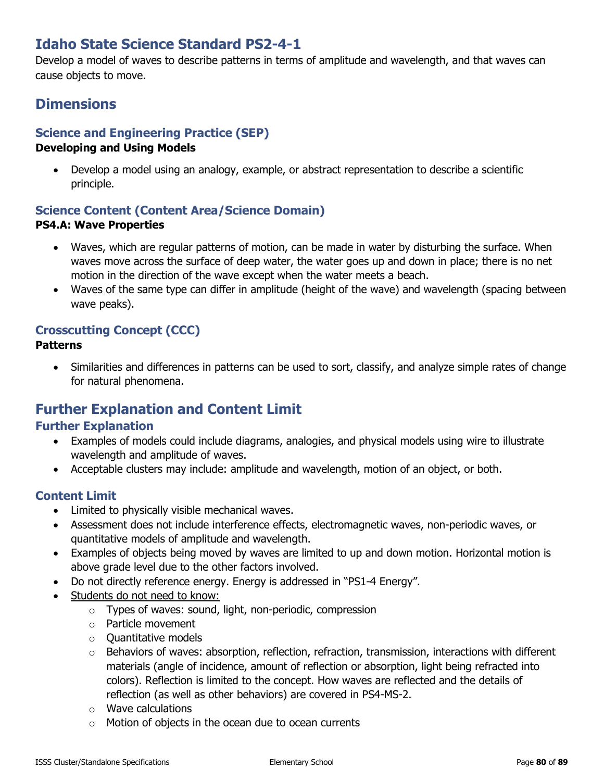# **Idaho State Science Standard PS2-4-1**

Develop a model of waves to describe patterns in terms of amplitude and wavelength, and that waves can cause objects to move.

# **Dimensions**

## **Science and Engineering Practice (SEP)**

### **Developing and Using Models**

• Develop a model using an analogy, example, or abstract representation to describe a scientific principle.

### **Science Content (Content Area/Science Domain) PS4.A: Wave Properties**

- Waves, which are regular patterns of motion, can be made in water by disturbing the surface. When waves move across the surface of deep water, the water goes up and down in place; there is no net motion in the direction of the wave except when the water meets a beach.
- Waves of the same type can differ in amplitude (height of the wave) and wavelength (spacing between wave peaks).

## **Crosscutting Concept (CCC)**

### **Patterns**

• Similarities and differences in patterns can be used to sort, classify, and analyze simple rates of change for natural phenomena.

# **Further Explanation and Content Limit**

## **Further Explanation**

- Examples of models could include diagrams, analogies, and physical models using wire to illustrate wavelength and amplitude of waves.
- Acceptable clusters may include: amplitude and wavelength, motion of an object, or both.

- Limited to physically visible mechanical waves.
- Assessment does not include interference effects, electromagnetic waves, non-periodic waves, or quantitative models of amplitude and wavelength.
- Examples of objects being moved by waves are limited to up and down motion. Horizontal motion is above grade level due to the other factors involved.
- Do not directly reference energy. Energy is addressed in "PS1-4 Energy".
- Students do not need to know:
	- $\circ$  Types of waves: sound, light, non-periodic, compression
	- o Particle movement
	- $\circ$  Ouantitative models
	- $\circ$  Behaviors of waves: absorption, reflection, refraction, transmission, interactions with different materials (angle of incidence, amount of reflection or absorption, light being refracted into colors). Reflection is limited to the concept. How waves are reflected and the details of reflection (as well as other behaviors) are covered in PS4-MS-2.
	- o Wave calculations
	- o Motion of objects in the ocean due to ocean currents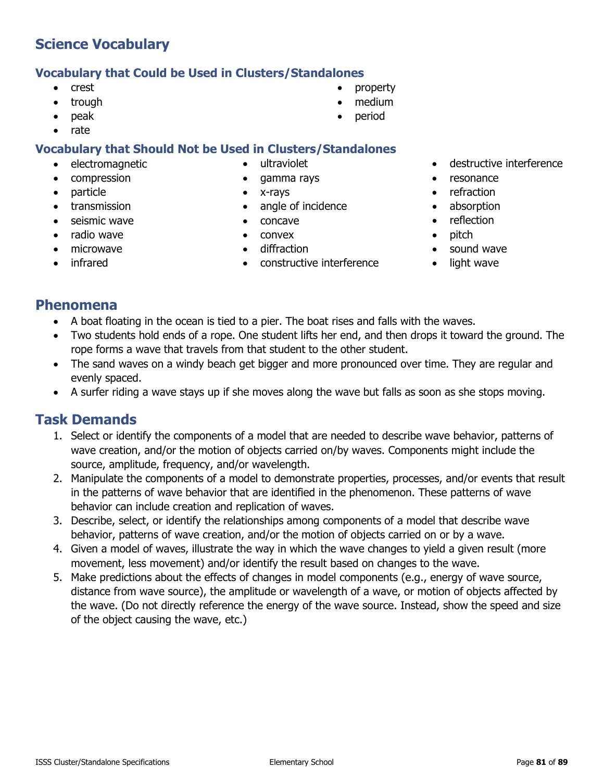## **Vocabulary that Could be Used in Clusters/Standalones**

- crest
- trough
- peak
- rate

## **Vocabulary that Should Not be Used in Clusters/Standalones**

- electromagnetic
- compression
- particle
- transmission
- seismic wave
- radio wave
- microwave
- infrared
- ultraviolet
- gamma rays
	- x-rays
- angle of incidence
- concave
- convex
- diffraction
- constructive interference
- destructive interference
- resonance
- refraction
- absorption
- reflection
- pitch
- sound wave
- light wave

# **Phenomena**

- A boat floating in the ocean is tied to a pier. The boat rises and falls with the waves.
- Two students hold ends of a rope. One student lifts her end, and then drops it toward the ground. The rope forms a wave that travels from that student to the other student.
- The sand waves on a windy beach get bigger and more pronounced over time. They are regular and evenly spaced.
- A surfer riding a wave stays up if she moves along the wave but falls as soon as she stops moving.

- 1. Select or identify the components of a model that are needed to describe wave behavior, patterns of wave creation, and/or the motion of objects carried on/by waves. Components might include the source, amplitude, frequency, and/or wavelength.
- 2. Manipulate the components of a model to demonstrate properties, processes, and/or events that result in the patterns of wave behavior that are identified in the phenomenon. These patterns of wave behavior can include creation and replication of waves.
- 3. Describe, select, or identify the relationships among components of a model that describe wave behavior, patterns of wave creation, and/or the motion of objects carried on or by a wave.
- 4. Given a model of waves, illustrate the way in which the wave changes to yield a given result (more movement, less movement) and/or identify the result based on changes to the wave.
- 5. Make predictions about the effects of changes in model components (e.g., energy of wave source, distance from wave source), the amplitude or wavelength of a wave, or motion of objects affected by the wave. (Do not directly reference the energy of the wave source. Instead, show the speed and size of the object causing the wave, etc.)
- property • medium
- 
- period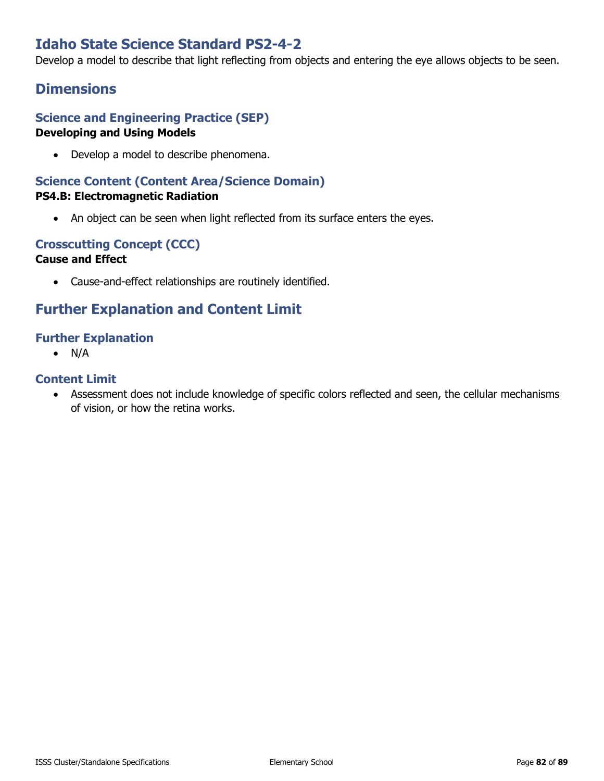# **Idaho State Science Standard PS2-4-2**

Develop a model to describe that light reflecting from objects and entering the eye allows objects to be seen.

## **Dimensions**

## **Science and Engineering Practice (SEP) Developing and Using Models**

• Develop a model to describe phenomena.

# **Science Content (Content Area/Science Domain)**

## **PS4.B: Electromagnetic Radiation**

• An object can be seen when light reflected from its surface enters the eyes.

### **Crosscutting Concept (CCC) Cause and Effect**

• Cause-and-effect relationships are routinely identified.

# **Further Explanation and Content Limit**

## **Further Explanation**

 $\bullet$  N/A

### **Content Limit**

• Assessment does not include knowledge of specific colors reflected and seen, the cellular mechanisms of vision, or how the retina works.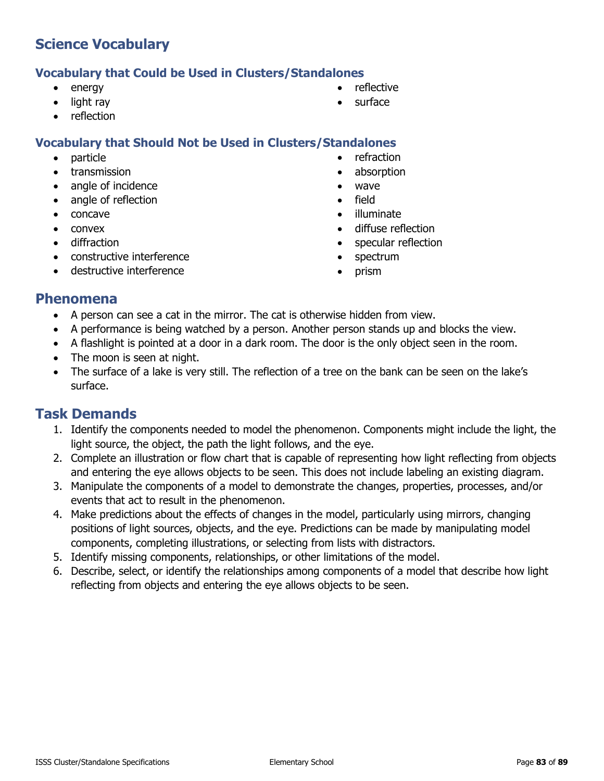## **Vocabulary that Could be Used in Clusters/Standalones**

- energy
- light ray
- reflection

## **Vocabulary that Should Not be Used in Clusters/Standalones**

- particle
- transmission
- angle of incidence
- angle of reflection
- concave
- convex
- diffraction
- constructive interference
- destructive interference
- reflective
- surface
- 
- - refraction
	- absorption
	- wave
	- field
	- illuminate
	- diffuse reflection
	- specular reflection
	- spectrum
	- prism

## **Phenomena**

- A person can see a cat in the mirror. The cat is otherwise hidden from view.
- A performance is being watched by a person. Another person stands up and blocks the view.
- A flashlight is pointed at a door in a dark room. The door is the only object seen in the room.
- The moon is seen at night.
- The surface of a lake is very still. The reflection of a tree on the bank can be seen on the lake's surface.

- 1. Identify the components needed to model the phenomenon. Components might include the light, the light source, the object, the path the light follows, and the eye.
- 2. Complete an illustration or flow chart that is capable of representing how light reflecting from objects and entering the eye allows objects to be seen. This does not include labeling an existing diagram.
- 3. Manipulate the components of a model to demonstrate the changes, properties, processes, and/or events that act to result in the phenomenon.
- 4. Make predictions about the effects of changes in the model, particularly using mirrors, changing positions of light sources, objects, and the eye. Predictions can be made by manipulating model components, completing illustrations, or selecting from lists with distractors.
- 5. Identify missing components, relationships, or other limitations of the model.
- 6. Describe, select, or identify the relationships among components of a model that describe how light reflecting from objects and entering the eye allows objects to be seen.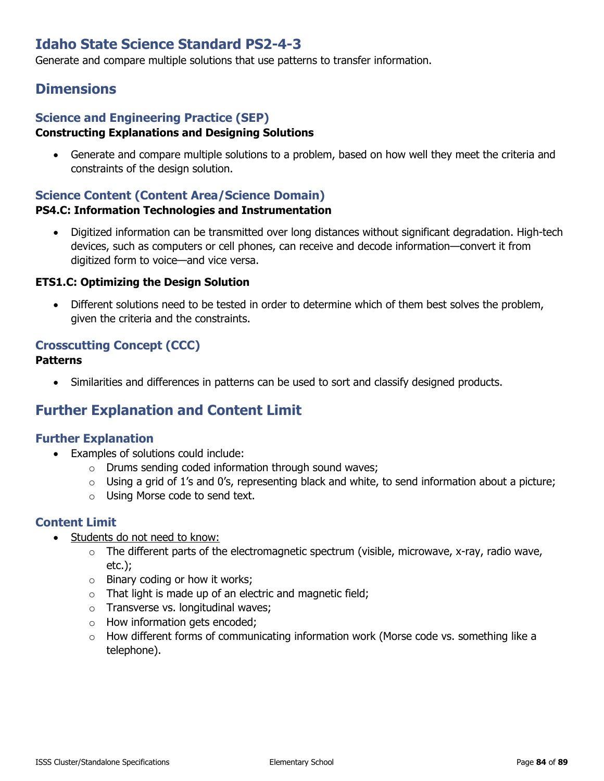# **Idaho State Science Standard PS2-4-3**

Generate and compare multiple solutions that use patterns to transfer information.

## **Dimensions**

### **Science and Engineering Practice (SEP) Constructing Explanations and Designing Solutions**

• Generate and compare multiple solutions to a problem, based on how well they meet the criteria and constraints of the design solution.

## **Science Content (Content Area/Science Domain)**

### **PS4.C: Information Technologies and Instrumentation**

• Digitized information can be transmitted over long distances without significant degradation. High-tech devices, such as computers or cell phones, can receive and decode information—convert it from digitized form to voice—and vice versa.

### **ETS1.C: Optimizing the Design Solution**

• Different solutions need to be tested in order to determine which of them best solves the problem, given the criteria and the constraints.

## **Crosscutting Concept (CCC)**

### **Patterns**

• Similarities and differences in patterns can be used to sort and classify designed products.

# **Further Explanation and Content Limit**

## **Further Explanation**

- Examples of solutions could include:
	- o Drums sending coded information through sound waves;
	- $\circ$  Using a grid of 1's and 0's, representing black and white, to send information about a picture;
	- o Using Morse code to send text.

- Students do not need to know:
	- $\circ$  The different parts of the electromagnetic spectrum (visible, microwave, x-ray, radio wave, etc.);
	- $\circ$  Binary coding or how it works;
	- $\circ$  That light is made up of an electric and magnetic field;
	- o Transverse vs. longitudinal waves;
	- o How information gets encoded;
	- o How different forms of communicating information work (Morse code vs. something like a telephone).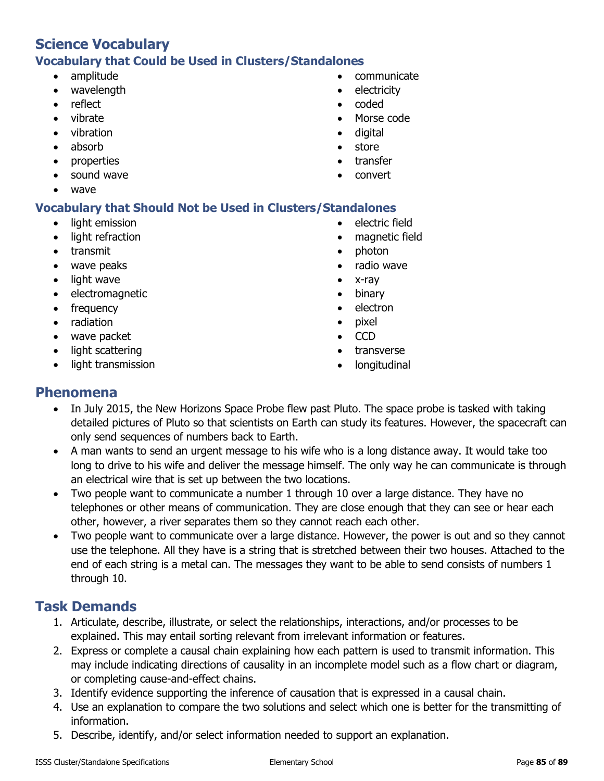# **Science Vocabulary Vocabulary that Could be Used in Clusters/Standalones**

- amplitude
- wavelength
- reflect
- vibrate
- vibration
- absorb
- properties
- sound wave
- wave

## **Vocabulary that Should Not be Used in Clusters/Standalones**

- light emission
- light refraction
- transmit
- wave peaks
- light wave
- electromagnetic
- frequency
- radiation
- wave packet
- light scattering
- light transmission
- communicate
- electricity
- coded
- Morse code
- digital
- store
- transfer
- convert
- electric field
- magnetic field
- photon
- radio wave
- x-ray
- binary
- electron
- pixel
- CCD
- transverse
- longitudinal

## **Phenomena**

- In July 2015, the New Horizons Space Probe flew past Pluto. The space probe is tasked with taking detailed pictures of Pluto so that scientists on Earth can study its features. However, the spacecraft can only send sequences of numbers back to Earth.
- A man wants to send an urgent message to his wife who is a long distance away. It would take too long to drive to his wife and deliver the message himself. The only way he can communicate is through an electrical wire that is set up between the two locations.
- Two people want to communicate a number 1 through 10 over a large distance. They have no telephones or other means of communication. They are close enough that they can see or hear each other, however, a river separates them so they cannot reach each other.
- Two people want to communicate over a large distance. However, the power is out and so they cannot use the telephone. All they have is a string that is stretched between their two houses. Attached to the end of each string is a metal can. The messages they want to be able to send consists of numbers 1 through 10.

- 1. Articulate, describe, illustrate, or select the relationships, interactions, and/or processes to be explained. This may entail sorting relevant from irrelevant information or features.
- 2. Express or complete a causal chain explaining how each pattern is used to transmit information. This may include indicating directions of causality in an incomplete model such as a flow chart or diagram, or completing cause-and-effect chains.
- 3. Identify evidence supporting the inference of causation that is expressed in a causal chain.
- 4. Use an explanation to compare the two solutions and select which one is better for the transmitting of information.
- 5. Describe, identify, and/or select information needed to support an explanation.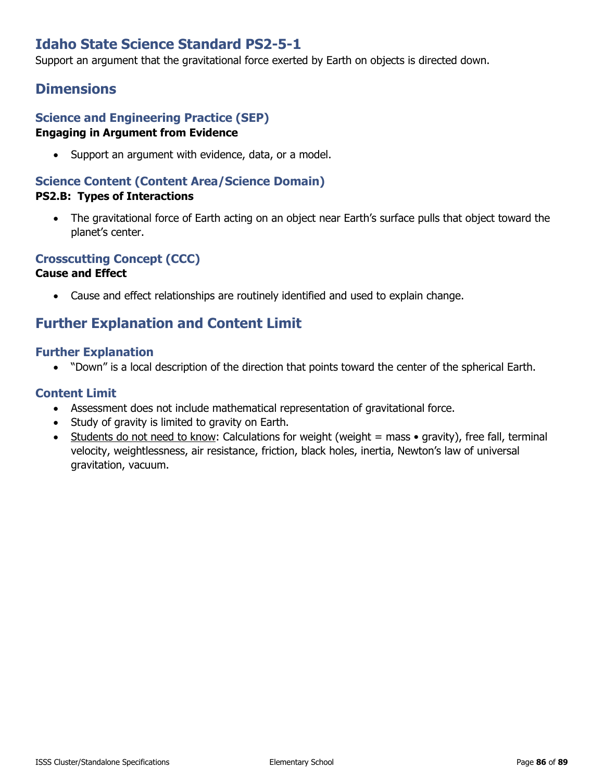# **Idaho State Science Standard PS2-5-1**

Support an argument that the gravitational force exerted by Earth on objects is directed down.

## **Dimensions**

## **Science and Engineering Practice (SEP) Engaging in Argument from Evidence**

• Support an argument with evidence, data, or a model.

### **Science Content (Content Area/Science Domain) PS2.B: Types of Interactions**

• The gravitational force of Earth acting on an object near Earth's surface pulls that object toward the planet's center.

## **Crosscutting Concept (CCC)**

## **Cause and Effect**

• Cause and effect relationships are routinely identified and used to explain change.

## **Further Explanation and Content Limit**

### **Further Explanation**

• "Down" is a local description of the direction that points toward the center of the spherical Earth.

- Assessment does not include mathematical representation of gravitational force.
- Study of gravity is limited to gravity on Earth.
- Students do not need to know: Calculations for weight (weight  $=$  mass  $\bullet$  gravity), free fall, terminal velocity, weightlessness, air resistance, friction, black holes, inertia, Newton's law of universal gravitation, vacuum.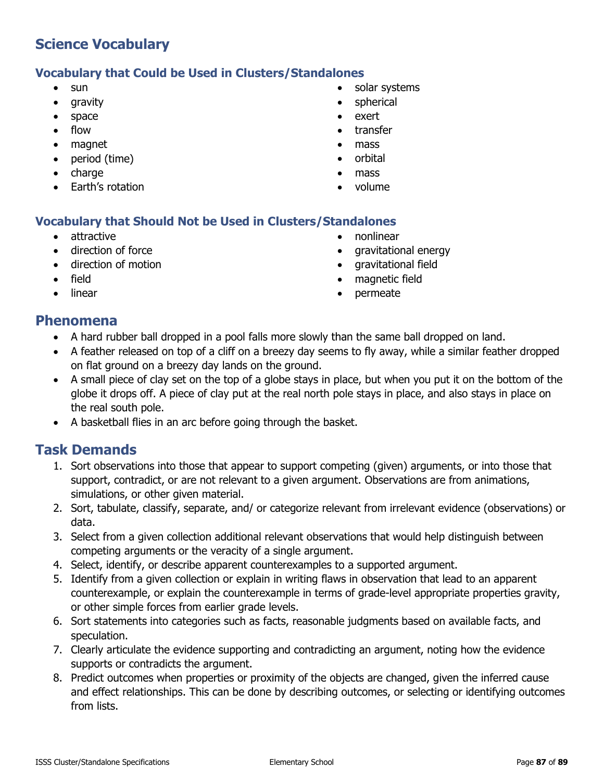### **Vocabulary that Could be Used in Clusters/Standalones**

- sun
- gravity
- space
- flow
- magnet
- period (time)
- charge
- Earth's rotation
- solar systems
- spherical
- exert
- transfer
- mass
- orbital
- mass
- volume

## **Vocabulary that Should Not be Used in Clusters/Standalones**

- attractive
- direction of force
- direction of motion
- field
- **linear**
- nonlinear
- gravitational energy
- gravitational field
- magnetic field
- permeate

## **Phenomena**

- A hard rubber ball dropped in a pool falls more slowly than the same ball dropped on land.
- A feather released on top of a cliff on a breezy day seems to fly away, while a similar feather dropped on flat ground on a breezy day lands on the ground.
- A small piece of clay set on the top of a globe stays in place, but when you put it on the bottom of the globe it drops off. A piece of clay put at the real north pole stays in place, and also stays in place on the real south pole.
- A basketball flies in an arc before going through the basket.

- 1. Sort observations into those that appear to support competing (given) arguments, or into those that support, contradict, or are not relevant to a given argument. Observations are from animations, simulations, or other given material.
- 2. Sort, tabulate, classify, separate, and/ or categorize relevant from irrelevant evidence (observations) or data.
- 3. Select from a given collection additional relevant observations that would help distinguish between competing arguments or the veracity of a single argument.
- 4. Select, identify, or describe apparent counterexamples to a supported argument.
- 5. Identify from a given collection or explain in writing flaws in observation that lead to an apparent counterexample, or explain the counterexample in terms of grade-level appropriate properties gravity, or other simple forces from earlier grade levels.
- 6. Sort statements into categories such as facts, reasonable judgments based on available facts, and speculation.
- 7. Clearly articulate the evidence supporting and contradicting an argument, noting how the evidence supports or contradicts the argument.
- 8. Predict outcomes when properties or proximity of the objects are changed, given the inferred cause and effect relationships. This can be done by describing outcomes, or selecting or identifying outcomes from lists.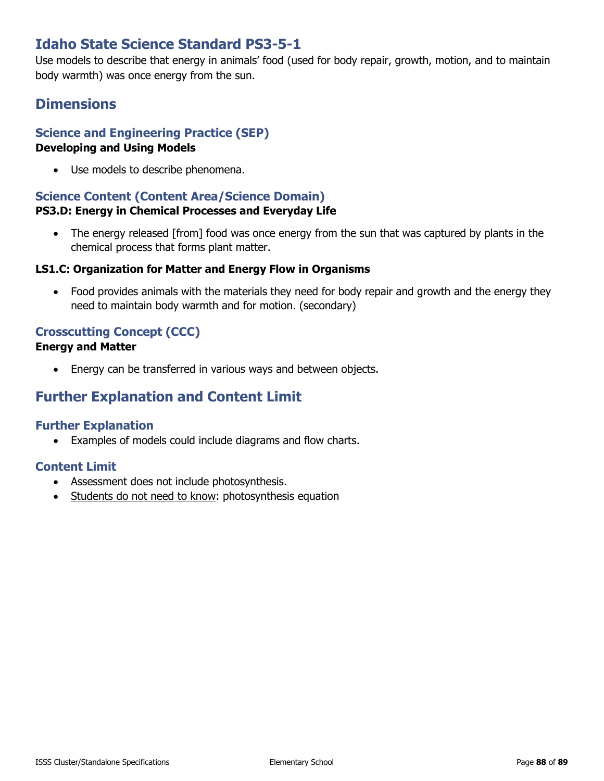# **Idaho State Science Standard PS3-5-1**

Use models to describe that energy in animals' food (used for body repair, growth, motion, and to maintain body warmth) was once energy from the sun.

# **Dimensions**

# **Science and Engineering Practice (SEP)**

### **Developing and Using Models**

• Use models to describe phenomena.

## **Science Content (Content Area/Science Domain)**

### **PS3.D: Energy in Chemical Processes and Everyday Life**

• The energy released [from] food was once energy from the sun that was captured by plants in the chemical process that forms plant matter.

### **LS1.C: Organization for Matter and Energy Flow in Organisms**

• Food provides animals with the materials they need for body repair and growth and the energy they need to maintain body warmth and for motion. (secondary)

## **Crosscutting Concept (CCC)**

### **Energy and Matter**

• Energy can be transferred in various ways and between objects.

# **Further Explanation and Content Limit**

## **Further Explanation**

• Examples of models could include diagrams and flow charts.

- Assessment does not include photosynthesis.
- Students do not need to know: photosynthesis equation